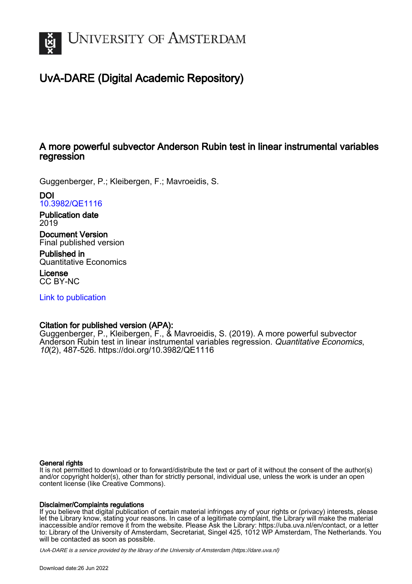

# UvA-DARE (Digital Academic Repository)

# A more powerful subvector Anderson Rubin test in linear instrumental variables regression

Guggenberger, P.; Kleibergen, F.; Mavroeidis, S.

DOI [10.3982/QE1116](https://doi.org/10.3982/QE1116)

Publication date 2019

Document Version Final published version

Published in Quantitative Economics

License CC BY-NC

[Link to publication](https://dare.uva.nl/personal/pure/en/publications/a-more-powerful-subvector-anderson-rubin-test-in-linear-instrumental-variables-regression(e09b66b4-c665-4474-818d-858027ed97db).html)

# Citation for published version (APA):

Guggenberger, P., Kleibergen, F., & Mavroeidis, S. (2019). A more powerful subvector Anderson Rubin test in linear instrumental variables regression. Quantitative Economics, 10(2), 487-526.<https://doi.org/10.3982/QE1116>

# General rights

It is not permitted to download or to forward/distribute the text or part of it without the consent of the author(s) and/or copyright holder(s), other than for strictly personal, individual use, unless the work is under an open content license (like Creative Commons).

# Disclaimer/Complaints regulations

If you believe that digital publication of certain material infringes any of your rights or (privacy) interests, please let the Library know, stating your reasons. In case of a legitimate complaint, the Library will make the material inaccessible and/or remove it from the website. Please Ask the Library: https://uba.uva.nl/en/contact, or a letter to: Library of the University of Amsterdam, Secretariat, Singel 425, 1012 WP Amsterdam, The Netherlands. You will be contacted as soon as possible.

UvA-DARE is a service provided by the library of the University of Amsterdam (http*s*://dare.uva.nl)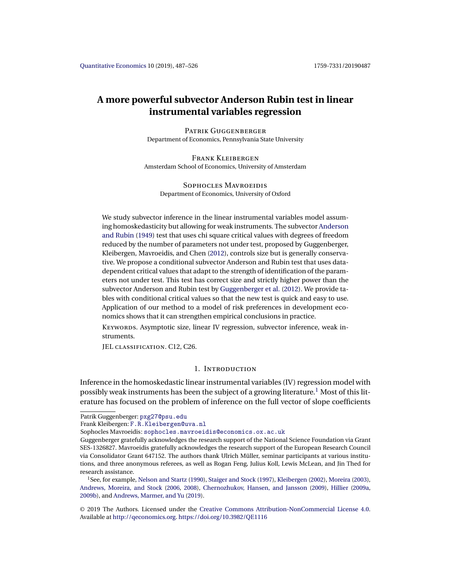# <span id="page-1-0"></span>**A more powerful subvector Anderson Rubin test in linear instrumental variables regression**

PATRIK GUGGENBERGER Department of Economics, Pennsylvania State University

Frank Kleibergen Amsterdam School of Economics, University of Amsterdam

SOPHOCLES MAVROEIDIS Department of Economics, University of Oxford

We study subvector inference in the linear instrumental variables model assuming homoskedasticity but allowing for weak instruments. The subvector [Anderson](#page-37-0) [and Rubin](#page-37-0) [\(1949\)](#page-37-0) test that uses chi square critical values with degrees of freedom reduced by the number of parameters not under test, proposed by Guggenberger, Kleibergen, Mavroeidis, and Chen [\(2012\)](#page-38-0), controls size but is generally conservative. We propose a conditional subvector Anderson and Rubin test that uses datadependent critical values that adapt to the strength of identification of the parameters not under test. This test has correct size and strictly higher power than the subvector Anderson and Rubin test by [Guggenberger et al.](#page-38-0) [\(2012\)](#page-38-0). We provide tables with conditional critical values so that the new test is quick and easy to use. Application of our method to a model of risk preferences in development economics shows that it can strengthen empirical conclusions in practice.

KEYWORDS. Asymptotic size, linear IV regression, subvector inference, weak instruments.

JEL classification. C12, C26.

# 1. Introduction

Inference in the homoskedastic linear instrumental variables (IV) regression model with possibly weak instruments has been the subject of a growing literature.1 Most of this literature has focused on the problem of inference on the full vector of slope coefficients

Frank Kleibergen: [F.R.Kleibergen@uva.nl](mailto:F.R.Kleibergen@uva.nl)

Sophocles Mavroeidis: [sophocles.mavroeidis@economics.ox.ac.uk](mailto:sophocles.mavroeidis@economics.ox.ac.uk)

Patrik Guggenberger: [pxg27@psu.edu](mailto:pxg27@psu.edu)

Guggenberger gratefully acknowledges the research support of the National Science Foundation via Grant SES-1326827. Mavroeidis gratefully acknowledges the research support of the European Research Council via Consolidator Grant 647152. The authors thank Ulrich Müller, seminar participants at various institutions, and three anonymous referees, as well as Rogan Feng, Julius Koll, Lewis McLean, and Jin Thed for research assistance.

<sup>&</sup>lt;sup>1</sup>See, for example, [Nelson and Startz](#page-39-0) [\(1990\)](#page-39-0), [Staiger and Stock](#page-40-0) [\(1997\)](#page-40-0), [Kleibergen](#page-39-0) [\(2002\)](#page-39-0), [Moreira](#page-39-0) [\(2003\)](#page-39-0), [Andrews, Moreira, and Stock](#page-38-0) [\(2006,](#page-38-0) [2008\)](#page-38-0), [Chernozhukov, Hansen, and Jansson](#page-38-0) [\(2009\)](#page-38-0), [Hillier](#page-39-0) [\(2009a,](#page-39-0) [2009b\)](#page-39-0), and [Andrews, Marmer, and Yu](#page-38-0) [\(2019\)](#page-38-0).

<sup>©</sup> 2019 The Authors. Licensed under the [Creative Commons Attribution-NonCommercial License 4.0](https://creativecommons.org/licenses/by-nc/4.0/legalcode). Available at <http://qeconomics.org>. <https://doi.org/10.3982/QE1116>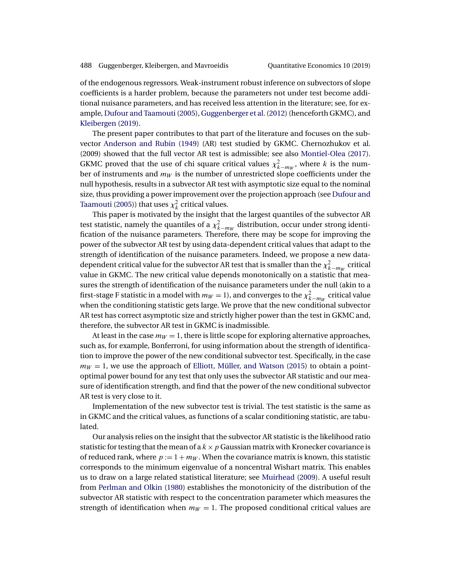<span id="page-2-0"></span>of the endogenous regressors. Weak-instrument robust inference on subvectors of slope coefficients is a harder problem, because the parameters not under test become additional nuisance parameters, and has received less attention in the literature; see, for example, Dufour and Taamouti (2005), Guggenberger et al. (2012) (henceforth GKMC), and [Kleibergen](#page-39-0) [\(2019\)](#page-39-0).

The present paper contributes to that part of the literature and focuses on the subvector [Anderson and Rubin](#page-37-0) [\(1949\)](#page-37-0) (AR) test studied by GKMC. Chernozhukov et al. (2009) showed that the full vector AR test is admissible; see also [Montiel-Olea](#page-39-0) [\(2017\)](#page-39-0). GKMC proved that the use of chi square critical values  $\chi^2_{k-m_W}$ , where k is the number of instruments and  $m_W$  is the number of unrestricted slope coefficients under the null hypothesis, results in a subvector AR test with asymptotic size equal to the nominal size, thus providing a power improvement over the projection approach (see [Dufour and](#page-38-0) [Taamouti](#page-38-0) [\(2005\)](#page-38-0)) that uses  $\chi^2_k$  critical values.

This paper is motivated by the insight that the largest quantiles of the subvector AR test statistic, namely the quantiles of a  $\chi^2_{k-m_W}$  distribution, occur under strong identification of the nuisance parameters. Therefore, there may be scope for improving the power of the subvector AR test by using data-dependent critical values that adapt to the strength of identification of the nuisance parameters. Indeed, we propose a new datadependent critical value for the subvector AR test that is smaller than the  $\chi^2_{k-m_W}$  critical value in GKMC. The new critical value depends monotonically on a statistic that measures the strength of identification of the nuisance parameters under the null (akin to a first-stage F statistic in a model with  $m_W = 1$ ), and converges to the  $\chi^2_{k-m_W}$  critical value when the conditioning statistic gets large. We prove that the new conditional subvector AR test has correct asymptotic size and strictly higher power than the test in GKMC and, therefore, the subvector AR test in GKMC is inadmissible.

At least in the case  $m_W = 1$ , there is little scope for exploring alternative approaches, such as, for example, Bonferroni, for using information about the strength of identification to improve the power of the new conditional subvector test. Specifically, in the case  $m_W = 1$ , we use the approach of [Elliott, Müller, and Watson](#page-38-0) [\(2015\)](#page-38-0) to obtain a pointoptimal power bound for any test that only uses the subvector AR statistic and our measure of identification strength, and find that the power of the new conditional subvector AR test is very close to it.

Implementation of the new subvector test is trivial. The test statistic is the same as in GKMC and the critical values, as functions of a scalar conditioning statistic, are tabulated.

Our analysis relies on the insight that the subvector AR statistic is the likelihood ratio statistic for testing that the mean of a  $k \times p$  Gaussian matrix with Kronecker covariance is of reduced rank, where  $p := 1 + m_W$ . When the covariance matrix is known, this statistic corresponds to the minimum eigenvalue of a noncentral Wishart matrix. This enables us to draw on a large related statistical literature; see [Muirhead](#page-39-0) [\(2009\)](#page-39-0). A useful result from [Perlman and Olkin](#page-40-0) [\(1980\)](#page-40-0) establishes the monotonicity of the distribution of the subvector AR statistic with respect to the concentration parameter which measures the strength of identification when  $m_W = 1$ . The proposed conditional critical values are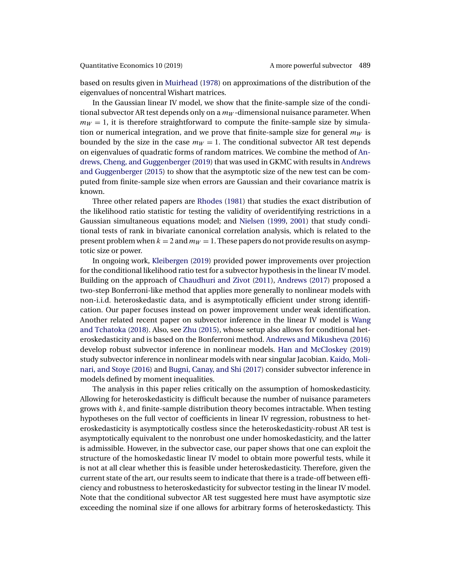<span id="page-3-0"></span>based on results given in [Muirhead](#page-39-0) [\(1978\)](#page-39-0) on approximations of the distribution of the eigenvalues of noncentral Wishart matrices.

In the Gaussian linear IV model, we show that the finite-sample size of the conditional subvector AR test depends only on a  $m_W$ -dimensional nuisance parameter. When  $m_W = 1$ , it is therefore straightforward to compute the finite-sample size by simulation or numerical integration, and we prove that finite-sample size for general  $m_W$  is bounded by the size in the case  $m_W = 1$ . The conditional subvector AR test depends on eigenvalues of quadratic forms of random matrices. We combine the method of [An](#page-37-0)[drews, Cheng, and Guggenberger](#page-37-0) [\(2019\)](#page-37-0) that was used in GKMC with results in [Andrews](#page-38-0) [and Guggenberger](#page-38-0) [\(2015\)](#page-38-0) to show that the asymptotic size of the new test can be computed from finite-sample size when errors are Gaussian and their covariance matrix is known.

Three other related papers are [Rhodes](#page-40-0) [\(1981\)](#page-40-0) that studies the exact distribution of the likelihood ratio statistic for testing the validity of overidentifying restrictions in a Gaussian simultaneous equations model; and [Nielsen](#page-39-0) [\(1999,](#page-39-0) [2001\)](#page-39-0) that study conditional tests of rank in bivariate canonical correlation analysis, which is related to the present problem when  $k = 2$  and  $m_W = 1$ . These papers do not provide results on asymptotic size or power.

In ongoing work, [Kleibergen](#page-39-0) [\(2019\)](#page-39-0) provided power improvements over projection for the conditional likelihood ratio test for a subvector hypothesis in the linear IV model. Building on the approach of [Chaudhuri and Zivot](#page-38-0) [\(2011\)](#page-38-0), [Andrews](#page-37-0) [\(2017\)](#page-37-0) proposed a two-step Bonferroni-like method that applies more generally to nonlinear models with non-i.i.d. heteroskedastic data, and is asymptotically efficient under strong identification. Our paper focuses instead on power improvement under weak identification. Another related recent paper on subvector inference in the linear IV model is [Wang](#page-40-0) [and Tchatoka](#page-40-0) [\(2018\)](#page-40-0). Also, see [Zhu](#page-40-0) [\(2015\)](#page-40-0), whose setup also allows for conditional heteroskedasticity and is based on the Bonferroni method. [Andrews and Mikusheva](#page-38-0) [\(2016\)](#page-38-0) develop robust subvector inference in nonlinear models. [Han and McCloskey](#page-38-0) [\(2019\)](#page-38-0) study subvector inference in nonlinear models with near singular Jacobian. [Kaido, Moli](#page-39-0)[nari, and Stoye](#page-39-0) [\(2016\)](#page-39-0) and [Bugni, Canay, and Shi](#page-38-0) [\(2017\)](#page-38-0) consider subvector inference in models defined by moment inequalities.

The analysis in this paper relies critically on the assumption of homoskedasticity. Allowing for heteroskedasticity is difficult because the number of nuisance parameters grows with  $k$ , and finite-sample distribution theory becomes intractable. When testing hypotheses on the full vector of coefficients in linear IV regression, robustness to heteroskedasticity is asymptotically costless since the heteroskedasticity-robust AR test is asymptotically equivalent to the nonrobust one under homoskedasticity, and the latter is admissible. However, in the subvector case, our paper shows that one can exploit the structure of the homoskedastic linear IV model to obtain more powerful tests, while it is not at all clear whether this is feasible under heteroskedasticity. Therefore, given the current state of the art, our results seem to indicate that there is a trade-off between efficiency and robustness to heteroskedasticity for subvector testing in the linear IV model. Note that the conditional subvector AR test suggested here must have asymptotic size exceeding the nominal size if one allows for arbitrary forms of heteroskedasticty. This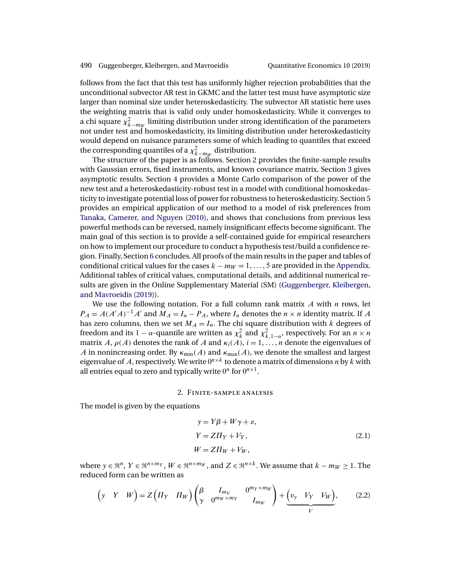<span id="page-4-0"></span>follows from the fact that this test has uniformly higher rejection probabilities that the unconditional subvector AR test in GKMC and the latter test must have asymptotic size larger than nominal size under heteroskedasticity. The subvector AR statistic here uses the weighting matrix that is valid only under homoskedasticity. While it converges to a chi square  $\chi^2_{k-m_W}$  limiting distribution under strong identification of the parameters not under test and homoskedasticity, its limiting distribution under heteroskedasticity would depend on nuisance parameters some of which leading to quantiles that exceed the corresponding quantiles of a  $\chi^2_{k-m_W}$  distribution.

The structure of the paper is as follows. Section 2 provides the finite-sample results with Gaussian errors, fixed instruments, and known covariance matrix. Section [3](#page-14-0) gives asymptotic results. Section [4](#page-16-0) provides a Monte Carlo comparison of the power of the new test and a heteroskedasticity-robust test in a model with conditional homoskedasticity to investigate potential loss of power for robustness to heteroskedasticity. Section [5](#page-18-0) provides an empirical application of our method to a model of risk preferences from [Tanaka, Camerer, and Nguyen](#page-40-0) [\(2010\)](#page-40-0), and shows that conclusions from previous less powerful methods can be reversed, namely insignificant effects become significant. The main goal of this section is to provide a self-contained guide for empirical researchers on how to implement our procedure to conduct a hypothesis test/build a confidence region. Finally, Section [6](#page-22-0) concludes. All proofs of the main results in the paper and tables of conditional critical values for the cases  $k - m_W = 1, \ldots, 5$  are provided in the [Appendix.](#page-22-0) Additional tables of critical values, computational details, and additional numerical results are given in the Online Supplementary Material (SM) [\(Guggenberger, Kleibergen,](#page-38-0) [and Mavroeidis](#page-38-0) [\(2019\)](#page-38-0)).

We use the following notation. For a full column rank matrix  $A$  with  $n$  rows, let  $P_A = A(A'A)^{-1}A'$  and  $M_A = I_n - P_A$ , where  $I_n$  denotes the  $n \times n$  identity matrix. If A has zero columns, then we set  $M_A = I_n$ . The chi square distribution with k degrees of freedom and its 1 –  $\alpha$ -quantile are written as  $\chi^2_k$  and  $\chi^2_{k,1-\alpha}$ , respectively. For an  $n \times n$ matrix A,  $\rho(A)$  denotes the rank of A and  $\kappa_i(A)$ ,  $i = 1, \ldots, n$  denote the eigenvalues of A in nonincreasing order. By  $\kappa_{\min}(A)$  and  $\kappa_{\max}(A)$ , we denote the smallest and largest eigenvalue of A, respectively. We write  $0^{n \times k}$  to denote a matrix of dimensions n by k with all entries equal to zero and typically write  $0^n$  for  $0^{n \times 1}$ .

#### 2. Finite-sample analysis

The model is given by the equations

$$
y = Y\beta + W\gamma + \varepsilon,
$$
  
\n
$$
Y = Z\Pi_Y + V_Y,
$$
  
\n
$$
W = Z\Pi_W + V_W,
$$
\n(2.1)

where  $y \in \mathbb{R}^n$ ,  $Y \in \mathbb{R}^{n \times m_Y}$ ,  $W \in \mathbb{R}^{n \times m_W}$ , and  $Z \in \mathbb{R}^{n \times k}$ . We assume that  $k - m_W \ge 1$ . The reduced form can be written as

$$
\left(y \quad Y \quad W\right) = Z\left(\Pi_Y \quad \Pi_W\right) \begin{pmatrix} \beta & I_{m_Y} & 0^{m_Y \times m_W} \\ \gamma & 0^{m_W \times m_Y} & I_{m_W} \end{pmatrix} + \underbrace{\left(v_y \quad V_Y \quad V_W\right)}_{V},\tag{2.2}
$$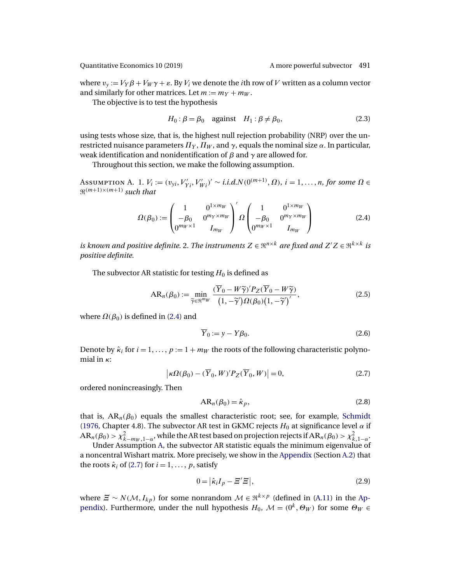<span id="page-5-0"></span>where  $v_y := V_Y \beta + V_W \gamma + \varepsilon$ . By  $V_i$  we denote the *i*th row of V written as a column vector and similarly for other matrices. Let  $m := m_Y + m_W$ .

The objective is to test the hypothesis

$$
H_0: \beta = \beta_0 \quad \text{against} \quad H_1: \beta \neq \beta_0,\tag{2.3}
$$

using tests whose size, that is, the highest null rejection probability (NRP) over the unrestricted nuisance parameters  $\Pi_Y$ ,  $\Pi_W$ , and  $\gamma$ , equals the nominal size  $\alpha$ . In particular, weak identification and nonidentification of  $\beta$  and  $\gamma$  are allowed for.

Throughout this section, we make the following assumption.

Assumption A. 1.  $V_i := (v_{yi}, V'_{Yi}, V'_{Wi})' \sim i.i.d.N(0^{(m+1)}, \Omega), i = 1, ..., n$ , for some  $\Omega \in$  $\mathfrak{R}^{(m+1)\times(m+1)}$  *such that* 

$$
\Omega(\beta_0) := \begin{pmatrix} 1 & 0^{1 \times m_W} \\ -\beta_0 & 0^{m_Y \times m_W} \\ 0^{m_W \times 1} & I_{m_W} \end{pmatrix}^\prime \Omega \begin{pmatrix} 1 & 0^{1 \times m_W} \\ -\beta_0 & 0^{m_Y \times m_W} \\ 0^{m_W \times 1} & I_{m_W} \end{pmatrix}
$$
\n(2.4)

is known and positive definite. 2. The instruments  $Z \in \Re^{n \times k}$  are fixed and  $Z' Z \in \Re^{k \times k}$  is *positive definite*.

The subvector AR statistic for testing  $H_0$  is defined as

$$
AR_n(\beta_0) := \min_{\widetilde{\gamma} \in \mathbb{N}^{m_W}} \frac{(\overline{Y}_0 - W\widetilde{\gamma})' P_Z(\overline{Y}_0 - W\widetilde{\gamma})}{(1, -\widetilde{\gamma}')\Omega(\beta_0)(1, -\widetilde{\gamma}')'},
$$
(2.5)

where  $\Omega(\beta_0)$  is defined in (2.4) and

$$
\overline{Y}_0 := y - Y\beta_0. \tag{2.6}
$$

Denote by  $\hat{\kappa}_i$  for  $i = 1, \ldots, p := 1 + m_W$  the roots of the following characteristic polynomial in  $\kappa$ :

$$
\left|\kappa\Omega(\beta_0) - (\overline{Y}_0, W)'P_Z(\overline{Y}_0, W)\right| = 0,\tag{2.7}
$$

ordered nonincreasingly. Then

$$
AR_n(\beta_0) = \hat{\kappa}_p,\tag{2.8}
$$

that is,  $AR_n(\beta_0)$  equals the smallest characteristic root; see, for example, [Schmidt](#page-40-0) [\(1976,](#page-40-0) Chapter 4.8). The subvector AR test in GKMC rejects  $H_0$  at significance level  $\alpha$  if  $AR_n(\beta_0) > \chi^2_{k-m_W,1-\alpha}$ , while the AR test based on projection rejects if  $AR_n(\beta_0) > \chi^2_{k,1-\alpha}$ .

Under Assumption A, the subvector AR statistic equals the minimum eigenvalue of a noncentral Wishart matrix. More precisely, we show in the [Appendix](#page-22-0) (Section [A.2\)](#page-23-0) that the roots  $\hat{\kappa}_i$  of (2.7) for  $i = 1, \ldots, p$ , satisfy

$$
0 = |\hat{\kappa}_i I_p - \Xi' \Xi|,\tag{2.9}
$$

where  $\mathcal{Z} \sim N(\mathcal{M}, I_{kp})$  for some nonrandom  $\mathcal{M} \in \mathbb{R}^{k \times p}$  (defined in [\(A.11\)](#page-24-0) in the [Ap](#page-22-0)[pendix\)](#page-22-0). Furthermore, under the null hypothesis  $H_0$ ,  $\mathcal{M} = (0^k, \Theta_W)$  for some  $\Theta_W \in$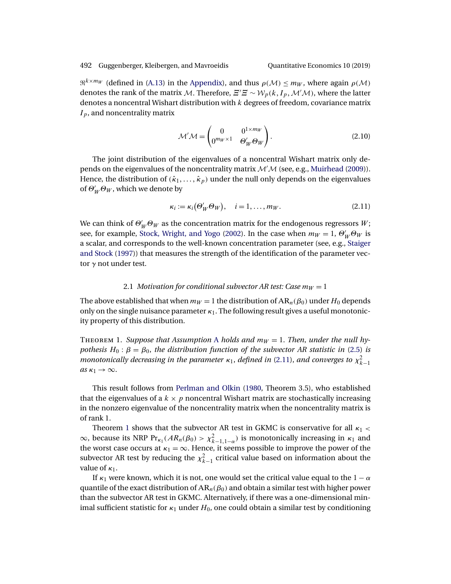<span id="page-6-0"></span> $\mathfrak{R}^{k \times m_W}$  (defined in [\(A.13\)](#page-25-0) in the [Appendix\)](#page-22-0), and thus  $\rho(\mathcal{M}) \le m_W$ , where again  $\rho(\mathcal{M})$ denotes the rank of the matrix M. Therefore,  $\Xi'\Xi\sim \mathcal{W}_p(k,I_p,\mathcal{M}'\mathcal{M}),$  where the latter denotes a noncentral Wishart distribution with  $k$  degrees of freedom, covariance matrix  $I_p$ , and noncentrality matrix

$$
\mathcal{M}'\mathcal{M} = \begin{pmatrix} 0 & 0^{1 \times m_W} \\ 0^{m_W \times 1} & \Theta'_W \Theta_W \end{pmatrix}.
$$
 (2.10)

The joint distribution of the eigenvalues of a noncentral Wishart matrix only depends on the eigenvalues of the noncentrality matrix  $\mathcal{M}^{\prime}\mathcal{M}$  (see, e.g., [Muirhead](#page-39-0) [\(2009\)](#page-39-0)). Hence, the distribution of  $(\hat{\kappa}_1, \ldots, \hat{\kappa}_p)$  under the null only depends on the eigenvalues of  $\Theta_W' \Theta_W$ , which we denote by

$$
\kappa_i := \kappa_i(\Theta'_W \Theta_W), \quad i = 1, \dots, m_W. \tag{2.11}
$$

We can think of  $\Theta_W'\Theta_W$  as the concentration matrix for the endogenous regressors  $W$  ; see, for example, [Stock, Wright, and Yogo](#page-40-0) [\(2002\)](#page-40-0). In the case when  $m_W = 1$ ,  $\Theta_W' \Theta_W$  is a scalar, and corresponds to the well-known concentration parameter (see, e.g., [Staiger](#page-40-0) [and Stock](#page-40-0) [\(1997\)](#page-40-0)) that measures the strength of the identification of the parameter vector  $\gamma$  not under test.

### 2.1 *Motivation for conditional subvector AR test: Case*  $m_W = 1$

The above established that when  $m_W = 1$  the distribution of  $AR_n(\beta_0)$  under  $H_0$  depends only on the single nuisance parameter  $\kappa_1$ . The following result gives a useful monotonicity property of this distribution.

THEOREM 1. *Suppose that [A](#page-5-0)ssumption A holds and*  $m_W = 1$ . *Then, under the null hypothesis*  $H_0: \beta = \beta_0$ , *the distribution function of the subvector AR statistic in* [\(2.5\)](#page-5-0) *is monotonically decreasing in the parameter*  $\kappa_1$ , *defined in* (2.11), *and converges to*  $\chi^2_{k-1}$ *as*  $\kappa_1 \rightarrow \infty$ .

This result follows from [Perlman and Olkin](#page-40-0) [\(1980,](#page-40-0) Theorem 3.5), who established that the eigenvalues of a  $k \times p$  noncentral Wishart matrix are stochastically increasing in the nonzero eigenvalue of the noncentrality matrix when the noncentrality matrix is of rank 1.

Theorem 1 shows that the subvector AR test in GKMC is conservative for all  $\kappa_1$  <  $\infty$ , because its NRP Pr<sub> $\kappa_1$ </sub> ( $AR_n(\beta_0) > \chi^2_{k-1,1-\alpha}$ ) is monotonically increasing in  $\kappa_1$  and the worst case occurs at  $\kappa_1 = \infty$ . Hence, it seems possible to improve the power of the subvector AR test by reducing the  $\chi^2_{k-1}$  critical value based on information about the value of  $\kappa_1$ .

If  $\kappa_1$  were known, which it is not, one would set the critical value equal to the  $1 - \alpha$ quantile of the exact distribution of  $AR_n(\beta_0)$  and obtain a similar test with higher power than the subvector AR test in GKMC. Alternatively, if there was a one-dimensional minimal sufficient statistic for  $\kappa_1$  under  $H_0$ , one could obtain a similar test by conditioning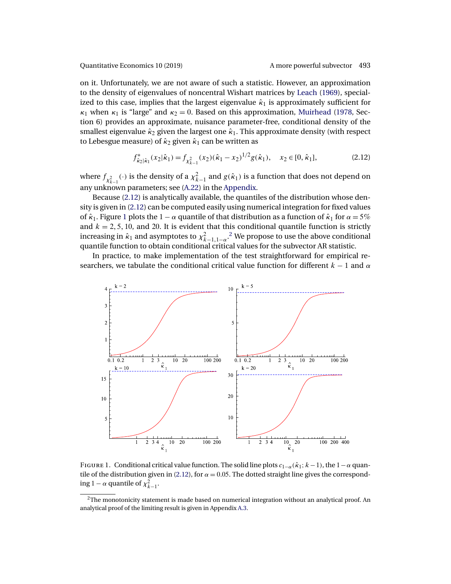<span id="page-7-0"></span>on it. Unfortunately, we are not aware of such a statistic. However, an approximation to the density of eigenvalues of noncentral Wishart matrices by [Leach](#page-39-0) [\(1969\)](#page-39-0), specialized to this case, implies that the largest eigenvalue  $\hat{\kappa}_1$  is approximately sufficient for  $\kappa_1$  when  $\kappa_1$  is "large" and  $\kappa_2 = 0$ . Based on this approximation, [Muirhead](#page-39-0) [\(1978,](#page-39-0) Section 6) provides an approximate, nuisance parameter-free, conditional density of the smallest eigenvalue  $\hat{\kappa}_2$  given the largest one  $\hat{\kappa}_1$ . This approximate density (with respect to Lebesgue measure) of  $\hat{\kappa}_2$  given  $\hat{\kappa}_1$  can be written as

$$
f_{\hat{\kappa}_2|\hat{\kappa}_1}^*(x_2|\hat{\kappa}_1) = f_{\chi_{\hat{\kappa}-1}^2}(x_2)(\hat{\kappa}_1 - x_2)^{1/2} g(\hat{\kappa}_1), \quad x_2 \in [0, \hat{\kappa}_1],
$$
 (2.12)

where  $f_{\chi^2_{k-1}}(\cdot)$  is the density of a  $\chi^2_{k-1}$  and  $g(\hat{\kappa}_1)$  is a function that does not depend on any unknown parameters; see [\(A.22\)](#page-27-0) in the [Appendix.](#page-22-0)

Because (2.12) is analytically available, the quantiles of the distribution whose density is given in (2.12) can be computed easily using numerical integration for fixed values of  $\hat{\kappa}_1$ . Figure 1 plots the 1 –  $\alpha$  quantile of that distribution as a function of  $\hat{\kappa}_1$  for  $\alpha = 5\%$ and  $k = 2, 5, 10$ , and 20. It is evident that this conditional quantile function is strictly increasing in  $\hat{\kappa}_1$  and asymptotes to  $\chi^2_{k-1,1-\alpha}$ .<sup>2</sup> We propose to use the above conditional quantile function to obtain conditional critical values for the subvector AR statistic.

In practice, to make implementation of the test straightforward for empirical researchers, we tabulate the conditional critical value function for different  $k - 1$  and  $\alpha$ 



FIGURE 1. Conditional critical value function. The solid line plots  $c_{1-\alpha}(\hat{\kappa}_1; k-1)$ , the  $1-\alpha$  quantile of the distribution given in (2.12), for  $\alpha = 0.05$ . The dotted straight line gives the corresponding 1 –  $\alpha$  quantile of  $\chi^2_{k-1}$ .

 $2$ The monotonicity statement is made based on numerical integration without an analytical proof. An analytical proof of the limiting result is given in Appendix [A.3.](#page-25-0)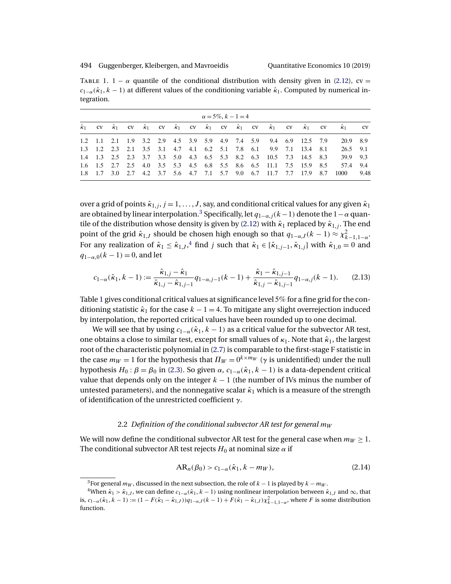<span id="page-8-0"></span>TABLE 1. 1 –  $\alpha$  quantile of the conditional distribution with density given in [\(2.12\)](#page-7-0), cv =  $c_{1-\alpha}(\hat{\kappa}_1, k-1)$  at different values of the conditioning variable  $\hat{\kappa}_1$ . Computed by numerical integration.

| $\alpha = 5\%, k - 1 = 4$ |  |  |  |  |  |  |  |  |  |  |                                                                   |  |  |  |                                                                                                                                                       |      |
|---------------------------|--|--|--|--|--|--|--|--|--|--|-------------------------------------------------------------------|--|--|--|-------------------------------------------------------------------------------------------------------------------------------------------------------|------|
|                           |  |  |  |  |  |  |  |  |  |  |                                                                   |  |  |  | $\hat{k}_1$ cv $\hat{k}_1$ cv $\hat{k}_1$ cv $\hat{k}_1$ cv $\hat{k}_1$ cv $\hat{k}_1$ cv $\hat{k}_1$ cv $\hat{k}_1$ cv $\hat{k}_1$ cv $\hat{k}_1$ cv |      |
|                           |  |  |  |  |  |  |  |  |  |  | 1.2 1.1 2.1 1.9 3.2 2.9 4.5 3.9 5.9 4.9 7.4 5.9 9.4 6.9 12.5 7.9  |  |  |  | 20.9 8.9                                                                                                                                              |      |
|                           |  |  |  |  |  |  |  |  |  |  | 1.3 1.2 2.3 2.1 3.5 3.1 4.7 4.1 6.2 5.1 7.8 6.1 9.9 7.1 13.4 8.1  |  |  |  | 26.5 9.1                                                                                                                                              |      |
|                           |  |  |  |  |  |  |  |  |  |  | 1.4 1.3 2.5 2.3 3.7 3.3 5.0 4.3 6.5 5.3 8.2 6.3 10.5 7.3 14.5 8.3 |  |  |  | 39.9 9.3                                                                                                                                              |      |
|                           |  |  |  |  |  |  |  |  |  |  | 1.6 1.5 2.7 2.5 4.0 3.5 5.3 4.5 6.8 5.5 8.6 6.5 11.1 7.5 15.9 8.5 |  |  |  | 57.4 9.4                                                                                                                                              |      |
|                           |  |  |  |  |  |  |  |  |  |  | 1.8 1.7 3.0 2.7 4.2 3.7 5.6 4.7 7.1 5.7 9.0 6.7 11.7 7.7 17.9 8.7 |  |  |  | 1000                                                                                                                                                  | 9.48 |

over a grid of points  $\hat{\kappa}_{1,j}$ ,  $j = 1, \ldots, J$ , say, and conditional critical values for any given  $\hat{\kappa}_1$ are obtained by linear interpolation.<sup>3</sup> Specifically, let  $q_{1-\alpha,j}(k-1)$  denote the  $1-\alpha$  quan-tile of the distribution whose density is given by [\(2.12\)](#page-7-0) with  $\hat{\kappa}_1$  replaced by  $\hat{\kappa}_{1,j}$ . The end point of the grid  $\hat{\kappa}_{1,J}$  should be chosen high enough so that  $q_{1-\alpha,J}(k-1) \approx \chi^2_{k-1,1-\alpha}$ . For any realization of  $\hat{\kappa}_1 \leq \hat{\kappa}_{1,J}$ ,  $\hat{\kappa}_1$  find j such that  $\hat{\kappa}_1 \in [\hat{\kappa}_{1,j-1}, \hat{\kappa}_{1,j}]$  with  $\hat{\kappa}_{1,0} = 0$  and  $q_{1-\alpha,0}(k-1) = 0$ , and let

$$
c_{1-\alpha}(\hat{\kappa}_1, k-1) := \frac{\hat{\kappa}_{1,j} - \hat{\kappa}_1}{\hat{\kappa}_{1,j} - \hat{\kappa}_{1,j-1}} q_{1-\alpha,j-1}(k-1) + \frac{\hat{\kappa}_1 - \hat{\kappa}_{1,j-1}}{\hat{\kappa}_{1,j} - \hat{\kappa}_{1,j-1}} q_{1-\alpha,j}(k-1). \tag{2.13}
$$

Table 1 gives conditional critical values at significance level 5% for a fine grid for the conditioning statistic  $\hat{\kappa}_1$  for the case  $k - 1 = 4$ . To mitigate any slight overrejection induced by interpolation, the reported critical values have been rounded up to one decimal.

We will see that by using  $c_{1-\alpha}(\hat{\kappa}_1, k-1)$  as a critical value for the subvector AR test, one obtains a close to similar test, except for small values of  $\kappa_1$ . Note that  $\hat{\kappa}_1$ , the largest root of the characteristic polynomial in [\(2.7\)](#page-5-0) is comparable to the first-stage F statistic in the case  $m_W = 1$  for the hypothesis that  $\Pi_W = 0^{k \times m_W}$  ( $\gamma$  is unidentified) under the null hypothesis  $H_0: \beta = \beta_0$  in [\(2.3\)](#page-5-0). So given  $\alpha$ ,  $c_{1-\alpha}(\hat{\kappa}_1, k-1)$  is a data-dependent critical value that depends only on the integer  $k - 1$  (the number of IVs minus the number of untested parameters), and the nonnegative scalar  $\hat{\kappa}_1$  which is a measure of the strength of identification of the unrestricted coefficient γ.

### 2.2 *Definition of the conditional subvector AR test for general*  $m_W$

We will now define the conditional subvector AR test for the general case when  $m_W \geq 1$ . The conditional subvector AR test rejects  $H_0$  at nominal size  $\alpha$  if

$$
AR_n(\beta_0) > c_{1-\alpha}(\hat{\kappa}_1, k - m_W),
$$
\n(2.14)

<sup>&</sup>lt;sup>3</sup>For general  $m_W$ , discussed in the next subsection, the role of  $k-1$  is played by  $k - m_W$ .

<sup>&</sup>lt;sup>4</sup>When  $\hat{\kappa}_1 > \hat{\kappa}_{1,J}$ , we can define  $c_{1-\alpha}(\hat{\kappa}_1, k-1)$  using nonlinear interpolation between  $\hat{\kappa}_{1,J}$  and  $\infty$ , that is,  $c_{1-\alpha}(\hat{\kappa}_1, k-1) := (1 - F(\hat{\kappa}_1 - \hat{\kappa}_{1,J}))q_{1-\alpha,J}(k-1) + F(\hat{\kappa}_1 - \hat{\kappa}_{1,J})\chi^2_{k-1,1-\alpha}$ , where F is some distribution function.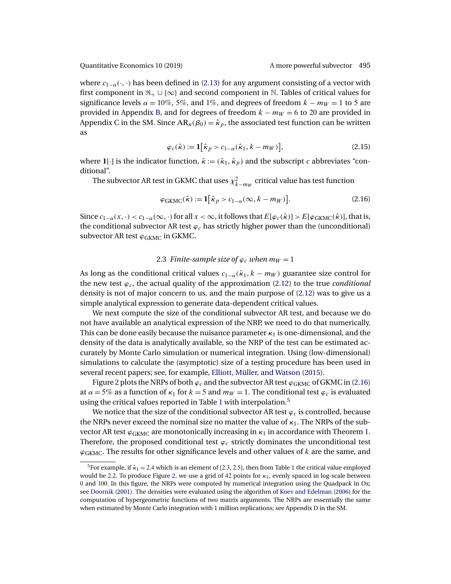<span id="page-9-0"></span>where  $c_{1-\alpha}(\cdot,\cdot)$  has been defined in [\(2.13\)](#page-8-0) for any argument consisting of a vector with first component in  $\mathfrak{R}_+ \cup \{\infty\}$  and second component in N. Tables of critical values for significance levels  $\alpha = 10\%$ , 5%, and 1%, and degrees of freedom  $k - m_W = 1$  to 5 are provided in Appendix [B,](#page-36-0) and for degrees of freedom  $k - m_W = 6$  to 20 are provided in Appendix C in the SM. Since  $AR_n(\beta_0) = \hat{\kappa}_p$ , the associated test function can be written as

$$
\varphi_c(\hat{\kappa}) := \mathbf{1} \big[ \hat{\kappa}_p > c_{1-\alpha}(\hat{\kappa}_1, k - m_W) \big],\tag{2.15}
$$

where **1**[·] is the indicator function,  $\hat{\kappa} := (\hat{\kappa}_1, \hat{\kappa}_p)$  and the subscript c abbreviates "conditional".

The subvector AR test in GKMC that uses  $\chi^2_{k-m_W}$  critical value has test function

$$
\varphi_{\text{GKMC}}(\hat{\kappa}) := \mathbf{1} \big[ \hat{\kappa}_p > c_{1-\alpha}(\infty, k - m_W) \big]. \tag{2.16}
$$

Since  $c_{1-\alpha}(x, \cdot) < c_{1-\alpha}(\infty, \cdot)$  for all  $x < \infty$ , it follows that  $E[\varphi_c(\hat{\kappa})] > E[\varphi_{\rm GKMC}(\hat{\kappa})]$ , that is, the conditional subvector AR test  $\varphi_c$  has strictly higher power than the (unconditional) subvector AR test  $\varphi_{\rm GKMC}$  in GKMC.

# 2.3 *Finite-sample size of*  $\varphi_c$  *when*  $m_W = 1$

As long as the conditional critical values  $c_{1-\alpha}(\hat{\kappa}_1, k - m_W)$  guarantee size control for the new test  $\varphi_c$ , the actual quality of the approximation [\(2.12\)](#page-7-0) to the true *conditional* density is not of major concern to us, and the main purpose of [\(2.12\)](#page-7-0) was to give us a simple analytical expression to generate data-dependent critical values.

We next compute the size of the conditional subvector AR test, and because we do not have available an analytical expression of the NRP, we need to do that numerically. This can be done easily because the nuisance parameter  $\kappa_1$  is one-dimensional, and the density of the data is analytically available, so the NRP of the test can be estimated accurately by Monte Carlo simulation or numerical integration. Using (low-dimensional) simulations to calculate the (asymptotic) size of a testing procedure has been used in several recent papers; see, for example, [Elliott, Müller, and Watson](#page-38-0) [\(2015\)](#page-38-0).

Figure [2](#page-10-0) plots the NRPs of both  $\varphi_c$  and the subvector AR test  $\varphi_{\rm GKMC}$  of GKMC in (2.16) at  $\alpha = 5\%$  as a function of  $\kappa_1$  for  $k = 5$  and  $m_W = 1$ . The conditional test  $\varphi_c$  is evaluated using the critical values reported in Table [1](#page-8-0) with interpolation.<sup>5</sup>

We notice that the size of the conditional subvector AR test  $\varphi_c$  is controlled, because the NRPs never exceed the nominal size no matter the value of  $\kappa_1$ . The NRPs of the subvector AR test  $\varphi_{\rm GKMC}$  are monotonically increasing in  $\kappa_1$  in accordance with Theorem [1.](#page-6-0) Therefore, the proposed conditional test  $\varphi_c$  strictly dominates the unconditional test  $\varphi_{\rm GKMC}$ . The results for other significance levels and other values of  $k$  are the same, and

<sup>&</sup>lt;sup>5</sup>For example, if  $\hat{\kappa}_1 = 2.4$  $\hat{\kappa}_1 = 2.4$  $\hat{\kappa}_1 = 2.4$  which is an element of [2.3, 2.5], then from Table 1 the critical value employed would be 2.2. To produce Figure [2,](#page-10-0) we use a grid of 42 points for  $\kappa_1$ , evenly spaced in log-scale between 0 and 100. In this figure, the NRPs were computed by numerical integration using the Quadpack in Ox; see [Doornik](#page-38-0) [\(2001\)](#page-38-0). The densities were evaluated using the algorithm of [Koev and Edelman](#page-39-0) [\(2006\)](#page-39-0) for the computation of hypergeometric functions of two matrix arguments. The NRPs are essentially the same when estimated by Monte Carlo integration with 1 million replications; see Appendix D in the SM.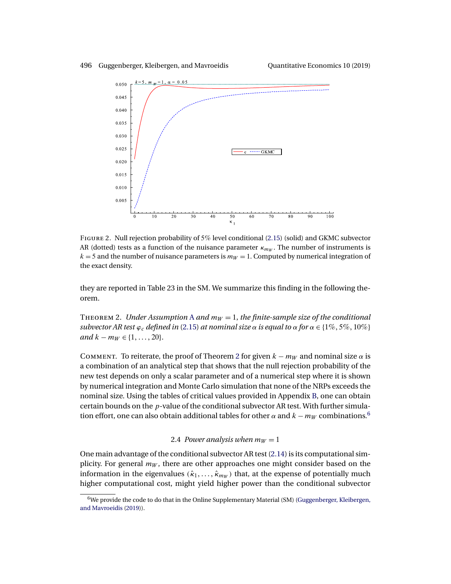<span id="page-10-0"></span>

Figure 2. Null rejection probability of 5% level conditional [\(2.15\)](#page-9-0) (solid) and GKMC subvector AR (dotted) tests as a function of the nuisance parameter  $\kappa_{mw}$ . The number of instruments is  $k = 5$  and the number of nuisance parameters is  $m_W = 1$ . Computed by numerical integration of the exact density.

they are reported in Table 23 in the SM. We summarize this finding in the following theorem.

THEOREM 2. *Under [A](#page-5-0)ssumption* A *and*  $m_W = 1$ , *the finite-sample size of the conditional subvector AR test*  $\varphi_c$  *defined in* [\(2.15\)](#page-9-0) *at nominal size*  $\alpha$  *is equal to*  $\alpha$  *for*  $\alpha \in \{1\%, 5\%, 10\%\}$ *and*  $k - m_W \in \{1, \ldots, 20\}.$ 

COMMENT. To reiterate, the proof of Theorem 2 for given  $k - m_W$  and nominal size  $\alpha$  is a combination of an analytical step that shows that the null rejection probability of the new test depends on only a scalar parameter and of a numerical step where it is shown by numerical integration and Monte Carlo simulation that none of the NRPs exceeds the nominal size. Using the tables of critical values provided in Appendix [B,](#page-36-0) one can obtain certain bounds on the  $p$ -value of the conditional subvector AR test. With further simulation effort, one can also obtain additional tables for other  $\alpha$  and  $k - m_W$  combinations.<sup>6</sup>

# 2.4 *Power analysis when*  $m_W = 1$

One main advantage of the conditional subvector AR test [\(2.14\)](#page-8-0) is its computational simplicity. For general  $m_W$ , there are other approaches one might consider based on the information in the eigenvalues ( $\hat{k}_1, \ldots, \hat{k}_{m_W}$ ) that, at the expense of potentially much higher computational cost, might yield higher power than the conditional subvector

 $6$ We provide the code to do that in the Online Supplementary Material (SM) [\(Guggenberger, Kleibergen,](#page-38-0) [and Mavroeidis](#page-38-0) [\(2019\)](#page-38-0)).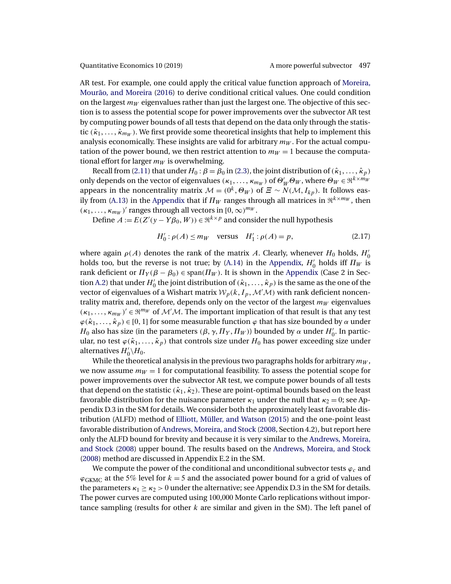<span id="page-11-0"></span>AR test. For example, one could apply the critical value function approach of [Moreira,](#page-39-0) [Mourão, and Moreira](#page-39-0) [\(2016\)](#page-39-0) to derive conditional critical values. One could condition on the largest  $m_W$  eigenvalues rather than just the largest one. The objective of this section is to assess the potential scope for power improvements over the subvector AR test by computing power bounds of all tests that depend on the data only through the statistic  $(\hat{\kappa}_1, \ldots, \hat{\kappa}_{m_W})$ . We first provide some theoretical insights that help to implement this analysis economically. These insights are valid for arbitrary  $m_W$ . For the actual computation of the power bound, we then restrict attention to  $m_W = 1$  because the computational effort for larger  $m_W$  is overwhelming.

Recall from [\(2.11\)](#page-6-0) that under  $H_0$  :  $\beta = \beta_0$  in [\(2.3\)](#page-5-0), the joint distribution of  $(\hat{\kappa}_1, \ldots, \hat{\kappa}_p)$ only depends on the vector of eigenvalues  $(\kappa_1,\ldots,\kappa_{m_W})$  of  $\Theta_W'\Theta_W$ , where  $\Theta_W\in\Re^{k\times m_W}$ appears in the noncentrality matrix  $M = (0^k, \Theta_W)$  of  $\Xi \sim N(M, I_{kp})$ . It follows eas-ily from [\(A.13\)](#page-25-0) in the [Appendix](#page-22-0) that if  $\Pi_W$  ranges through all matrices in  $\Re^{k \times m_W}$ , then  $(\kappa_1, \ldots, \kappa_{m_W})'$  ranges through all vectors in  $[0, \infty)^{m_W}$ .

Define  $A := E(Z'(y - Y\beta_0, W)) \in \Re^{k \times p}$  and consider the null hypothesis

$$
H'_0: \rho(A) \le m_W \quad \text{versus} \quad H'_1: \rho(A) = p,\tag{2.17}
$$

where again  $\rho(A)$  denotes the rank of the matrix A. Clearly, whenever  $H_0$  holds,  $H'_0$ holds too, but the reverse is not true; by [\(A.14\)](#page-25-0) in the [Appendix,](#page-22-0)  $H'_0$  holds iff  $\Pi_W$  is rank deficient or  $\Pi_Y(\beta - \beta_0) \in \text{span}(\Pi_W)$ . It is shown in the [Appendix](#page-22-0) (Case 2 in Sec-tion [A.2\)](#page-23-0) that under  $H'_0$  the joint distribution of  $(\hat{k}_1,\ldots,\hat{k}_p)$  is the same as the one of the vector of eigenvalues of a Wishart matrix  ${\mathcal W}_p(k, I_p, {\mathcal M} \backslash {\mathcal M})$  with rank deficient noncentrality matrix and, therefore, depends only on the vector of the largest  $m_W$  eigenvalues  $(\kappa_1,\ldots,\kappa_{m_W})' \in \mathfrak{R}^{m_W}$  of  $\mathcal{M}'\mathcal{M}$ . The important implication of that result is that any test  $\varphi(\hat{\kappa}_1,\ldots,\hat{\kappa}_p) \in [0,1]$  for some measurable function  $\varphi$  that has size bounded by  $\alpha$  under  $H_0$  also has size (in the parameters (β, γ,  $\Pi_Y$ ,  $\Pi_W$ )) bounded by α under  $H'_0$ . In particular, no test  $\varphi(\hat{\kappa}_1,\ldots,\hat{\kappa}_p)$  that controls size under  $H_0$  has power exceeding size under alternatives  $H_0'\backslash H_0$ .

While the theoretical analysis in the previous two paragraphs holds for arbitrary  $m_W$ , we now assume  $m_W = 1$  for computational feasibility. To assess the potential scope for power improvements over the subvector AR test, we compute power bounds of all tests that depend on the statistic  $(k_1, k_2)$ . These are point-optimal bounds based on the least favorable distribution for the nuisance parameter  $\kappa_1$  under the null that  $\kappa_2 = 0$ ; see Appendix D.3 in the SM for details. We consider both the approximately least favorable distribution (ALFD) method of [Elliott, Müller, and Watson](#page-38-0) [\(2015\)](#page-38-0) and the one-point least favorable distribution of [Andrews, Moreira, and Stock](#page-38-0) [\(2008,](#page-38-0) Section 4.2), but report here only the ALFD bound for brevity and because it is very similar to the [Andrews, Moreira,](#page-38-0) [and Stock](#page-38-0) [\(2008\)](#page-38-0) upper bound. The results based on the [Andrews, Moreira, and Stock](#page-38-0) [\(2008\)](#page-38-0) method are discussed in Appendix E.2 in the SM.

We compute the power of the conditional and unconditional subvector tests  $\varphi_c$  and  $\varphi_{\rm{GKMC}}$  at the 5% level for  $k = 5$  and the associated power bound for a grid of values of the parameters  $\kappa_1 \geq \kappa_2 > 0$  under the alternative; see Appendix D.3 in the SM for details. The power curves are computed using 100,000 Monte Carlo replications without importance sampling (results for other  $k$  are similar and given in the SM). The left panel of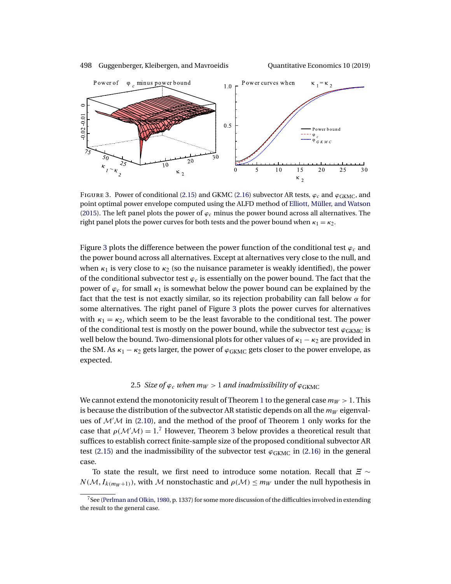<span id="page-12-0"></span>



FIGURE 3. Power of conditional [\(2.15\)](#page-9-0) and GKMC [\(2.16\)](#page-9-0) subvector AR tests,  $\varphi_c$  and  $\varphi_{\rm GKMC}$ , and point optimal power envelope computed using the ALFD method of [Elliott, Müller, and Watson](#page-38-0) [\(2015\)](#page-38-0). The left panel plots the power of  $\varphi_c$  minus the power bound across all alternatives. The right panel plots the power curves for both tests and the power bound when  $\kappa_1 = \kappa_2$ .

Figure 3 plots the difference between the power function of the conditional test  $\varphi_c$  and the power bound across all alternatives. Except at alternatives very close to the null, and when  $\kappa_1$  is very close to  $\kappa_2$  (so the nuisance parameter is weakly identified), the power of the conditional subvector test  $\varphi_c$  is essentially on the power bound. The fact that the power of  $\varphi_c$  for small  $\kappa_1$  is somewhat below the power bound can be explained by the fact that the test is not exactly similar, so its rejection probability can fall below  $\alpha$  for some alternatives. The right panel of Figure 3 plots the power curves for alternatives with  $\kappa_1 = \kappa_2$ , which seem to be the least favorable to the conditional test. The power of the conditional test is mostly on the power bound, while the subvector test  $\varphi_{\rm GKMC}$  is well below the bound. Two-dimensional plots for other values of  $\kappa_1 - \kappa_2$  are provided in the SM. As  $\kappa_1 - \kappa_2$  gets larger, the power of  $\varphi_{\rm GKMC}$  gets closer to the power envelope, as expected.

# 2.5 *Size of*  $\varphi_c$  *when*  $m_W > 1$  *and inadmissibility of*  $\varphi_{\rm{GKMC}}$

We cannot extend the monotonicity result of Theorem [1](#page-6-0) to the general case  $m_W > 1$ . This is because the distribution of the subvector AR statistic depends on all the  $m_W$  eigenvalues of  $\mathcal{M}'\mathcal{M}$  in [\(2.10\)](#page-6-0), and the method of the proof of Theorem [1](#page-6-0) only works for the case that  $\rho(M/M) = 1$ .<sup>7</sup> However, Theorem [3](#page-13-0) below provides a theoretical result that suffices to establish correct finite-sample size of the proposed conditional subvector AR test [\(2.15\)](#page-9-0) and the inadmissibility of the subvector test  $\varphi_{\rm GKMC}$  in [\(2.16\)](#page-9-0) in the general case.

To state the result, we first need to introduce some notation. Recall that  $\Xi \sim$  $N(\mathcal{M}, I_{k(m_W+1)})$ , with M nonstochastic and  $\rho(\mathcal{M}) \le m_W$  under the null hypothesis in

 $7$ See [\(Perlman and Olkin,](#page-40-0) [1980,](#page-40-0) p. 1337) for some more discussion of the difficulties involved in extending the result to the general case.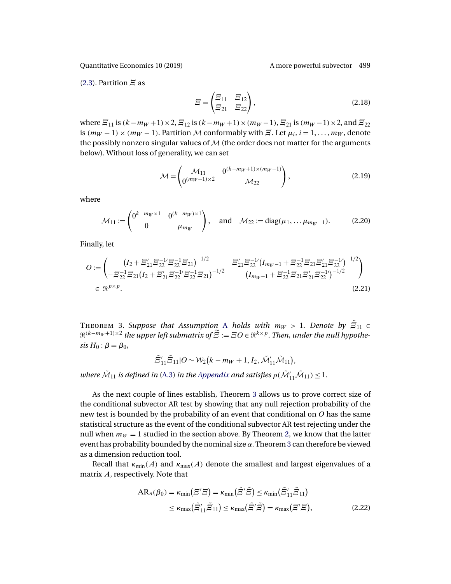<span id="page-13-0"></span>

[\(2.3\)](#page-5-0). Partition  $\Xi$  as

$$
\widetilde{E} = \begin{pmatrix} \widetilde{E}_{11} & \widetilde{E}_{12} \\ \widetilde{E}_{21} & \widetilde{E}_{22} \end{pmatrix},
$$
\n(2.18)

where  $\Xi_{11}$  is  $(k-m_W+1)\times 2$ ,  $\Xi_{12}$  is  $(k-m_W+1)\times (m_W-1)$ ,  $\Xi_{21}$  is  $(m_W-1)\times 2$ , and  $\Xi_{22}$ is  $(m_W - 1) \times (m_W - 1)$ . Partition M conformably with  $\Xi$ . Let  $\mu_i$ ,  $i = 1, \ldots, m_W$ , denote the possibly nonzero singular values of  $M$  (the order does not matter for the arguments below). Without loss of generality, we can set

$$
\mathcal{M} = \begin{pmatrix} \mathcal{M}_{11} & 0^{(k-m_W+1)\times(m_W-1)} \\ 0^{(m_W-1)\times 2} & \mathcal{M}_{22} \end{pmatrix},
$$
 (2.19)

where

$$
\mathcal{M}_{11} := \begin{pmatrix} 0^{k - m_W \times 1} & 0^{(k - m_W) \times 1} \\ 0 & \mu_{m_W} \end{pmatrix}, \text{ and } \mathcal{M}_{22} := \text{diag}(\mu_1, \dots, \mu_{m_W - 1}).
$$
 (2.20)

Finally, let

$$
O := \begin{pmatrix} (I_2 + \Xi_{21}'\Xi_{22}^{-1}\Xi_{21})^{-1/2} & \Xi_{21}'\Xi_{22}^{-1}(I_{m_W-1} + \Xi_{22}^{-1}\Xi_{21}\Xi_{21}'\Xi_{22}^{-1})^{-1/2} \\ -\Xi_{22}^{-1}\Xi_{21}(I_2 + \Xi_{21}'\Xi_{22}'\Xi_{22}'\Xi_{21})^{-1/2} & (I_{m_W-1} + \Xi_{22}^{-1}\Xi_{21}\Xi_{21}'\Xi_{22}'^{-1})^{-1/2} \\ \in \mathfrak{R}^{p \times p}.\end{pmatrix}
$$
\n(2.21)

THEOREM 3. *Suppose that [A](#page-5-0)ssumption* A *holds with m* $_W$  > 1. *Denote by*  $\tilde{\varXi}_{11}$   $\in$  $\mathbb{R}^{(k-m_W+1)\times 2}$  the upper left submatrix of  $\widetilde{\Xi} := \Xi O \in \mathbb{R}^{k\times p}$ . Then, under the null hypothe $sis H_0$ :  $\beta = \beta_0$ ,

$$
\tilde{\Xi}_{11}'\tilde{\Xi}_{11}|O \sim \mathcal{W}_2(k-m_W+1,I_2,\tilde{\mathcal{M}}'_{11}\tilde{\mathcal{M}}_{11}),
$$

where  $\tilde{\mathcal{M}}_{11}$  is defined in [\(A.3\)](#page-23-0) in the [Appendix](#page-22-0) and satisfies  $\rho(\tilde{\mathcal{M}}'_{11}\tilde{\mathcal{M}}_{11})\leq 1.$ 

As the next couple of lines establish, Theorem 3 allows us to prove correct size of the conditional subvector AR test by showing that any null rejection probability of the new test is bounded by the probability of an event that conditional on O has the same statistical structure as the event of the conditional subvector AR test rejecting under the null when  $m_W = 1$  studied in the section above. By Theorem [2,](#page-10-0) we know that the latter event has probability bounded by the nominal size  $\alpha$ . Theorem 3 can therefore be viewed as a dimension reduction tool.

Recall that  $\kappa_{\min}(A)$  and  $\kappa_{\max}(A)$  denote the smallest and largest eigenvalues of a matrix A, respectively. Note that

$$
AR_n(\beta_0) = \kappa_{\min}(\Xi'\Xi) = \kappa_{\min}(\tilde{\Xi}'\tilde{\Xi}) \le \kappa_{\min}(\tilde{\Xi}'_{11}\tilde{\Xi}_{11})
$$
  

$$
\le \kappa_{\max}(\tilde{\Xi}'_{11}\tilde{\Xi}_{11}) \le \kappa_{\max}(\tilde{\Xi}'\tilde{\Xi}) = \kappa_{\max}(\Xi'\Xi),
$$
 (2.22)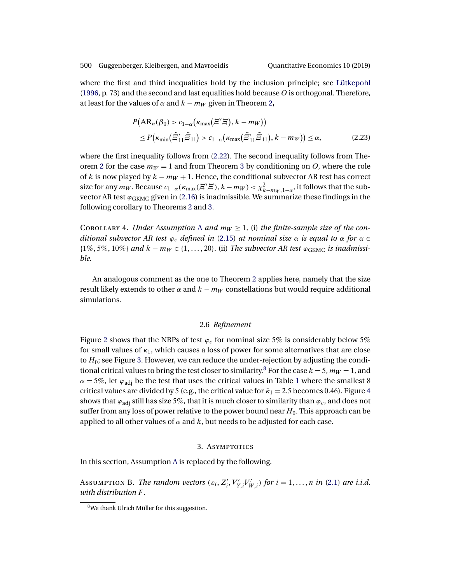<span id="page-14-0"></span>where the first and third inequalities hold by the inclusion principle; see [Lütkepohl](#page-39-0) [\(1996,](#page-39-0) p. 73) and the second and last equalities hold because  $O$  is orthogonal. Therefore, at least for the values of  $\alpha$  and  $k - m_W$  given in Theorem [2](#page-10-0),

$$
P\big(\text{AR}_n(\beta_0) > c_{1-\alpha}(\kappa_{\text{max}}(\Xi'\Xi), k - m_W)\big) \\
\leq P\big(\kappa_{\text{min}}(\tilde{\Xi}'_{11}\tilde{\Xi}_{11}) > c_{1-\alpha}(\kappa_{\text{max}}(\tilde{\Xi}'_{11}\tilde{\Xi}_{11}), k - m_W)\big) \leq \alpha,\n\tag{2.23}
$$

where the first inequality follows from [\(2.22\)](#page-13-0). The second inequality follows from The-orem [2](#page-10-0) for the case  $m_W = 1$  and from Theorem [3](#page-13-0) by conditioning on O, where the role of k is now played by  $k - m_W + 1$ . Hence, the conditional subvector AR test has correct size for any  $m_W$ . Because  $c_{1-\alpha}(\kappa_{\max}(\Xi'\Xi), k-m_W) < \chi^2_{k-m_W,1-\alpha}$ , it follows that the subvector AR test  $\varphi_{GKMC}$  given in [\(2.16\)](#page-9-0) is inadmissible. We summarize these findings in the following corollary to Theorems [2](#page-10-0) and [3.](#page-13-0)

COROLL[A](#page-5-0)RY 4. *Under Assumption A and*  $m_W \geq 1$ , (i) the finite-sample size of the con*ditional subvector AR test*  $\varphi_c$  *defined in* [\(2.15\)](#page-9-0) *at nominal size*  $\alpha$  *is equal to*  $\alpha$  *for*  $\alpha \in$ {1% 5% 10%} *and* k − mW ∈ {1 20}. (ii) *The subvector AR test* ϕGKMC *is inadmissible*.

An analogous comment as the one to Theorem [2](#page-10-0) applies here, namely that the size result likely extends to other  $\alpha$  and  $k - m_W$  constellations but would require additional simulations.

### 2.6 *Refinement*

Figure [2](#page-10-0) shows that the NRPs of test  $\varphi_c$  for nominal size 5% is considerably below 5% for small values of  $\kappa_1$ , which causes a loss of power for some alternatives that are close to  $H_0$ ; see Figure [3.](#page-12-0) However, we can reduce the under-rejection by adjusting the conditional critical values to bring the test closer to similarity.<sup>8</sup> For the case  $k = 5$ ,  $m_W = 1$ , and  $\alpha = 5\%$ , let  $\varphi_{\text{adj}}$  be the test that uses the critical values in Table [1](#page-8-0) where the smallest 8 critical values are divided by 5 (e.g., the critical value for  $\hat{\kappa}_1 = 2.5$  becomes 0.[4](#page-15-0)6). Figure 4 shows that  $\varphi_{\text{adj}}$  still has size 5%, that it is much closer to similarity than  $\varphi_c$ , and does not suffer from any loss of power relative to the power bound near  $H_0$ . This approach can be applied to all other values of  $\alpha$  and  $k$ , but needs to be adjusted for each case.

### 3. ASYMPTOTICS

In this section, Assumption [A](#page-5-0) is replaced by the following.

Assumption B. *The random vectors*  $(\varepsilon_i, Z'_i, V'_{Y,i}V'_{W,i})$  *for*  $i = 1, ..., n$  *in* [\(2.1\)](#page-4-0) *are i.i.d. with distribution* F.

<sup>&</sup>lt;sup>8</sup>We thank Ulrich Müller for this suggestion.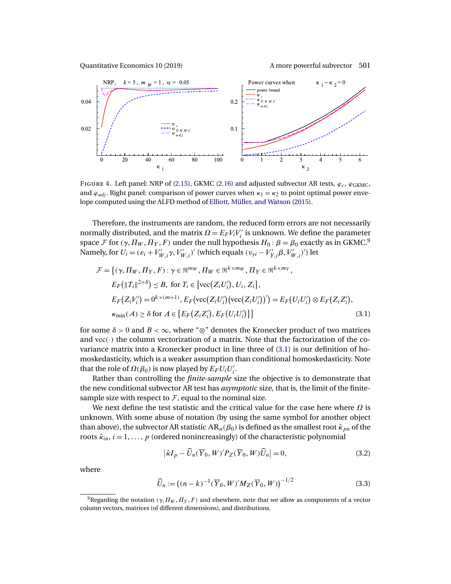<span id="page-15-0"></span>

FIGURE 4. Left panel: NRP of [\(2.15\)](#page-9-0), GKMC [\(2.16\)](#page-9-0) and adjusted subvector AR tests,  $\varphi_c$ ,  $\varphi_{\text{GKMC}}$ , and  $\varphi_{adj}$ . Right panel: comparison of power curves when  $\kappa_1 = \kappa_2$  to point optimal power envelope computed using the ALFD method of [Elliott, Müller, and Watson](#page-38-0) [\(2015\)](#page-38-0).

Therefore, the instruments are random, the reduced form errors are not necessarily normally distributed, and the matrix  $\Omega = E_F V_i V'_i$  is unknown. We define the parameter space F for  $(\gamma, \Pi_W, \Pi_Y, F)$  under the null hypothesis  $H_0 : \beta = \beta_0$  exactly as in GKMC.<sup>9</sup> Namely, for  $U_i = (\varepsilon_i + V'_{W,i} \gamma, V'_{W,i})'$  (which equals  $(v_{yi} - V'_{Y,i} \beta, V'_{W,i})'$ ) let

$$
\mathcal{F} = \{ (\gamma, \Pi_W, \Pi_Y, F) : \gamma \in \mathbb{R}^{m_W}, \Pi_W \in \mathbb{R}^{k \times m_W}, \Pi_Y \in \mathbb{R}^{k \times m_Y},
$$
\n
$$
E_F(\|T_i\|^{2+\delta}) \leq B, \text{ for } T_i \in \{ \text{vec}(Z_i U_i'), U_i, Z_i \},
$$
\n
$$
E_F(Z_i V_i') = 0^{k \times (m+1)}, E_F(\text{vec}(Z_i U_i') (\text{vec}(Z_i U_i'))') = E_F(U_i U_i') \otimes E_F(Z_i Z_i'),
$$
\n
$$
\kappa_{\min}(A) \geq \delta \text{ for } A \in \{ E_F(Z_i Z_i'), E_F(U_i U_i') \} \}
$$
\n(3.1)

for some  $\delta > 0$  and  $B < \infty$ , where "⊗" denotes the Kronecker product of two matrices and  $\text{vec}(\cdot)$  the column vectorization of a matrix. Note that the factorization of the covariance matrix into a Kronecker product in line three of (3.1) is our definition of homoskedasticity, which is a weaker assumption than conditional homoskedasticity. Note that the role of  $\Omega(\beta_0)$  is now played by  $E_F U_i U'_i$ .

Rather than controlling the *finite-sample* size the objective is to demonstrate that the new conditional subvector AR test has *asymptotic* size, that is, the limit of the finitesample size with respect to  $F$ , equal to the nominal size.

We next define the test statistic and the critical value for the case here where  $\Omega$  is unknown. With some abuse of notation (by using the same symbol for another object than above), the subvector AR statistic  $AR_n(\beta_0)$  is defined as the smallest root  $\hat{\kappa}_{pn}$  of the roots  $\hat{\kappa}_{in}$ ,  $i = 1, \ldots, p$  (ordered nonincreasingly) of the characteristic polynomial

$$
\left|\hat{\kappa}I_p - \widehat{U}_n(\overline{Y}_0, W)'P_Z(\overline{Y}_0, W)\widehat{U}_n\right| = 0, \tag{3.2}
$$

where

$$
\widehat{U}_n := ((n-k)^{-1}(\overline{Y}_0, W)'M_Z(\overline{Y}_0, W))^{-1/2}
$$
\n(3.3)

<sup>&</sup>lt;sup>9</sup>Regarding the notation ( $\gamma$ ,  $\Pi_W$ ,  $\Pi_Y$ , F) and elsewhere, note that we allow as components of a vector column vectors, matrices (of different dimensions), and distributions.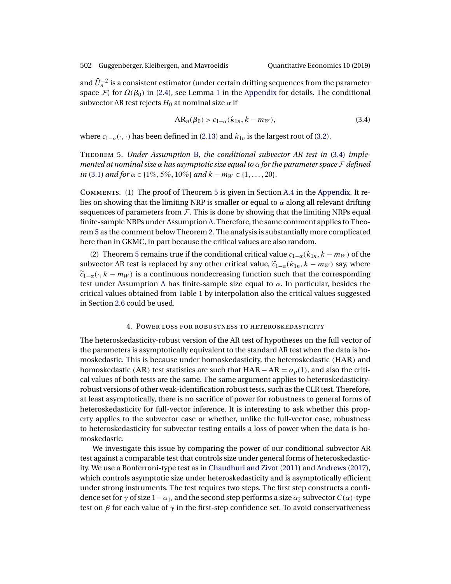<span id="page-16-0"></span>and  $\widehat{U}_n^{-2}$  is a consistent estimator (under certain drifting sequences from the parameter space F) for  $\Omega(\beta_0)$  in [\(2.4\)](#page-5-0), see Lemma [1](#page-30-0) in the [Appendix](#page-22-0) for details. The conditional subvector AR test rejects  $H_0$  at nominal size  $\alpha$  if

$$
AR_n(\beta_0) > c_{1-\alpha}(\hat{\kappa}_{1n}, k - m_W),
$$
\n(3.4)

where  $c_{1-\alpha}(\cdot, \cdot)$  has been defined in [\(2.13\)](#page-8-0) and  $\hat{\kappa}_{1n}$  is the largest root of [\(3.2\)](#page-15-0).

Theorem 5. *Under Assumption* [B,](#page-14-0) *the conditional subvector AR test in* (3.4) *implemented at nominal size* α *has asymptotic size equal to* α *for the parameter space* F *defined in* [\(3.1\)](#page-15-0) *and for*  $\alpha \in \{1\%, 5\%, 10\%\}$  *and*  $k - m_W \in \{1, \dots, 20\}.$ 

Comments. (1) The proof of Theorem 5 is given in Section [A.4](#page-27-0) in the [Appendix.](#page-22-0) It relies on showing that the limiting NRP is smaller or equal to  $\alpha$  along all relevant drifting sequences of parameters from  $\mathcal F$ . This is done by showing that the limiting NRPs equal finite-sample NRPs under Assumption [A.](#page-5-0) Therefore, the same comment applies to Theorem 5 as the comment below Theorem [2.](#page-10-0) The analysis is substantially more complicated here than in GKMC, in part because the critical values are also random.

(2) Theorem 5 remains true if the conditional critical value  $c_{1-\alpha}(\hat{k}_{1n}, k - m_W)$  of the subvector AR test is replaced by any other critical value,  $\tilde{c}_{1-\alpha}(\hat{\kappa}_{1n}, k - m_W)$  say, where  $\tilde{c}_{1-\alpha}$ ( $\cdot$ , k – m<sub>W</sub>) is a continuous nondecreasing function such that the corresponding test under [A](#page-5-0)ssumption A has finite-sample size equal to  $\alpha$ . In particular, besides the critical values obtained from Table 1 by interpolation also the critical values suggested in Section [2.6](#page-14-0) could be used.

# 4. Power loss for robustness to heteroskedasticity

The heteroskedasticity-robust version of the AR test of hypotheses on the full vector of the parameters is asymptotically equivalent to the standard AR test when the data is homoskedastic. This is because under homoskedasticity, the heteroskedastic (HAR) and homoskedastic (AR) test statistics are such that  $HAR-AR = o_p(1)$ , and also the critical values of both tests are the same. The same argument applies to heteroskedasticityrobust versions of other weak-identification robust tests, such as the CLR test. Therefore, at least asymptotically, there is no sacrifice of power for robustness to general forms of heteroskedasticity for full-vector inference. It is interesting to ask whether this property applies to the subvector case or whether, unlike the full-vector case, robustness to heteroskedasticity for subvector testing entails a loss of power when the data is homoskedastic.

We investigate this issue by comparing the power of our conditional subvector AR test against a comparable test that controls size under general forms of heteroskedasticity. We use a Bonferroni-type test as in [Chaudhuri and Zivot](#page-38-0) [\(2011\)](#page-38-0) and [Andrews](#page-37-0) [\(2017\)](#page-37-0), which controls asymptotic size under heteroskedasticity and is asymptotically efficient under strong instruments. The test requires two steps. The first step constructs a confidence set for  $\gamma$  of size  $1-\alpha_1$ , and the second step performs a size  $\alpha_2$  subvector  $C(\alpha)$ -type test on  $\beta$  for each value of  $\gamma$  in the first-step confidence set. To avoid conservativeness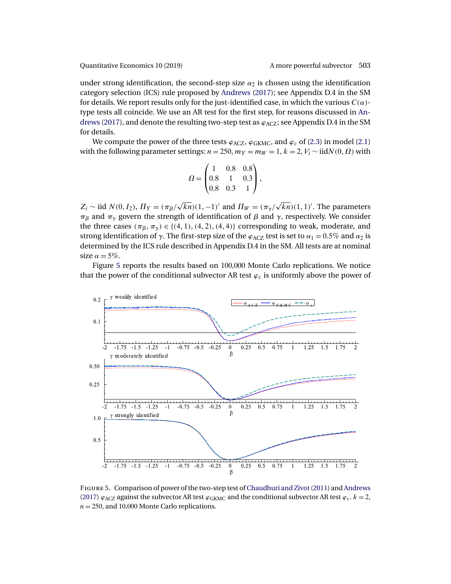<span id="page-17-0"></span>under strong identification, the second-step size  $\alpha_2$  is chosen using the identification category selection (ICS) rule proposed by [Andrews](#page-37-0) [\(2017\)](#page-37-0); see Appendix D.4 in the SM for details. We report results only for the just-identified case, in which the various  $C(\alpha)$ type tests all coincide. We use an AR test for the first step, for reasons discussed in [An](#page-37-0)[drews](#page-37-0) [\(2017\)](#page-37-0), and denote the resulting two-step test as  $\varphi_{\rm ACZ}$ ; see Appendix D.4 in the SM for details.

We compute the power of the three tests  $\varphi_{\text{ACZ}}$ ,  $\varphi_{\text{GKMC}}$ , and  $\varphi_c$  of [\(2.3\)](#page-5-0) in model [\(2.1\)](#page-4-0) with the following parameter settings:  $n = 250$ ,  $m_Y = m_W = 1$ ,  $k = 2$ ,  $V_i \sim \text{iidN}(0, \Omega)$  with

$$
\Omega = \begin{pmatrix} 1 & 0.8 & 0.8 \\ 0.8 & 1 & 0.3 \\ 0.8 & 0.3 & 1 \end{pmatrix},
$$

 $Z_i \sim$  iid  $N(0, I_2)$ ,  $\Pi_Y = (\pi_\beta)$  $\sqrt{kn}$ )(1, -1)' and  $\Pi_W = (\pi_\gamma)$  $\sqrt{kn}$ )(1, 1)'. The parameters  $\pi_\beta$  and  $\pi_\gamma$  govern the strength of identification of  $\beta$  and  $\gamma$ , respectively. We consider the three cases  $(\pi_{\beta}, \pi_{\gamma}) \in \{(4, 1), (4, 2), (4, 4)\}$  corresponding to weak, moderate, and strong identification of  $\gamma$ . The first-step size of the  $\varphi_{ACZ}$  test is set to  $\alpha_1 = 0.5\%$  and  $\alpha_2$  is determined by the ICS rule described in Appendix D.4 in the SM. All tests are at nominal size  $\alpha = 5\%$ .

Figure 5 reports the results based on 100,000 Monte Carlo replications. We notice that the power of the conditional subvector AR test  $\varphi_c$  is uniformly above the power of



Figure 5. Comparison of power of the two-step test of [Chaudhuri and Zivot\(2011\)](#page-38-0) and [Andrews](#page-37-0) [\(2017\)](#page-37-0)  $\varphi_{\text{ACZ}}$  against the subvector AR test  $\varphi_{\text{GKMC}}$  and the conditional subvector AR test  $\varphi_c$ .  $k = 2$ ,  $n = 250$ , and 10,000 Monte Carlo replications.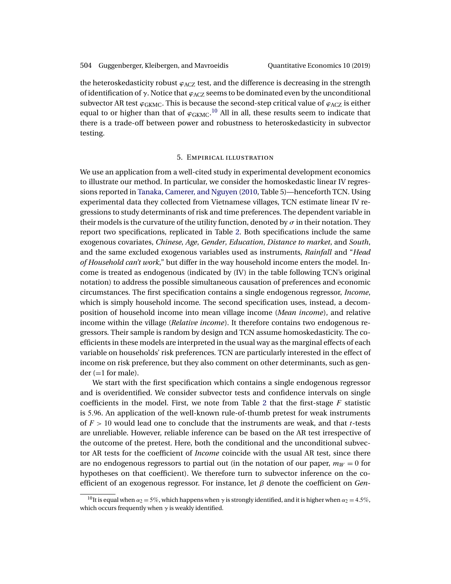<span id="page-18-0"></span>the heteroskedasticity robust  $\varphi_{ACZ}$  test, and the difference is decreasing in the strength of identification of  $\gamma$ . Notice that  $\varphi_{\rm ACZ}$  seems to be dominated even by the unconditional subvector AR test  $\varphi_{\rm GKMC}$ . This is because the second-step critical value of  $\varphi_{\rm ACZ}$  is either equal to or higher than that of  $\varphi_{GKMC}$ .<sup>10</sup> All in all, these results seem to indicate that there is a trade-off between power and robustness to heteroskedasticity in subvector testing.

### 5. Empirical illustration

We use an application from a well-cited study in experimental development economics to illustrate our method. In particular, we consider the homoskedastic linear IV regressions reported in [Tanaka, Camerer, and Nguyen](#page-40-0) [\(2010,](#page-40-0) Table 5)—henceforth TCN. Using experimental data they collected from Vietnamese villages, TCN estimate linear IV regressions to study determinants of risk and time preferences. The dependent variable in their models is the curvature of the utility function, denoted by  $\sigma$  in their notation. They report two specifications, replicated in Table [2.](#page-19-0) Both specifications include the same exogenous covariates, *Chinese*, *Age*, *Gender*, *Education*, *Distance to market*, and *South*, and the same excluded exogenous variables used as instruments, *Rainfall* and "*Head of Household can't work*," but differ in the way household income enters the model. Income is treated as endogenous (indicated by (IV) in the table following TCN's original notation) to address the possible simultaneous causation of preferences and economic circumstances. The first specification contains a single endogenous regressor, *Income*, which is simply household income. The second specification uses, instead, a decomposition of household income into mean village income (*Mean income*), and relative income within the village (*Relative income*). It therefore contains two endogenous regressors. Their sample is random by design and TCN assume homoskedasticity. The coefficients in these models are interpreted in the usual way as the marginal effects of each variable on households' risk preferences. TCN are particularly interested in the effect of income on risk preference, but they also comment on other determinants, such as gender  $(=1$  for male).

We start with the first specification which contains a single endogenous regressor and is overidentified. We consider subvector tests and confidence intervals on single coefficients in the model. First, we note from Table [2](#page-19-0) that the first-stage  $F$  statistic is 596. An application of the well-known rule-of-thumb pretest for weak instruments of  $F > 10$  would lead one to conclude that the instruments are weak, and that t-tests are unreliable. However, reliable inference can be based on the AR test irrespective of the outcome of the pretest. Here, both the conditional and the unconditional subvector AR tests for the coefficient of *Income* coincide with the usual AR test, since there are no endogenous regressors to partial out (in the notation of our paper,  $m_W = 0$  for hypotheses on that coefficient). We therefore turn to subvector inference on the coefficient of an exogenous regressor. For instance, let β denote the coefficient on *Gen-*

<sup>&</sup>lt;sup>10</sup>It is equal when  $\alpha_2 = 5\%$ , which happens when  $\gamma$  is strongly identified, and it is higher when  $\alpha_2 = 4.5\%$ , which occurs frequently when  $\gamma$  is weakly identified.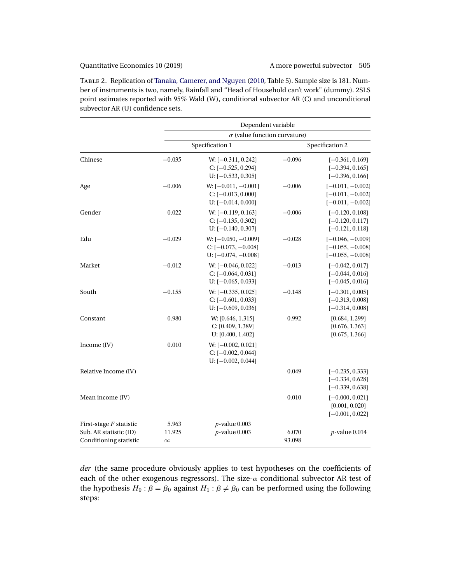<span id="page-19-0"></span>Table 2. Replication of [Tanaka, Camerer, and Nguyen](#page-40-0) [\(2010,](#page-40-0) Table 5). Sample size is 181. Number of instruments is two, namely, Rainfall and "Head of Household can't work" (dummy). 2SLS point estimates reported with 95% Wald (W), conditional subvector AR (C) and unconditional subvector AR (U) confidence sets.

|                                                                               |                             | Dependent variable                                                      |                 |                                                                |  |  |
|-------------------------------------------------------------------------------|-----------------------------|-------------------------------------------------------------------------|-----------------|----------------------------------------------------------------|--|--|
|                                                                               |                             | $\sigma$ (value function curvature)                                     |                 |                                                                |  |  |
|                                                                               |                             | Specification 1                                                         |                 | Specification 2                                                |  |  |
| Chinese                                                                       | $-0.035$                    | $W: [-0.311, 0.242]$<br>$C: [-0.525, 0.294]$<br>$U: [-0.533, 0.305]$    | $-0.096$        | $[-0.361, 0.169]$<br>$[-0.394, 0.165]$<br>$[-0.396, 0.166]$    |  |  |
| Age                                                                           | $-0.006$                    | W: $[-0.011, -0.001]$<br>$C: [-0.013, 0.000]$<br>$U: [-0.014, 0.000]$   | $-0.006$        | $[-0.011, -0.002]$<br>$[-0.011, -0.002]$<br>$[-0.011, -0.002]$ |  |  |
| Gender                                                                        | 0.022                       | $W: [-0.119, 0.163]$<br>$C: [-0.135, 0.302]$<br>$U: [-0.140, 0.307]$    | $-0.006$        | $[-0.120, 0.108]$<br>$[-0.120, 0.117]$<br>$[-0.121, 0.118]$    |  |  |
| Edu                                                                           | $-0.029$                    | W: $[-0.050, -0.009]$<br>C: $[-0.073, -0.008]$<br>$U: [-0.074, -0.008]$ | $-0.028$        | $[-0.046, -0.009]$<br>$[-0.055, -0.008]$<br>$[-0.055, -0.008]$ |  |  |
| Market                                                                        | $-0.012$                    | $W: [-0.046, 0.022]$<br>$C: [-0.064, 0.031]$<br>$U: [-0.065, 0.033]$    | $-0.013$        | $[-0.042, 0.017]$<br>$[-0.044, 0.016]$<br>$[-0.045, 0.016]$    |  |  |
| South                                                                         | $-0.155$                    | W: $[-0.335, 0.025]$<br>$C: [-0.601, 0.033]$<br>$U: [-0.609, 0.036]$    | $-0.148$        | $[-0.301, 0.005]$<br>$[-0.313, 0.008]$<br>$[-0.314, 0.008]$    |  |  |
| Constant                                                                      | 0.980                       | W: [0.646, 1.315]<br>C: [0.409, 1.389]<br>U: [0.400, 1.402]             | 0.992           | [0.684, 1.299]<br>[0.676, 1.363]<br>[0.675, 1.366]             |  |  |
| Income (IV)                                                                   | 0.010                       | $W: [-0.002, 0.021]$<br>$C: [-0.002, 0.044]$<br>$U: [-0.002, 0.044]$    |                 |                                                                |  |  |
| Relative Income (IV)                                                          |                             |                                                                         | 0.049           | $[-0.235, 0.333]$<br>$[-0.334, 0.628]$<br>$[-0.339, 0.638]$    |  |  |
| Mean income (IV)                                                              |                             |                                                                         | 0.010           | $[-0.000, 0.021]$<br>[0.001, 0.020]<br>$[-0.001, 0.022]$       |  |  |
| First-stage $F$ statistic<br>Sub. AR statistic (ID)<br>Conditioning statistic | 5.963<br>11.925<br>$\infty$ | $p$ -value $0.003$<br>$p$ -value 0.003                                  | 6.070<br>93.098 | $p$ -value 0.014                                               |  |  |

*der* (the same procedure obviously applies to test hypotheses on the coefficients of each of the other exogenous regressors). The size- $\alpha$  conditional subvector AR test of the hypothesis  $H_0$ :  $\beta = \beta_0$  against  $H_1$ :  $\beta \neq \beta_0$  can be performed using the following steps: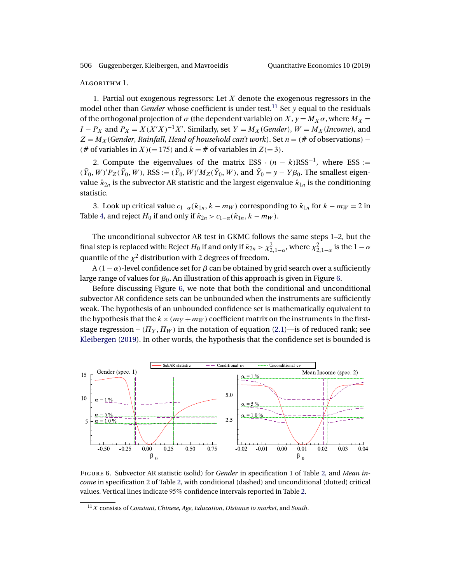<span id="page-20-0"></span>ALGORITHM 1.

1. Partial out exogenous regressors: Let  $X$  denote the exogenous regressors in the model other than *Gender* whose coefficient is under test.<sup>11</sup> Set y equal to the residuals of the orthogonal projection of  $\sigma$  (the dependent variable) on X,  $y = M_X \sigma$ , where  $M_X =$  $I - P_X$  and  $P_X = X(X'X)^{-1}X'$ . Similarly, set  $Y = M_X(Gender)$ ,  $W = M_X(Income)$ , and  $Z = M_X$  (*Gender, Rainfall, Head of household can't work*). Set  $n = \ell \#$  of observations) – (# of variables in X)(= 175) and  $k =$  # of variables in Z(= 3).

2. Compute the eigenvalues of the matrix ESS  $\cdot (n - k)$ RSS<sup>-1</sup>, where ESS :=  $(\bar{Y}_0, W)'P_Z(\bar{Y}_0, W)$ , RSS :=  $(\bar{Y}_0, W)'M_Z(\bar{Y}_0, W)$ , and  $\bar{Y}_0 = y - Y\beta_0$ . The smallest eigenvalue  $\hat{\kappa}_{2n}$  is the subvector AR statistic and the largest eigenvalue  $\hat{\kappa}_{1n}$  is the conditioning statistic.

3. Look up critical value  $c_{1-\alpha}(\hat{\kappa}_{1n}, k - m_W)$  corresponding to  $\hat{\kappa}_{1n}$  for  $k - m_W = 2$  in Table [4,](#page-34-0) and reject  $H_0$  if and only if  $\hat{\kappa}_{2n} > c_{1-\alpha}(\hat{\kappa}_{1n}, k - m_W)$ .

The unconditional subvector AR test in GKMC follows the same steps 1–2, but the final step is replaced with: Reject  $H_0$  if and only if  $\hat\kappa_{2n}>\chi^2_{2,1-\alpha}$ , where  $\chi^2_{2,1-\alpha}$  is the  $1-\alpha$ quantile of the  $\chi^2$  distribution with 2 degrees of freedom.

A  $(1 - \alpha)$ -level confidence set for  $\beta$  can be obtained by grid search over a sufficiently large range of values for  $\beta_0$ . An illustration of this approach is given in Figure 6.

Before discussing Figure 6, we note that both the conditional and unconditional subvector AR confidence sets can be unbounded when the instruments are sufficiently weak. The hypothesis of an unbounded confidence set is mathematically equivalent to the hypothesis that the  $k \times (m_Y + m_W)$  coefficient matrix on the instruments in the firststage regression –  $(\Pi_Y, \Pi_W)$  in the notation of equation [\(2.1\)](#page-4-0)—is of reduced rank; see [Kleibergen](#page-39-0) [\(2019\)](#page-39-0). In other words, the hypothesis that the confidence set is bounded is



Figure 6. Subvector AR statistic (solid) for *Gender* in specification 1 of Table [2,](#page-19-0) and *Mean income* in specification 2 of Table [2,](#page-19-0) with conditional (dashed) and unconditional (dotted) critical values. Vertical lines indicate 95% confidence intervals reported in Table [2.](#page-19-0)

<sup>11</sup>X consists of *Constant, Chinese*, *Age*, *Education*, *Distance to market*, and *South*.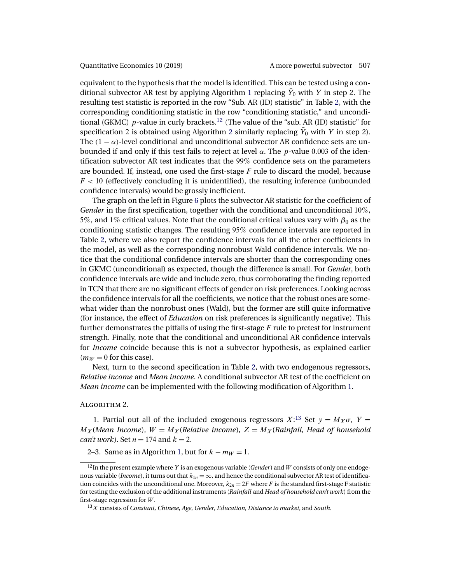equivalent to the hypothesis that the model is identified. This can be tested using a con-ditional subvector AR test by applying Algorithm [1](#page-19-0) replacing  $\bar{Y}_0$  with Y in step 2. The resulting test statistic is reported in the row "Sub. AR (ID) statistic" in Table [2,](#page-19-0) with the corresponding conditioning statistic in the row "conditioning statistic," and unconditional (GKMC) p-value in curly brackets.<sup>12</sup> (The value of the "sub. AR (ID) statistic" for specification 2 is obtained using Algorithm 2 similarly replacing  $\bar{Y}_0$  with  $Y$  in step 2). The  $(1 - \alpha)$ -level conditional and unconditional subvector AR confidence sets are unbounded if and only if this test fails to reject at level  $\alpha$ . The p-value 0.003 of the identification subvector AR test indicates that the 99% confidence sets on the parameters are bounded. If, instead, one used the first-stage  $F$  rule to discard the model, because  $F < 10$  (effectively concluding it is unidentified), the resulting inference (unbounded confidence intervals) would be grossly inefficient.

The graph on the left in Figure [6](#page-20-0) plots the subvector AR statistic for the coefficient of *Gender* in the first specification, together with the conditional and unconditional 10%, 5%, and 1% critical values. Note that the conditional critical values vary with  $\beta_0$  as the conditioning statistic changes. The resulting 95% confidence intervals are reported in Table [2,](#page-19-0) where we also report the confidence intervals for all the other coefficients in the model, as well as the corresponding nonrobust Wald confidence intervals. We notice that the conditional confidence intervals are shorter than the corresponding ones in GKMC (unconditional) as expected, though the difference is small. For *Gender*, both confidence intervals are wide and include zero, thus corroborating the finding reported in TCN that there are no significant effects of gender on risk preferences. Looking across the confidence intervals for all the coefficients, we notice that the robust ones are somewhat wider than the nonrobust ones (Wald), but the former are still quite informative (for instance, the effect of *Education* on risk preferences is significantly negative). This further demonstrates the pitfalls of using the first-stage  $F$  rule to pretest for instrument strength. Finally, note that the conditional and unconditional AR confidence intervals for *Income* coincide because this is not a subvector hypothesis, as explained earlier  $(m_W = 0$  for this case).

Next, turn to the second specification in Table [2,](#page-19-0) with two endogenous regressors, *Relative income* and *Mean income*. A conditional subvector AR test of the coefficient on *Mean income* can be implemented with the following modification of Algorithm [1.](#page-19-0)

## ALGORITHM 2.

1. Partial out all of the included exogenous regressors  $X$ <sup>13</sup> Set  $y = M_X \sigma$ ,  $Y =$  $M_X$ (*Mean Income*),  $W = M_X$ (*Relative income*),  $Z = M_X$ (*Rainfall, Head of household can't work*). Set  $n = 174$  and  $k = 2$ .

# 2–3. Same as in Algorithm [1,](#page-19-0) but for  $k - m_W = 1$ .

<sup>12</sup>In the present example where Y is an exogenous variable (*Gender*) and W consists of only one endogenous variable (*Income*), it turns out that  $\hat{\kappa}_{1n} = \infty$ , and hence the conditional subvector AR test of identification coincides with the unconditional one. Moreover,  $\hat{\kappa}_{2n} = 2F$  where F is the standard first-stage F statistic for testing the exclusion of the additional instruments (*Rainfall* and *Head of household can't work*) from the first-stage regression for  $W$ .

<sup>13</sup>X consists of *Constant, Chinese*, *Age*, *Gender*, *Education*, *Distance to market*, and *South*.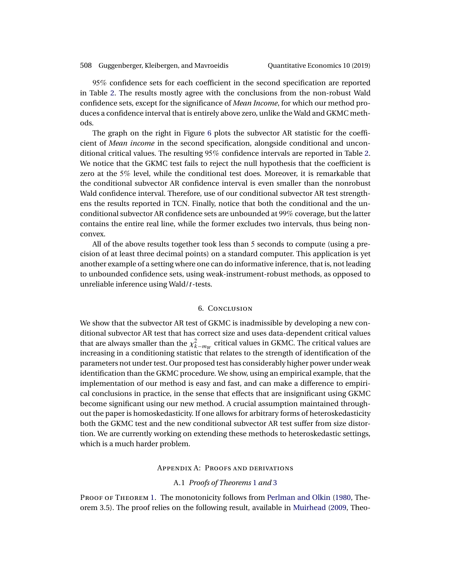<span id="page-22-0"></span>95% confidence sets for each coefficient in the second specification are reported in Table [2.](#page-19-0) The results mostly agree with the conclusions from the non-robust Wald confidence sets, except for the significance of *Mean Income*, for which our method produces a confidence interval that is entirely above zero, unlike the Wald and GKMC methods.

The graph on the right in Figure [6](#page-20-0) plots the subvector AR statistic for the coefficient of *Mean income* in the second specification, alongside conditional and unconditional critical values. The resulting 95% confidence intervals are reported in Table [2.](#page-19-0) We notice that the GKMC test fails to reject the null hypothesis that the coefficient is zero at the 5% level, while the conditional test does. Moreover, it is remarkable that the conditional subvector AR confidence interval is even smaller than the nonrobust Wald confidence interval. Therefore, use of our conditional subvector AR test strengthens the results reported in TCN. Finally, notice that both the conditional and the unconditional subvector AR confidence sets are unbounded at 99% coverage, but the latter contains the entire real line, while the former excludes two intervals, thus being nonconvex.

All of the above results together took less than 5 seconds to compute (using a precision of at least three decimal points) on a standard computer. This application is yet another example of a setting where one can do informative inference, that is, not leading to unbounded confidence sets, using weak-instrument-robust methods, as opposed to unreliable inference using Wald/*t*-tests.

# 6. Conclusion

We show that the subvector AR test of GKMC is inadmissible by developing a new conditional subvector AR test that has correct size and uses data-dependent critical values that are always smaller than the  $\chi^2_{k-m_W}$  critical values in GKMC. The critical values are increasing in a conditioning statistic that relates to the strength of identification of the parameters not under test. Our proposed test has considerably higher power under weak identification than the GKMC procedure. We show, using an empirical example, that the implementation of our method is easy and fast, and can make a difference to empirical conclusions in practice, in the sense that effects that are insignificant using GKMC become significant using our new method. A crucial assumption maintained throughout the paper is homoskedasticity. If one allows for arbitrary forms of heteroskedasticity both the GKMC test and the new conditional subvector AR test suffer from size distortion. We are currently working on extending these methods to heteroskedastic settings, which is a much harder problem.

# Appendix A: Proofs and derivations

### A.1 *Proofs of Theorems* [1](#page-6-0) *and* [3](#page-13-0)

PROOF OF THEOREM [1.](#page-6-0) The monotonicity follows from [Perlman and Olkin](#page-40-0) [\(1980,](#page-40-0) Theorem 3.5). The proof relies on the following result, available in [Muirhead](#page-39-0) [\(2009,](#page-39-0) Theo-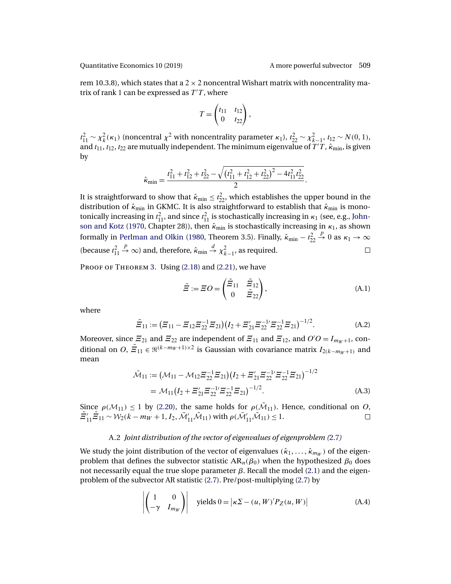<span id="page-23-0"></span>

rem 10.3.8), which states that a  $2 \times 2$  noncentral Wishart matrix with noncentrality matrix of rank 1 can be expressed as  $T/T$ , where

$$
T=\begin{pmatrix} t_{11} & t_{12} \\ 0 & t_{22} \end{pmatrix},
$$

 $t_{11}^2 \sim \chi_k^2(\kappa_1)$  (noncentral  $\chi^2$  with noncentrality parameter  $\kappa_1$ ),  $t_{22}^2 \sim \chi_{k-1}^2$ ,  $t_{12} \sim N(0, 1)$ , and  $t_{11}$ ,  $t_{12}$ ,  $t_{22}$  are mutually independent. The minimum eigenvalue of  $T^{'}T$ ,  $\hat{\kappa}_{\min}$ , is given by

$$
\hat{\kappa}_{\min} = \frac{t_{11}^2 + t_{12}^2 + t_{22}^2 - \sqrt{(t_{11}^2 + t_{12}^2 + t_{22}^2)^2 - 4t_{11}^2 t_{22}^2}}{2}.
$$

It is straightforward to show that  $\hat{\kappa}_{\min} \leq t_{22}^2$ , which establishes the upper bound in the distribution of  $\hat{\kappa}_{min}$  in GKMC. It is also straightforward to establish that  $\hat{\kappa}_{min}$  is monotonically increasing in  $t_{11}^2$ , and since  $t_{11}^2$  is stochastically increasing in  $\kappa_1$  (see, e.g., [John](#page-39-0)[son and Kotz](#page-39-0) [\(1970,](#page-39-0) Chapter 28)), then  $\hat{\kappa}_{min}$  is stochastically increasing in  $\kappa_1$ , as shown  $\stackrel{p}{\rightarrow} 0$  as  $\kappa_1 \rightarrow \infty$ formally in [Perlman and Olkin](#page-40-0) [\(1980,](#page-40-0) Theorem 3.5). Finally,  $\hat{\kappa}_{\min} - t_{22}^2$  $\stackrel{p}{\rightarrow}\infty$ ) and, therefore,  $\hat{\kappa}_{\min}\stackrel{d}{\rightarrow}\chi^2_{k-1}$ , as required. (because  $t_{11}^2$  $\Box$ 

PROOF OF THEOREM [3.](#page-13-0) Using [\(2.18\)](#page-13-0) and [\(2.21\)](#page-13-0), we have

$$
\tilde{\Xi} := \Xi O = \begin{pmatrix} \tilde{\Xi}_{11} & \tilde{\Xi}_{12} \\ 0 & \tilde{\Xi}_{22} \end{pmatrix},
$$
\n(A.1)

where

$$
\tilde{H}_{11} := (H_{11} - H_{12}H_{22}^{-1}H_{21})(I_2 + H_{21}'H_{22}^{-1'}H_{22}^{-1}H_{21})^{-1/2}.
$$
 (A.2)

Moreover, since  $\mathcal{Z}_{21}$  and  $\mathcal{Z}_{22}$  are independent of  $\mathcal{Z}_{11}$  and  $\mathcal{Z}_{12}$ , and  $O'O = I_{m_W+1}$ , conditional on O,  $\tilde{Z}_{11}\in\mathfrak{R}^{(k-m_W+1)\times2}$  is Gaussian with covariance matrix  $I_{2(k-m_W+1)}$  and mean

$$
\tilde{\mathcal{M}}_{11} := (\mathcal{M}_{11} - \mathcal{M}_{12} \Xi_{22}^{-1} \Xi_{21}) (I_2 + \Xi_{21}' \Xi_{22}^{-1} \Xi_{22}^{-1} \Xi_{21})^{-1/2}
$$
  
=  $\mathcal{M}_{11} (I_2 + \Xi_{21}' \Xi_{22}^{-1} \Xi_{22}^{-1} \Xi_{21})^{-1/2}$ . (A.3)

Since  $\rho(M_{11}) \le 1$  by [\(2.20\)](#page-13-0), the same holds for  $\rho(\tilde{M}_{11})$ . Hence, conditional on O,<br> $\tilde{E}'_1, \tilde{E}_{11} \sim W_2(k-m_W+1, I_2, \tilde{M}'_{11}, \tilde{M}_{11})$  with  $\rho(\tilde{M}'_{11}, \tilde{M}_{11}) < 1$ .  $\tilde{H}_{11}'\tilde{H}_{11} \sim \mathcal{W}_2(k - m_W + 1, I_2, \tilde{\mathcal{M}}'_{11}\tilde{\mathcal{M}}_{11})$  with  $\rho(\tilde{\mathcal{M}}'_{11}\tilde{\mathcal{M}}_{11}) \leq 1$ .

# A.2 *Joint distribution of the vector of eigenvalues of eigenproblem (*[2.7](#page-5-0)*)*

We study the joint distribution of the vector of eigenvalues ( $\hat{\kappa}_1, \ldots, \hat{\kappa}_{m_W}$ ) of the eigenproblem that defines the subvector statistic  $AR_n(\beta_0)$  when the hypothesized  $\beta_0$  does not necessarily equal the true slope parameter  $β$ . Recall the model [\(2.1\)](#page-4-0) and the eigenproblem of the subvector AR statistic [\(2.7\)](#page-5-0). Pre/post-multiplying [\(2.7\)](#page-5-0) by

$$
\left| \begin{pmatrix} 1 & 0 \\ -\gamma & I_{m_W} \end{pmatrix} \right| \text{ yields } 0 = |\kappa \Sigma - (u, W)' P_Z(u, W)| \tag{A.4}
$$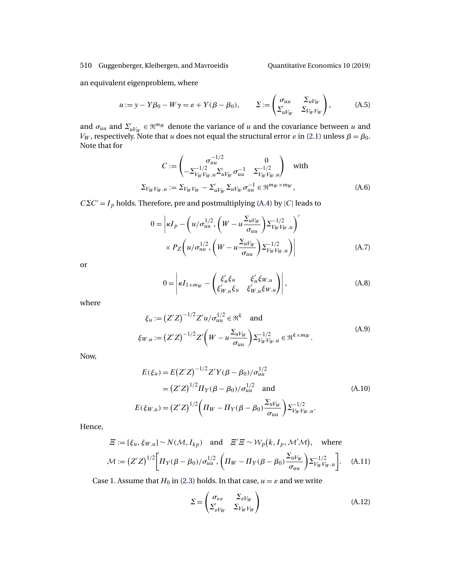<span id="page-24-0"></span>an equivalent eigenproblem, where

$$
u := y - Y\beta_0 - W\gamma = \varepsilon + Y(\beta - \beta_0), \qquad \Sigma := \begin{pmatrix} \sigma_{uu} & \Sigma_{uV_W} \\ \Sigma'_{uV_W} & \Sigma_{V_W V_W} \end{pmatrix}, \tag{A.5}
$$

and  $\sigma_{uu}$  and  $\Sigma'_{uV_W} \in \mathbb{R}^{m_W}$  denote the variance of u and the covariance between u and  $V_W$ , respectively. Note that  $u$  does not equal the structural error  $\varepsilon$  in [\(2.1\)](#page-4-0) unless  $\beta = \beta_0$ . Note that for

$$
C := \begin{pmatrix} \sigma_{uu}^{-1/2} & 0 \\ -\Sigma_{V_W V_W.u}^{-1/2} \Sigma_{uV_W}' \sigma_{uu}^{-1} & \Sigma_{V_W V_W.u}^{-1/2} \end{pmatrix} \text{ with}
$$
  

$$
\Sigma_{V_W V_W.u} := \Sigma_{V_W V_W} - \Sigma_{uV_W}' \Sigma_{uV_W} \sigma_{uu}^{-1} \in \mathfrak{R}^{m_W \times m_W}, \tag{A.6}
$$

 $C\sum C'=I_p$  holds. Therefore, pre and postmultiplying [\(A.4\)](#page-23-0) by |C| leads to

$$
0 = \left| \kappa I_p - \left( u / \sigma_{uu}^{1/2}, \left( W - u \frac{\Sigma_{uV_W}}{\sigma_{uu}} \right) \Sigma_{V_W V_W, u}^{-1/2} \right)' \right|
$$
  
 
$$
\times P_Z \left( u / \sigma_{uu}^{1/2}, \left( W - u \frac{\Sigma_{uV_W}}{\sigma_{uu}} \right) \Sigma_{V_W V_W, u}^{-1/2} \right) \right|
$$
 (A.7)

or

$$
0 = \left| \kappa I_{1+m_W} - \begin{pmatrix} \xi'_u \xi_u & \xi'_u \xi_{W,u} \\ \xi'_{W,u} \xi_u & \xi'_{W,u} \xi_{W,u} \end{pmatrix} \right|,
$$
 (A.8)

where

$$
\xi_u := (Z'Z)^{-1/2} Z' u / \sigma_{uu}^{1/2} \in \mathfrak{R}^k \text{ and}
$$
\n
$$
\xi_{W.u} := (Z'Z)^{-1/2} Z' \left( W - u \frac{\Sigma_{uV_W}}{\sigma_{uu}} \right) \Sigma_{V_W V_W, u}^{-1/2} \in \mathfrak{R}^{k \times m_W}.
$$
\n(A.9)

Now,

$$
E(\xi_u) = E(Z'Z)^{-1/2} Z'Y(\beta - \beta_0)/\sigma_{uu}^{1/2}
$$
  
=  $(Z'Z)^{1/2} \Pi_Y(\beta - \beta_0)/\sigma_{uu}^{1/2}$  and  

$$
E(\xi_{W,u}) = (Z'Z)^{1/2} \left(\Pi_W - \Pi_Y(\beta - \beta_0) \frac{\Sigma_{uV_W}}{\sigma_{uu}}\right) \Sigma_{V_W V_W.u}^{-1/2}.
$$
 (A.10)

Hence,

$$
\begin{aligned}\n\Xi &:= [\xi_u, \xi_{W,u}] \sim N(\mathcal{M}, I_{kp}) \quad \text{and} \quad \Xi' \Xi \sim \mathcal{W}_p(k, I_p, \mathcal{M}'\mathcal{M}), \quad \text{where} \\
\mathcal{M} &:= (\mathcal{Z}'\mathcal{Z})^{1/2} \bigg[ \Pi_Y(\beta - \beta_0) / \sigma_{uu}^{1/2}, \left( \Pi_W - \Pi_Y(\beta - \beta_0) \frac{\Sigma_u V_W}{\sigma_{uu}} \right) \Sigma_{V_W V_W, u}^{-1/2} \bigg].\n\end{aligned} \tag{A.11}
$$

Case 1. Assume that  $H_0$  in [\(2.3\)](#page-5-0) holds. In that case,  $u = \varepsilon$  and we write

$$
\Sigma = \begin{pmatrix} \sigma_{\varepsilon \varepsilon} & \Sigma_{\varepsilon V_W} \\ \Sigma_{\varepsilon V_W} & \Sigma_{V_W V_W} \end{pmatrix} \tag{A.12}
$$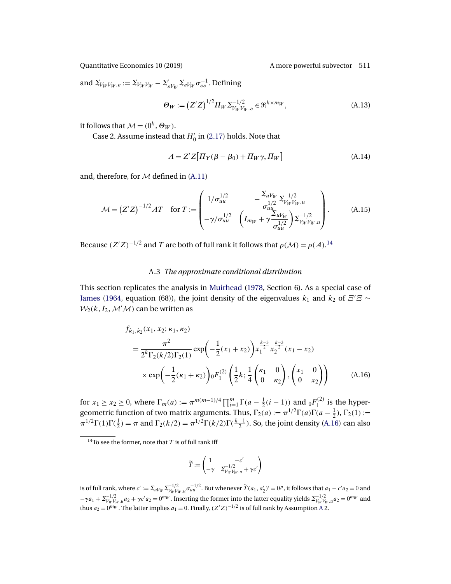<span id="page-25-0"></span>and  $\Sigma_{V_W V_W . \varepsilon} := \Sigma_{V_W V_W} - \Sigma_{\varepsilon V_W} ' \Sigma_{\varepsilon V_W} \sigma_{\varepsilon \varepsilon}^{-1}$ . Defining

$$
\Theta_W := (Z'Z)^{1/2} \Pi_W \Sigma_{V_W V_W, \varepsilon}^{-1/2} \in \mathfrak{R}^{k \times m_W},
$$
\n(A.13)

it follows that  $\mathcal{M} = (0^k, \Theta_W)$ .

Case 2. Assume instead that  $H'_0$  in [\(2.17\)](#page-11-0) holds. Note that

$$
A = Z'Z[I_{Y}(\beta - \beta_0) + \Pi_W \gamma, \Pi_W]
$$
\n(A.14)

and, therefore, for  $M$  defined in  $(A.11)$ 

$$
\mathcal{M} = (Z'Z)^{-1/2}AT \quad \text{for } T := \begin{pmatrix} 1/\sigma_{uu}^{1/2} & -\frac{\Sigma_{uV_W}}{\sigma_{uu}^{1/2}} \Sigma_{V_W V_W.u}^{-1/2} \\ -\gamma/\sigma_{uu}^{1/2} & \left(I_{m_W} + \gamma \frac{\Sigma_{uV_W}}{\sigma_{uu}^{1/2}}\right) \Sigma_{V_W V_W.u}^{-1/2} \end{pmatrix} . \tag{A.15}
$$

Because  $(Z'Z)^{-1/2}$  and T are both of full rank it follows that  $\rho(\mathcal{M}) = \rho(A).^{14}$ 

# A.3 *The approximate conditional distribution*

This section replicates the analysis in [Muirhead](#page-39-0) [\(1978,](#page-39-0) Section 6). As a special case of [James](#page-39-0) [\(1964,](#page-39-0) equation (68)), the joint density of the eigenvalues  $\hat{\kappa}_1$  and  $\hat{\kappa}_2$  of  $\Xi'\Xi\sim$  $\mathcal{W}_2(k, I_2, \mathcal{M}'\mathcal{M})$  can be written as

$$
f_{\hat{\kappa}_1, \hat{\kappa}_2}(x_1, x_2; \kappa_1, \kappa_2)
$$
\n
$$
= \frac{\pi^2}{2^k \Gamma_2(k/2) \Gamma_2(1)} \exp\left(-\frac{1}{2}(x_1 + x_2)\right) x_1^{\frac{k-3}{2}} x_2^{\frac{k-3}{2}}(x_1 - x_2)
$$
\n
$$
\times \exp\left(-\frac{1}{2}(\kappa_1 + \kappa_2)\right) 0 F_1^{(2)}\left(\frac{1}{2}k; \frac{1}{4}\begin{pmatrix} \kappa_1 & 0\\ 0 & \kappa_2 \end{pmatrix}, \begin{pmatrix} x_1 & 0\\ 0 & x_2 \end{pmatrix}\right) \tag{A.16}
$$

for  $x_1 \ge x_2 \ge 0$ , where  $\Gamma_m(a) := \pi^{m(m-1)/4} \prod_{i=1}^m \Gamma(a - \frac{1}{2}(i-1))$  and  ${}_0F_1^{(2)}$  is the hypergeometric function of two matrix arguments. Thus,  $\Gamma_2(a) := \pi^{1/2} \Gamma(a) \Gamma(a - \frac{1}{2}), \Gamma_2(1) :=$  $\pi^{1/2}\Gamma(1)\Gamma(\frac{1}{2}) = \pi$  and  $\Gamma_2(k/2) = \pi^{1/2}\Gamma(k/2)\Gamma(\frac{k-1}{2})$ . So, the joint density (A.16) can also

$$
\widetilde{T} := \begin{pmatrix} 1 & -c' \\ -\gamma & \Sigma_{V_W V_W. u}^{-1/2} + \gamma c' \end{pmatrix}
$$

<sup>&</sup>lt;sup>14</sup>To see the former, note that T is of full rank iff

is of full rank, where  $c' := \sum_{u \neq w} \sum_{v \neq w} \frac{-1}{2}$ . But whenever  $\widetilde{T}(a_1, a_2')' = 0^p$ , it follows that  $a_1 - c' a_2 = 0$  and  $-\gamma a_1 + \sum_{V_W V_W}^{-1/2} a_2 + \gamma c' a_2 = 0^{m_W}$ . Inserting the former into the latter equality yields  $\sum_{V_W V_W}^{-1/2} a_2 = 0^{m_W}$  and thus  $a_2 = 0^{m_W}$ . The latter implies  $a_1 = 0$ . Finally,  $(Z'Z)^{-1/2}$  is of full rank by [A](#page-5-0)ssumption A 2.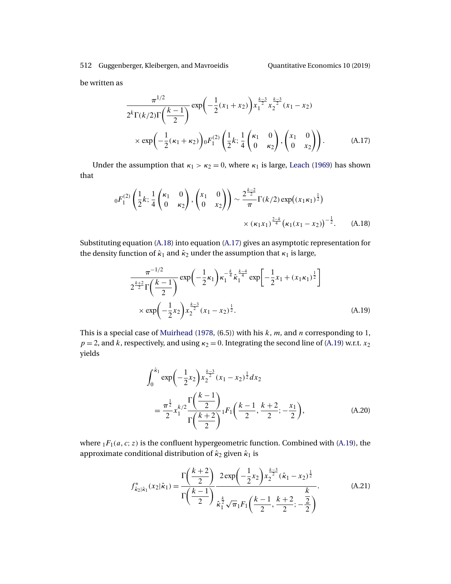<span id="page-26-0"></span>be written as

$$
\frac{\pi^{1/2}}{2^k \Gamma(k/2) \Gamma(\frac{k-1}{2})} \exp\left(-\frac{1}{2}(x_1 + x_2)\right) x_1^{\frac{k-3}{2}} x_2^{\frac{k-3}{2}} (x_1 - x_2)
$$
  
 
$$
\times \exp\left(-\frac{1}{2}(\kappa_1 + \kappa_2)\right) 0 F_1^{(2)} \left(\frac{1}{2}k; \frac{1}{4}\begin{pmatrix} \kappa_1 & 0\\ 0 & \kappa_2 \end{pmatrix}, \begin{pmatrix} x_1 & 0\\ 0 & x_2 \end{pmatrix}\right).
$$
 (A.17)

Under the assumption that  $\kappa_1 > \kappa_2 = 0$ , where  $\kappa_1$  is large, [Leach](#page-39-0) [\(1969\)](#page-39-0) has shown that

$$
{}_{0}F_{1}^{(2)}\left(\frac{1}{2}k;\frac{1}{4}\begin{pmatrix}\kappa_{1} & 0\\ 0 & \kappa_{2}\end{pmatrix},\begin{pmatrix}x_{1} & 0\\ 0 & x_{2}\end{pmatrix}\right)\sim\frac{2^{\frac{k-2}{2}}}{\pi}\Gamma(k/2)\exp((x_{1}\kappa_{1})^{\frac{1}{2}})\times(\kappa_{1}x_{1})^{\frac{2-k}{4}}(\kappa_{1}(x_{1}-x_{2}))^{-\frac{1}{2}}.
$$
 (A.18)

Substituting equation (A.18) into equation (A.17) gives an asymptotic representation for the density function of  $\hat{\kappa}_1$  and  $\hat{\kappa}_2$  under the assumption that  $\kappa_1$  is large,

$$
\frac{\pi^{-1/2}}{2^{\frac{k+2}{2}}\Gamma(\frac{k-1}{2})}\exp\left(-\frac{1}{2}\kappa_1\right)\kappa_1^{-\frac{k}{4}}\hat{\kappa}_1^{\frac{k-4}{4}}\exp\left[-\frac{1}{2}x_1 + (x_1\kappa_1)^{\frac{1}{2}}\right] \times \exp\left(-\frac{1}{2}x_2\right)x_2^{\frac{k-3}{2}}(x_1 - x_2)^{\frac{1}{2}}.
$$
\n(A.19)

This is a special case of [Muirhead](#page-39-0) [\(1978,](#page-39-0) (6.5)) with his  $k$ ,  $m$ , and  $n$  corresponding to 1,  $p = 2$ , and k, respectively, and using  $\kappa_2 = 0$ . Integrating the second line of (A.19) w.r.t.  $x_2$ yields

$$
\int_0^{\hat{\kappa}_1} \exp\left(-\frac{1}{2}x_2\right) x_2^{\frac{k-3}{2}} (x_1 - x_2)^{\frac{1}{2}} dx_2
$$
\n
$$
= \frac{\pi^{\frac{1}{2}}}{2} x_1^{k/2} \frac{\Gamma\left(\frac{k-1}{2}\right)}{\Gamma\left(\frac{k+2}{2}\right)} {}_1F_1\left(\frac{k-1}{2}, \frac{k+2}{2}; -\frac{x_1}{2}\right), \tag{A.20}
$$

where  $_1F_1(a, c; z)$  is the confluent hypergeometric function. Combined with (A.19), the approximate conditional distribution of  $\hat{\kappa}_2$  given  $\hat{\kappa}_1$  is

$$
f_{\hat{\kappa}_2|\hat{\kappa}_1}^*(x_2|\hat{\kappa}_1) = \frac{\Gamma\left(\frac{k+2}{2}\right)}{\Gamma\left(\frac{k-1}{2}\right)} \frac{2 \exp\left(-\frac{1}{2}x_2\right) x_2^{\frac{k-3}{2}} (\hat{\kappa}_1 - x_2)^{\frac{1}{2}}}{\hat{\kappa}_1^{\frac{k}{2}} \sqrt{\pi}_1 F_1\left(\frac{k-1}{2}, \frac{k+2}{2}; -\frac{2}{2}\right)}.
$$
 (A.21)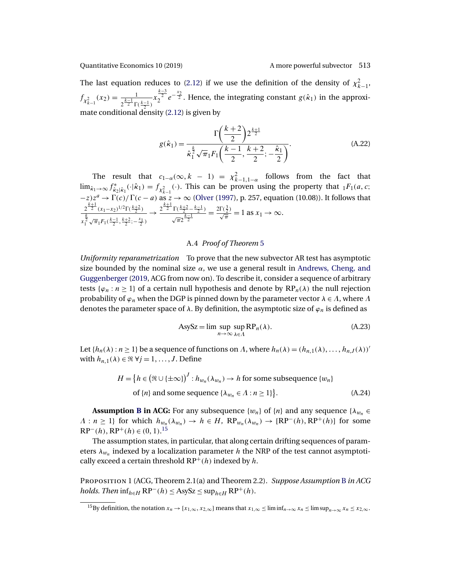<span id="page-27-0"></span>The last equation reduces to [\(2.12\)](#page-7-0) if we use the definition of the density of  $\chi^2_{k-1}$ ,  $f_{\chi^2_{k-1}}(x_2) = \frac{1}{2^{\frac{k-1}{2}}\Gamma(\frac{k-1}{2})}$  $x_2^{\frac{k-3}{2}}e^{-\frac{x_2}{2}}$ . Hence, the integrating constant  $g(\hat{\kappa}_1)$  in the approximate conditional density [\(2.12\)](#page-7-0) is given by

$$
g(\hat{\kappa}_1) = \frac{\Gamma\left(\frac{k+2}{2}\right)2^{\frac{k+1}{2}}}{\hat{\kappa}_1^{\frac{k}{2}}\sqrt{\pi}_1 F_1\left(\frac{k-1}{2}, \frac{k+2}{2}; -\frac{\hat{\kappa}_1}{2}\right)}.
$$
 (A.22)

The result that  $c_{1-\alpha}(\infty, k-1) = \chi^2_{k-1, 1-\alpha}$  follows from the fact that  $\lim_{\hat{\kappa}_1 \to \infty} f^*_{\hat{\kappa}_2 | \hat{\kappa}_1}(\cdot | \hat{\kappa}_1) = f_{\chi^2_{k-1}}(\cdot)$ . This can be proven using the property that  ${}_1F_1(a, c;$  $-z)z^a \to \Gamma(c)/\Gamma(c-a)$  as  $z \to \infty$  [\(Olver](#page-39-0) [\(1997\)](#page-39-0), p. 257, equation (10.08)). It follows that  $2^{\frac{k+1}{2}}(x_1-x_2)^{1/2}\Gamma(\frac{k+2}{2})$  $x_1^{\frac{k}{2}} \sqrt{\pi_1} F_1(\frac{k-1}{2}, \frac{k+2}{2}; -\frac{x_1}{2})$  $\rightarrow \frac{2^{\frac{k+1}{2}} \Gamma(\frac{k+2}{2} - \frac{k-1}{2})}{k-1}$  $\sqrt{\pi}2^{\frac{k-1}{2}}$  $=\frac{2\Gamma(\frac{3}{2})}{\sqrt{\pi}}=1$  as  $x_1 \to \infty$ .

# A.4 *Proof of Theorem* [5](#page-16-0)

*Uniformity reparametrization* To prove that the new subvector AR test has asymptotic size bounded by the nominal size  $\alpha$ , we use a general result in [Andrews, Cheng, and](#page-37-0) [Guggenberger](#page-37-0) [\(2019,](#page-37-0) ACG from now on). To describe it, consider a sequence of arbitrary tests { $\varphi_n : n \geq 1$ } of a certain null hypothesis and denote by  $RP_n(\lambda)$  the null rejection probability of  $\varphi_n$  when the DGP is pinned down by the parameter vector  $\lambda \in \Lambda$ , where  $\Lambda$ denotes the parameter space of  $\lambda$ . By definition, the asymptotic size of  $\varphi_n$  is defined as

$$
AsySz = \limsup_{n \to \infty} \sup_{\lambda \in \Lambda} RP_n(\lambda). \tag{A.23}
$$

Let  $\{h_n(\lambda) : n \geq 1\}$  be a sequence of functions on  $\Lambda$ , where  $h_n(\lambda) = (h_{n,1}(\lambda), \ldots, h_{n,J}(\lambda))'$ with  $h_{n,1}(\lambda) \in \Re \ \forall j = 1,\ldots,J$ . Define

$$
H = \{ h \in (\Re \cup \{\pm \infty\})^J : h_{w_n}(\lambda_{w_n}) \to h \text{ for some subsequence } \{w_n\}
$$
  
of  $\{n\}$  and some sequence  $\{\lambda_{w_n} \in \Lambda : n \ge 1\}$ . (A.24)

**Assumption <b>[B](#page-14-0)** in ACG: For any subsequence { $w_n$ } of {n} and any sequence { $\lambda_{w_n}$   $\in$  $\Lambda : n \geq 1$ } for which  $h_{w_n}(\lambda_{w_n}) \to h \in H$ ,  $\mathbb{RP}_m(\lambda_{w_n}) \to [\mathbb{RP}^-(h), \mathbb{RP}^+(h)]$  for some  $RP^{-}(h)$ ,  $RP^{+}(h) \in (0, 1)$ .<sup>15</sup>

The assumption states, in particular, that along certain drifting sequences of parameters  $\lambda_{w_n}$  indexed by a localization parameter h the NRP of the test cannot asymptotically exceed a certain threshold  $RP^+(h)$  indexed by h.

Proposition 1 (ACG, Theorem 2.1(a) and Theorem 2.2). *Suppose Assumption* [B](#page-14-0) *in ACG holds*. *Then*  $\inf_{h \in H} RP^{-}(h) \leq \text{AsySz} \leq \sup_{h \in H} RP^{+}(h)$ .

<sup>&</sup>lt;sup>15</sup>By definition, the notation  $x_n \to [x_{1,\infty}, x_{2,\infty}]$  means that  $x_{1,\infty} \leq \liminf_{n \to \infty} x_n \leq \limsup_{n \to \infty} x_n \leq x_{2,\infty}$ .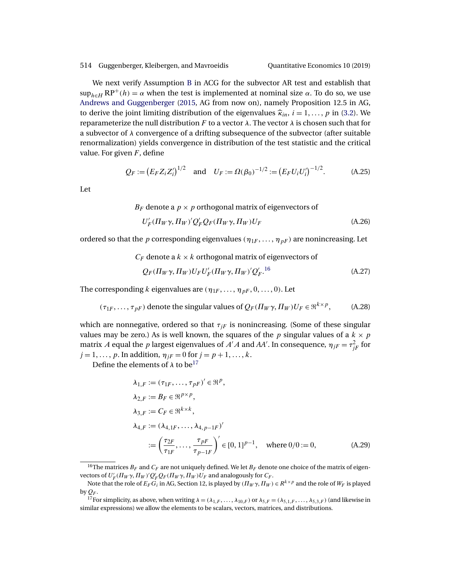<span id="page-28-0"></span>We next verify Assumption [B](#page-14-0) in ACG for the subvector AR test and establish that  $\sup_{h \in H} RP^+(h) = \alpha$  when the test is implemented at nominal size  $\alpha$ . To do so, we use [Andrews and Guggenberger](#page-38-0) [\(2015,](#page-38-0) AG from now on), namely Proposition 12.5 in AG, to derive the joint limiting distribution of the eigenvalues  $\hat{\kappa}_{in}$ ,  $i = 1, \ldots, p$  in [\(3.2\)](#page-15-0). We reparameterize the null distribution F to a vector  $λ$ . The vector  $λ$  is chosen such that for a subvector of  $\lambda$  convergence of a drifting subsequence of the subvector (after suitable renormalization) yields convergence in distribution of the test statistic and the critical value. For given  $F$ , define

$$
Q_F := (E_F Z_i Z_i')^{1/2}
$$
 and  $U_F := \Omega(\beta_0)^{-1/2} := (E_F U_i U_i')^{-1/2}$ . (A.25)

Let

$$
B_F
$$
 denote a  $p \times p$  orthogonal matrix of eigenvectors of  
\n $U'_F(\Pi_W \gamma, \Pi_W)' Q'_F Q_F(\Pi_W \gamma, \Pi_W) U_F$ \n(A.26)

ordered so that the p corresponding eigenvalues ( $\eta_{1F}, \ldots, \eta_{pF}$ ) are nonincreasing. Let

$$
C_F
$$
 denote a  $k \times k$  orthogonal matrix of eigenvectors of  
\n $Q_F(\Pi_W \gamma, \Pi_W) U_F U'_F(\Pi_W \gamma, \Pi_W)' Q'_F$ .<sup>16</sup> (A.27)

The corresponding k eigenvalues are  $(\eta_{1F}, \ldots, \eta_{pF}, 0, \ldots, 0)$ . Let

$$
(\tau_{1F}, \ldots, \tau_{pF})
$$
 denote the singular values of  $Q_F(\Pi_W \gamma, \Pi_W)U_F \in \mathbb{R}^{k \times p}$ , (A.28)

which are nonnegative, ordered so that  $\tau_{IF}$  is nonincreasing. (Some of these singular values may be zero.) As is well known, the squares of the p singular values of a  $k \times p$ matrix A equal the p largest eigenvalues of A'A and AA'. In consequence,  $\eta_{jF} = \tau_{jF}^2$  for  $j = 1, ..., p$ . In addition,  $\eta_{jF} = 0$  for  $j = p + 1, ..., k$ .

Define the elements of  $\lambda$  to be<sup>17</sup>

$$
\lambda_{1,F} := (\tau_{1F}, ..., \tau_{pF})' \in \mathbb{R}^p, \n\lambda_{2,F} := B_F \in \mathbb{R}^{p \times p}, \n\lambda_{3,F} := C_F \in \mathbb{R}^{k \times k}, \n\lambda_{4,F} := (\lambda_{4,1F}, ..., \lambda_{4,p-1F})' \n:= \left(\frac{\tau_{2F}}{\tau_{1F}}, ..., \frac{\tau_{pF}}{\tau_{p-1F}}\right)' \in [0, 1]^{p-1}, \text{ where } 0/0 := 0,
$$
\n(A.29)

<sup>&</sup>lt;sup>16</sup>The matrices  $B_F$  and  $C_F$  are not uniquely defined. We let  $B_F$  denote one choice of the matrix of eigenvectors of  $U_F'(\Pi_W\gamma,\Pi_W)'Q_F'Q_F(\Pi_W\gamma,\Pi_W)U_F$  and analogously for  $C_F$ .

Note that the role of  $E_F G_i$  in AG, Section 12, is played by  $(\Pi_W \gamma, \Pi_W) \in R^{k \times p}$  and the role of  $W_F$  is played by  $Q_F$ .

<sup>&</sup>lt;sup>17</sup>For simplicity, as above, when writing  $\lambda = (\lambda_{1,F}, \dots, \lambda_{10,F})$  or  $\lambda_{5,F} = (\lambda_{5,1,F}, \dots, \lambda_{5,3,F})$  (and likewise in similar expressions) we allow the elements to be scalars, vectors, matrices, and distributions.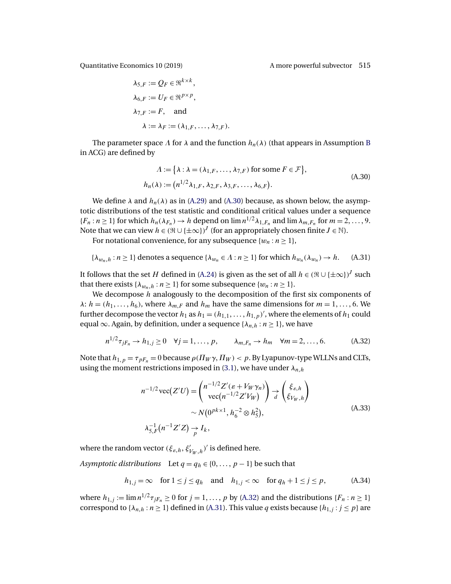<span id="page-29-0"></span>

$$
\lambda_{5,F} := Q_F \in \mathfrak{R}^{k \times k},
$$
  
\n
$$
\lambda_{6,F} := U_F \in \mathfrak{R}^{p \times p},
$$
  
\n
$$
\lambda_{7,F} := F, \text{ and}
$$
  
\n
$$
\lambda := \lambda_F := (\lambda_{1,F}, \dots, \lambda_{7,F}).
$$

The parameter space  $\Lambda$  for  $\lambda$  and the function  $h_n(\lambda)$  (that appears in Assumption [B](#page-14-0) in ACG) are defined by

$$
\Lambda := \{ \lambda : \lambda = (\lambda_{1,F}, \dots, \lambda_{7,F}) \text{ for some } F \in \mathcal{F} \},\
$$

$$
h_n(\lambda) := (n^{1/2} \lambda_{1,F}, \lambda_{2,F}, \lambda_{3,F}, \dots, \lambda_{6,F}).
$$
(A.30)

We define  $\lambda$  and  $h_n(\lambda)$  as in [\(A.29\)](#page-28-0) and (A.30) because, as shown below, the asymptotic distributions of the test statistic and conditional critical values under a sequence  ${F_n : n \ge 1}$  for which  $h_n(\lambda_{F_n}) \to h$  depend on  $\lim_{n \to \infty} n^{1/2} \lambda_{1,F_n}$  and  $\lim_{n \to \infty} \lambda_{m,F_n}$  for  $m = 2, \ldots, 9$ . Note that we can view  $h \in (\Re \cup \{\pm \infty\})^J$  (for an appropriately chosen finite  $J \in \mathbb{N}$ ).

For notational convenience, for any subsequence  $\{w_n : n \geq 1\}$ ,

$$
\{\lambda_{w_n,h} : n \ge 1\} \text{ denotes a sequence } \{\lambda_{w_n} \in \Lambda : n \ge 1\} \text{ for which } h_{w_n}(\lambda_{w_n}) \to h. \tag{A.31}
$$

It follows that the set H defined in [\(A.24\)](#page-27-0) is given as the set of all  $h \in (\Re \cup {\pm \infty})^J$  such that there exists { $\lambda_{w_n,h} : n \geq 1$ } for some subsequence { $w_n : n \geq 1$  }.

We decompose h analogously to the decomposition of the first six components of  $\lambda: h = (h_1, \ldots, h_6)$ , where  $\lambda_{m,F}$  and  $h_m$  have the same dimensions for  $m = 1, \ldots, 6$ . We further decompose the vector  $h_1$  as  $h_1 = (h_{1,1}, \ldots, h_{1,p})'$ , where the elements of  $h_1$  could equal  $\infty$ . Again, by definition, under a sequence { $\lambda_{n,h} : n \geq 1$ }, we have

$$
n^{1/2}\tau_{jF_n} \to h_{1,j} \ge 0 \quad \forall j = 1, ..., p, \qquad \lambda_{m,F_n} \to h_m \quad \forall m = 2, ..., 6. \tag{A.32}
$$

Note that  $h_{1,p} = \tau_{pF_n} = 0$  because  $\rho(\Pi_W \gamma, \Pi_W) < p$ . By Lyapunov-type WLLNs and CLTs, using the moment restrictions imposed in [\(3.1\)](#page-15-0), we have under  $\lambda_{n,h}$ 

$$
n^{-1/2}\operatorname{vec}(Z'U) = \begin{pmatrix} n^{-1/2}Z'(\varepsilon + V_W\gamma_n) \\ \operatorname{vec}(n^{-1/2}Z'V_W) \end{pmatrix} \to \begin{pmatrix} \xi_{\varepsilon,h} \\ \xi_{V_W,h} \end{pmatrix}
$$
  
 
$$
\sim N(0^{pk \times 1}, h_6^{-2} \otimes h_5^2),
$$
  
\n
$$
\lambda_{5,F}^{-1}(n^{-1}Z'Z) \to I_k,
$$
 (A.33)

where the random vector  $(\xi_{\varepsilon,h},\xi'_{V_W,h})'$  is defined here.

*Asymptotic distributions* Let  $q = q_h \in \{0, \ldots, p-1\}$  be such that

$$
h_{1,j} = \infty \quad \text{for } 1 \le j \le q_h \quad \text{and} \quad h_{1,j} < \infty \quad \text{for } q_h + 1 \le j \le p,\tag{A.34}
$$

where  $h_{1,j} := \lim_{n \to \infty} n^{1/2} \tau_{jF_n} \geq 0$  for  $j = 1, \ldots, p$  by (A.32) and the distributions  $\{F_n : n \geq 1\}$ correspond to  $\{\lambda_{n,h} : n \geq 1\}$  defined in (A.31). This value q exists because  $\{h_{1,j} : j \leq p\}$  are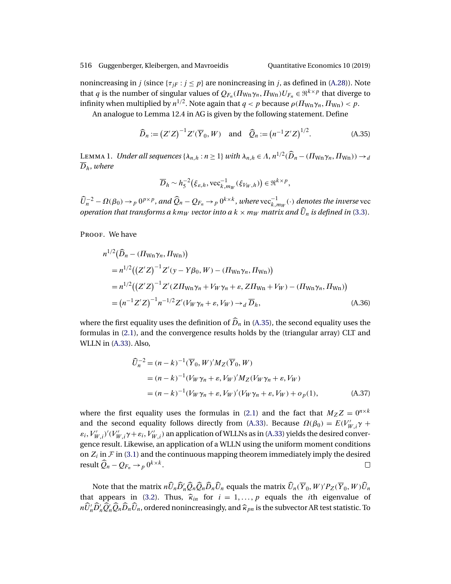<span id="page-30-0"></span>nonincreasing in j (since  $\{\tau_{IF} : j \leq p\}$  are nonincreasing in j, as defined in [\(A.28\)](#page-28-0)). Note that q is the number of singular values of  $Q_{F_n}(I\!I_{W_n}\gamma_n, \Pi_{W_n})U_{F_n} \in \mathbb{R}^{k \times p}$  that diverge to infinity when multiplied by  $n^{1/2}$ . Note again that  $q < p$  because  $\rho(\Pi_{Wn}\gamma_n,\Pi_{Wn}) < p$ .

An analogue to Lemma 12.4 in AG is given by the following statement. Define

$$
\widehat{D}_n := (Z'Z)^{-1}Z'(\overline{Y}_0, W) \text{ and } \widehat{Q}_n := (n^{-1}Z'Z)^{1/2}.
$$
 (A.35)

LEMMA 1. *Under all sequences* { $\lambda_{n,h} : n \geq 1$ } *with*  $\lambda_{n,h} \in \Lambda$ ,  $n^{1/2}(\widehat{D}_n - (\Pi_{Wn}\gamma_n, \Pi_{Wn})) \to d$  $\overline{D}_h$ , where

$$
\overline{D}_h \sim h_5^{-2}(\xi_{\varepsilon,h}, \text{vec}_{k,m_W}^{-1}(\xi_{V_W,h})) \in \mathfrak{R}^{k \times p},
$$

 $\widehat{U}_n^{-2} - \Omega(\beta_0) \to_p 0^{p \times p}$ , and  $\widehat{Q}_n - Q_{F_n} \to_p 0^{k \times k}$ , where  $\text{vec}_{k,m_W}(\cdot)$  denotes the inverse vec *operation that transforms a km<sub>W</sub> vector into a k*  $\times$  *m<sub>W</sub> matrix and*  $\widehat{U}_n$  *is defined in [\(3.3\)](#page-15-0).* 

PROOF. We have

$$
n^{1/2}(\widehat{D}_n - (\Pi_{Wn} \gamma_n, \Pi_{Wn}))
$$
  
=  $n^{1/2}((Z'Z)^{-1}Z'(y - Y\beta_0, W) - (\Pi_{Wn} \gamma_n, \Pi_{Wn}))$   
=  $n^{1/2}((Z'Z)^{-1}Z'(Z\Pi_{Wn} \gamma_n + V_W \gamma_n + \varepsilon, Z\Pi_{Wn} + V_W) - (\Pi_{Wn} \gamma_n, \Pi_{Wn}))$   
=  $(n^{-1}Z'Z)^{-1}n^{-1/2}Z'(V_W \gamma_n + \varepsilon, V_W) \rightarrow_d \overline{D}_h,$  (A.36)

where the first equality uses the definition of  $\widehat{D}_n$  in (A.35), the second equality uses the formulas in [\(2.1\)](#page-4-0), and the convergence results holds by the (triangular array) CLT and WLLN in [\(A.33\)](#page-29-0). Also,

$$
\widehat{U}_n^{-2} = (n - k)^{-1} (\overline{Y}_0, W)' M_Z(\overline{Y}_0, W)
$$
  
=  $(n - k)^{-1} (V_W \gamma_n + \varepsilon, V_W)' M_Z(V_W \gamma_n + \varepsilon, V_W)$   
=  $(n - k)^{-1} (V_W \gamma_n + \varepsilon, V_W)' (V_W \gamma_n + \varepsilon, V_W) + o_p(1),$  (A.37)

where the first equality uses the formulas in [\(2.1\)](#page-4-0) and the fact that  $M_Z Z = 0^{n \times k}$ and the second equality follows directly from [\(A.33\)](#page-29-0). Because  $\Omega(\beta_0) = E(V'_{W,i}\gamma +$  $\varepsilon_i$ ,  $V'_{W,i}$   $/(V'_{W,i} \gamma + \varepsilon_i$ ,  $V'_{W,i})$  an application of WLLNs as in [\(A.33\)](#page-29-0) yields the desired convergence result. Likewise, an application of a WLLN using the uniform moment conditions on  $Z_i$  in  $\mathcal F$  in [\(3.1\)](#page-15-0) and the continuous mapping theorem immediately imply the desired result  $\widehat{Q}_n - Q_{F_n} \to p \, 0^{k \times k}$ .  $\Box$ 

Note that the matrix  $n\widehat{U}_n\widehat{D}'_n\widehat{Q}_n\widehat{D}_n\widehat{U}_n$  equals the matrix  $\widehat{U}_n(\overline{Y}_0,W)'P_Z(\overline{Y}_0,W)\widehat{U}_n$ that appears in [\(3.2\)](#page-15-0). Thus,  $\hat{\kappa}_{in}$  for  $i = 1, ..., p$  equals the *i*th eigenvalue of  $n\widehat{U}'_n\widehat{D}'_n\widehat{Q}_n\widehat{D}_n\widehat{U}_n$ , ordered nonincreasingly, and  $\widehat{\kappa}_{pn}$  is the subvector AR test statistic. To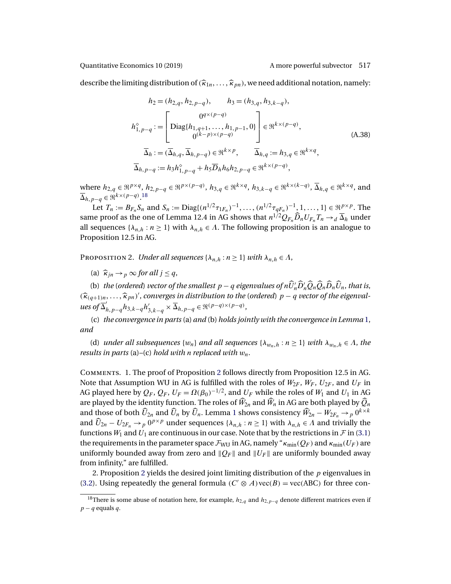<span id="page-31-0"></span>describe the limiting distribution of  $(\widehat{\kappa}_{1n},\ldots,\widehat{\kappa}_{pn})$ , we need additional notation, namely:

$$
h_2 = (h_{2,q}, h_{2,p-q}), \qquad h_3 = (h_{3,q}, h_{3,k-q}),
$$
  
\n
$$
h_{1,p-q}^{\circ} := \begin{bmatrix} 0^{q \times (p-q)} \\ \text{Diag}\{h_{1,q+1}, \dots, h_{1,p-1}, 0\} \\ 0^{(k-p) \times (p-q)} \end{bmatrix} \in \mathfrak{R}^{k \times (p-q)},
$$
  
\n
$$
\overline{\Delta}_h := (\overline{\Delta}_{h,q}, \overline{\Delta}_{h,p-q}) \in \mathfrak{R}^{k \times p}, \qquad \overline{\Delta}_{h,q} := h_{3,q} \in \mathfrak{R}^{k \times q},
$$
  
\n
$$
\overline{\Delta}_{h,p-q} := h_3 h_{1,p-q}^{\circ} + h_5 \overline{D}_h h_6 h_{2,p-q} \in \mathfrak{R}^{k \times (p-q)},
$$
\n(A.38)

where  $h_{2,q} \in \mathbb{R}^{p \times q}$ ,  $h_{2,p-q} \in \mathbb{R}^{p \times (p-q)}$ ,  $h_{3,q} \in \mathbb{R}^{k \times q}$ ,  $h_{3,k-q} \in \mathbb{R}^{k \times (k-q)}$ ,  $\overline{\Delta}_{h,q} \in \mathbb{R}^{k \times q}$ , and  $\overline{\Delta}_{h,p-q} \in \mathfrak{R}^{k \times (p-q)}$ .<sup>18</sup>

Let  $T_n := B_{F_n} S_n$  and  $S_n := \text{Diag}\{(n^{1/2}\tau_{1F_n})^{-1}, \dots, (n^{1/2}\tau_{qF_n})^{-1}, 1, \dots, 1\} \in \mathbb{R}^{p \times p}$ . The same proof as the one of Lemma 12.4 in AG shows that  $n^{1/2}Q_{F_n}\widehat{D}_nU_{F_n}T_n \to_d \overline{\Delta}_h$  under all sequences { $\lambda_{n,h} : n \geq 1$ } with  $\lambda_{n,h} \in \Lambda$ . The following proposition is an analogue to Proposition 12.5 in AG.

PROPOSITION 2. *Under all sequences* { $\lambda_{n,h} : n \geq 1$ } *with*  $\lambda_{n,h} \in \Lambda$ ,

(a)  $\widehat{\kappa}_{in} \rightarrow p \infty$  *for all*  $j \leq q$ ,

(b) *the* (*ordered*) *vector of the smallest*  $p - q$  *eigenvalues of*  $n\hat{U}'_n\hat{D}'_n\hat{Q}_n\hat{Q}_n\hat{D}_n\hat{U}_n$ *, that is,*  $(\widehat{\kappa}_{(q+1)n}, \ldots, \widehat{\kappa}_{pn})'$ , *converges in distribution to the* (*ordered*)  $p - q$  *vector of the eigenval-*<br>  $\overline{\kappa}_{\ell}$  $u$ es of  $\overline{\Delta}'_{h,p-q} h_{3,k-q} h'_{3,k-q} \times \overline{\Delta}_{h,p-q} \in \mathfrak{R}^{(p-q)\times (p-q)},$ 

(c) *the convergence in parts*(a) *and* (b) *holds jointly with the convergence in Lemma* [1,](#page-30-0) *and*

(d) *under all subsequences*  $\{w_n\}$  *and all sequences*  $\{\lambda_{w_n,h} : n \geq 1\}$  *with*  $\lambda_{w_n,h} \in \Lambda$ , *the results in parts* (a)*–*(c) *hold with* n *replaced with* wn.

Comments. 1. The proof of Proposition 2 follows directly from Proposition 12.5 in AG. Note that Assumption WU in AG is fulfilled with the roles of  $W_{2F}$ ,  $W_{F}$ ,  $U_{2F}$ , and  $U_{F}$  in AG played here by  $Q_F$ ,  $Q_F$ ,  $U_F = \Omega(\beta_0)^{-1/2}$ , and  $U_F$  while the roles of  $W_1$  and  $U_1$  in AG are played by the identity function. The roles of  $\widehat{W}_{2n}$  and  $\widehat{W}_{n}$  in AG are both played by  $\widehat{Q}_{n}$ and those of both  $\widehat{U}_{2n}$  and  $\widehat{U}_n$  by  $\widehat{U}_n$ . Lemma [1](#page-30-0) shows consistency  $\widehat{W}_{2n} - W_{2F_n} \to p^{0k \times k}$ and  $\widehat{U}_{2n} - U_{2F_n} \to p^{0} \nu$  under sequences  $\{\lambda_{n,h} : n \geq 1\}$  with  $\lambda_{n,h} \in \Lambda$  and trivially the functions  $W_1$  and  $U_1$  are continuous in our case. Note that by the restrictions in  $\mathcal F$  in [\(3.1\)](#page-15-0) the requirements in the parameter space  $\mathcal{F}_{WU}$  in AG, namely " $\kappa_{min}(Q_F)$  and  $\kappa_{min}(U_F)$  are uniformly bounded away from zero and  $||Q_F||$  and  $||U_F||$  are uniformly bounded away from infinity," are fulfilled.

2. Proposition 2 yields the desired joint limiting distribution of the  $p$  eigenvalues in [\(3.2\)](#page-15-0). Using repeatedly the general formula ( $C' \otimes A$ ) vec( $B$ ) = vec(ABC) for three con-

<sup>&</sup>lt;sup>18</sup>There is some abuse of notation here, for example,  $h_{2,q}$  and  $h_{2,p-q}$  denote different matrices even if  $p - q$  equals q.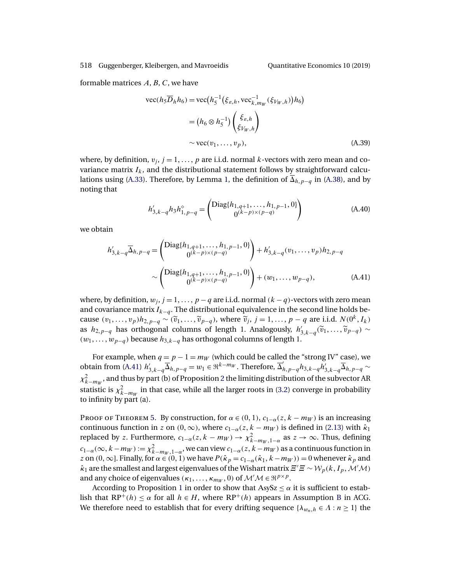formable matrices  $A, B, C$ , we have

$$
\begin{split} \text{vec}(h_5 \overline{D}_h h_6) &= \text{vec}\big(h_5^{-1} \big(\xi_{\varepsilon,h}, \text{vec}_{k, m_W}^{-1}(\xi_{V_W, h})\big) h_6\big) \\ &= \big(h_6 \otimes h_5^{-1}\big) \begin{pmatrix} \xi_{\varepsilon,h} \\ \xi_{V_W, h} \end{pmatrix} \\ &\sim \text{vec}(v_1, \dots, v_p), \end{split} \tag{A.39}
$$

where, by definition,  $v_i$ ,  $j = 1, \ldots, p$  are i.i.d. normal k-vectors with zero mean and covariance matrix  $I_k$ , and the distributional statement follows by straightforward calcu-lations using [\(A.33\)](#page-29-0). Therefore, by Lemma [1,](#page-30-0) the definition of  $\overline{\Delta}_{h,p-q}$  in [\(A.38\)](#page-31-0), and by noting that

$$
h'_{3,k-q}h_3h_{1,p-q}^{\diamond} = \begin{pmatrix} \text{Diag}\{h_{1,q+1},\ldots,h_{1,p-1},0\} \\ 0^{(k-p)\times(p-q)} \end{pmatrix}
$$
 (A.40)

we obtain

$$
h'_{3,k-q} \overline{\Delta}_{h,p-q} = \begin{pmatrix} \text{Diag}\{h_{1,q+1}, \dots, h_{1,p-1}, 0\} \\ 0^{(k-p)\times(p-q)} \end{pmatrix} + h'_{3,k-q}(v_1, \dots, v_p)h_{2,p-q}
$$

$$
\sim \begin{pmatrix} \text{Diag}\{h_{1,q+1}, \dots, h_{1,p-1}, 0\} \\ 0^{(k-p)\times(p-q)} \end{pmatrix} + (w_1, \dots, w_{p-q}), \quad (A.41)
$$

where, by definition,  $w_j$ ,  $j = 1, ..., p - q$  are i.i.d. normal  $(k - q)$ -vectors with zero mean and covariance matrix  $I_{k-q}$ . The distributional equivalence in the second line holds because  $(v_1,\ldots,v_p)h_{2,p-q} \sim (\tilde{v}_1,\ldots,\tilde{v}_{p-q})$ , where  $\tilde{v}_j$ ,  $j = 1,\ldots,p-q$  are i.i.d.  $N(0^k,I_k)$ as  $h_{2,p-q}$  has orthogonal columns of length 1. Analogously,  $h'_{3,k-q}(\tilde{v}_1,\ldots,\tilde{v}_{p-q}) \sim$  $(w_1,\ldots,w_{p-q})$  because  $h_{3,k-q}$  has orthogonal columns of length 1.

For example, when  $q = p - 1 = m_W$  (which could be called the "strong IV" case), we obtain from (A.41)  $h'_{3,k-q} \overline{\Delta}_{h,p-q}^1 = w_1 \in \mathbb{R}^{k-m_W}$ . Therefore,  $\overline{\Delta}_{h,p-q}^{\prime} h_{3,k-q} h'_{3,k-q} \overline{\Delta}_{h,p-q}^1 \sim$  $\chi^2_{k-m_W}$  $\chi^2_{k-m_W}$  $\chi^2_{k-m_W}$ , and thus by part (b) of Proposition 2 the limiting distribution of the subvector AR statistic is  $\chi^2_{k-m_W}$  in that case, while all the larger roots in [\(3.2\)](#page-15-0) converge in probability to infinity by part (a).

PROOF OF THEOREM [5.](#page-16-0) By construction, for  $\alpha \in (0,1)$ ,  $c_{1-\alpha}(z, k - m_W)$  is an increasing continuous function in z on  $(0, \infty)$ , where  $c_{1-\alpha}(z, k - m_W)$  is defined in [\(2.13\)](#page-8-0) with  $\hat{\kappa}_1$ replaced by z. Furthermore,  $c_{1-\alpha}(z, k - m_W) \to \chi^2_{k-m_W, 1-\alpha}$  as  $z \to \infty$ . Thus, defining  $c_{1-\alpha}(\infty,k-m_W) := \chi^2_{k-m_W,1-\alpha}$ , we can view  $c_{1-\alpha}(z,k-m_W)$  as a continuous function in z on  $(0, \infty]$ . Finally, for  $\alpha \in (0, 1)$  we have  $P(\hat{\kappa}_p = c_{1-\alpha}(\hat{\kappa}_1, k-m_W)) = 0$  whenever  $\hat{\kappa}_p$  and  $\hat{\kappa}_1$  are the smallest and largest eigenvalues of the Wishart matrix  $\varXi'\varXi\sim \mathcal{W}_p(k,I_p,\mathcal{M}'\mathcal{M})$ and any choice of eigenvalues  $(\kappa_1, \ldots, \kappa_{m_W}, 0)$  of  $\mathcal{M}' \mathcal{M} \in \mathbb{R}^{p \times p}$ .

According to Proposition [1](#page-27-0) in order to show that AsySz  $\leq \alpha$  it is sufficient to establish that  $RP^+(h) \leq \alpha$  for all  $h \in H$ , where  $RP^+(h)$  appears in Assumption [B](#page-14-0) in ACG. We therefore need to establish that for every drifting sequence  $\{\lambda_{w_n,h} \in \Lambda : n \geq 1\}$  the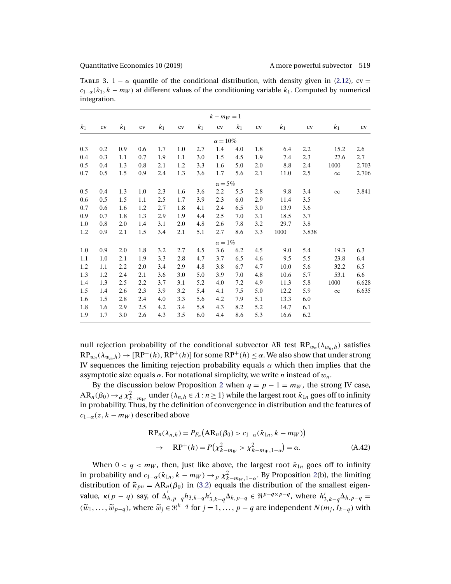<span id="page-33-0"></span>

| TABLE 3. $1 - \alpha$ quantile of the conditional distribution, with density given in (2.12), cv =                                |
|-----------------------------------------------------------------------------------------------------------------------------------|
| $c_{1-\alpha}(\hat{\kappa}_1, k - m_W)$ at different values of the conditioning variable $\hat{\kappa}_1$ . Computed by numerical |
| integration.                                                                                                                      |

|                  |     |                  |     |                  |     |                  | $k - m_W = 1$   |                  |         |                  |       |                  |       |
|------------------|-----|------------------|-----|------------------|-----|------------------|-----------------|------------------|---------|------------------|-------|------------------|-------|
| $\hat{\kappa}_1$ | CV  | $\hat{\kappa}_1$ | cv  | $\hat{\kappa}_1$ | CV  | $\hat{\kappa}_1$ | cv              | $\hat{\kappa}_1$ | CV      | $\hat{\kappa}_1$ | cv    | $\hat{\kappa}_1$ | cv    |
|                  |     |                  |     |                  |     |                  | $\alpha = 10\%$ |                  |         |                  |       |                  |       |
| 0.3              | 0.2 | 0.9              | 0.6 | 1.7              | 1.0 | 2.7              | 1.4             | 4.0              | 1.8     | 6.4              | 2.2   | 15.2             | 2.6   |
| 0.4              | 0.3 | 1.1              | 0.7 | 1.9              | 1.1 | 3.0              | 1.5             | 4.5              | 1.9     | 7.4              | 2.3   | 27.6             | 2.7   |
| 0.5              | 0.4 | 1.3              | 0.8 | 2.1              | 1.2 | 3.3              | 1.6             | 5.0              | 2.0     | 8.8              | 2.4   | 1000             | 2.703 |
| 0.7              | 0.5 | 1.5              | 0.9 | 2.4              | 1.3 | 3.6              | 1.7             | 5.6              | 2.1     | 11.0             | 2.5   | $\infty$         | 2.706 |
|                  |     |                  |     |                  |     |                  | $\alpha = 5\%$  |                  |         |                  |       |                  |       |
| 0.5              | 0.4 | 1.3              | 1.0 | 2.3              | 1.6 | 3.6              | $2.2\,$         | 5.5              | $2.8\,$ | 9.8              | 3.4   | $\infty$         | 3.841 |
| 0.6              | 0.5 | 1.5              | 1.1 | 2.5              | 1.7 | 3.9              | 2.3             | 6.0              | 2.9     | 11.4             | 3.5   |                  |       |
| 0.7              | 0.6 | 1.6              | 1.2 | 2.7              | 1.8 | 4.1              | 2.4             | 6.5              | 3.0     | 13.9             | 3.6   |                  |       |
| 0.9              | 0.7 | 1.8              | 1.3 | 2.9              | 1.9 | 4.4              | 2.5             | 7.0              | 3.1     | 18.5             | 3.7   |                  |       |
| 1.0              | 0.8 | 2.0              | 1.4 | 3.1              | 2.0 | 4.8              | 2.6             | 7.8              | 3.2     | 29.7             | 3.8   |                  |       |
| 1.2              | 0.9 | 2.1              | 1.5 | 3.4              | 2.1 | 5.1              | 2.7             | 8.6              | 3.3     | 1000             | 3.838 |                  |       |
|                  |     |                  |     |                  |     |                  | $\alpha = 1\%$  |                  |         |                  |       |                  |       |
| 1.0              | 0.9 | 2.0              | 1.8 | 3.2              | 2.7 | 4.5              | 3.6             | 6.2              | 4.5     | 9.0              | 5.4   | 19.3             | 6.3   |
| 1.1              | 1.0 | 2.1              | 1.9 | 3.3              | 2.8 | 4.7              | 3.7             | 6.5              | 4.6     | 9.5              | 5.5   | 23.8             | 6.4   |
| 1.2              | 1.1 | 2.2              | 2.0 | 3.4              | 2.9 | 4.8              | 3.8             | 6.7              | 4.7     | 10.0             | 5.6   | 32.2             | 6.5   |
| 1.3              | 1.2 | 2.4              | 2.1 | 3.6              | 3.0 | 5.0              | 3.9             | 7.0              | 4.8     | 10.6             | 5.7   | 53.1             | 6.6   |
| 1.4              | 1.3 | 2.5              | 2.2 | 3.7              | 3.1 | 5.2              | 4.0             | 7.2              | 4.9     | 11.3             | 5.8   | 1000             | 6.628 |
| 1.5              | 1.4 | 2.6              | 2.3 | 3.9              | 3.2 | 5.4              | 4.1             | 7.5              | 5.0     | 12.2             | 5.9   | $\infty$         | 6.635 |
| 1.6              | 1.5 | 2.8              | 2.4 | 4.0              | 3.3 | 5.6              | 4.2             | 7.9              | 5.1     | 13.3             | 6.0   |                  |       |
| 1.8              | 1.6 | 2.9              | 2.5 | 4.2              | 3.4 | 5.8              | 4.3             | 8.2              | 5.2     | 14.7             | 6.1   |                  |       |
| 1.9              | 1.7 | 3.0              | 2.6 | 4.3              | 3.5 | 6.0              | 4.4             | 8.6              | 5.3     | 16.6             | 6.2   |                  |       |

null rejection probability of the conditional subvector AR test  $RP_{w_n}(\lambda_{w_n,h})$  satisfies  $RP_{w_n}(\lambda_{w_n,h}) \to [RP^-(h), RP^+(h)]$  for some  $RP^+(h) \leq \alpha$ . We also show that under strong IV sequences the limiting rejection probability equals  $\alpha$  which then implies that the asymptotic size equals  $\alpha$ . For notational simplicity, we write *n* instead of  $w_n$ .

By the discussion below Proposition [2](#page-31-0) when  $q = p - 1 = m_W$ , the strong IV case,  $AR_n(\beta_0) \to_d \chi^2_{k-m_W}$  under  $\{\lambda_{n,h} \in \Lambda : n \geq 1\}$  while the largest root  $\hat{\kappa}_{1n}$  goes off to infinity in probability. Thus, by the definition of convergence in distribution and the features of  $c_{1-\alpha}(z, k - m_W)$  described above

$$
RP_n(\lambda_{n,h}) = P_{F_n}(AR_n(\beta_0) > c_{1-\alpha}(\hat{\kappa}_{1n}, k - m_W))
$$
  
\n
$$
\rightarrow RP^+(h) = P(\chi^2_{k-m_W} > \chi^2_{k-m_W, 1-\alpha}) = \alpha.
$$
 (A.42)

When  $0 < q < m_W$ , then, just like above, the largest root  $\hat{\kappa}_{1n}$  goes off to infinity in probability and  $c_{1-\alpha}(\hat{\kappa}_{1n}, k-m_W) \to_p \chi^2_{k-m_W, 1-\alpha}$ . By Proposition [2\(](#page-31-0)b), the limiting distribution of  $\hat{\kappa}_{pn} = AR_n(\beta_0)$  in [\(3.2\)](#page-15-0) equals the distribution of the smallest eigenvalue,  $\kappa(p-q)$  say, of  $\overline{\Delta}'_{h,p-q}h_{3,k-q}h'_{3,k-q}\overline{\Delta}_{h,p-q} \in \Re^{p-q\times p-q}$ , where  $h'_{3,k-q}\overline{\Delta}_{h,p-q}$  $(\widetilde{w}_1,\ldots,\widetilde{w}_{p-q}),$  where  $\widetilde{w}_i \in \mathbb{R}^{k-q}$  for  $j=1,\ldots,p-q$  are independent  $N(m_i,\widetilde{I}_{k-q})$  with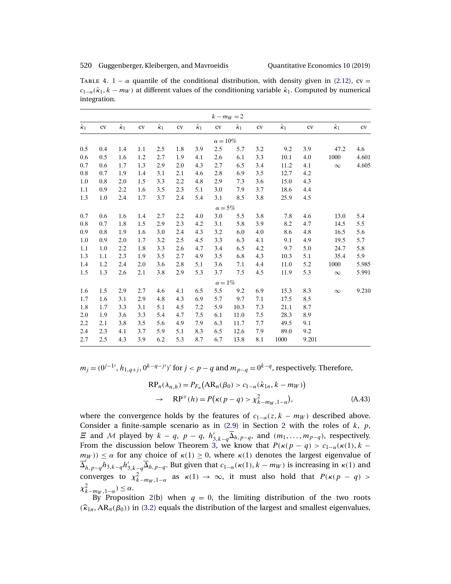<span id="page-34-0"></span>TABLE 4. 1 –  $\alpha$  quantile of the conditional distribution, with density given in [\(2.12\)](#page-7-0), cv =  $c_{1-\alpha}(\hat{\kappa}_1, k - m_W)$  at different values of the conditioning variable  $\hat{\kappa}_1$ . Computed by numerical integration.

|                  |               |                  |     |                  |     |                  |                 | $k - m_W = 2$    |     |                  |       |                  |       |
|------------------|---------------|------------------|-----|------------------|-----|------------------|-----------------|------------------|-----|------------------|-------|------------------|-------|
| $\hat{\kappa}_1$ | ${\rm\bf CV}$ | $\hat{\kappa}_1$ | cv  | $\hat{\kappa}_1$ | cv  | $\hat{\kappa}_1$ | cv              | $\hat{\kappa}_1$ | CV  | $\hat{\kappa}_1$ | cv    | $\hat{\kappa}_1$ | cv    |
|                  |               |                  |     |                  |     |                  | $\alpha = 10\%$ |                  |     |                  |       |                  |       |
| 0.5              | 0.4           | 1.4              | 1.1 | 2.5              | 1.8 | 3.9              | 2.5             | 5.7              | 3.2 | 9.2              | 3.9   | 47.2             | 4.6   |
| 0.6              | 0.5           | 1.6              | 1.2 | 2.7              | 1.9 | 4.1              | 2.6             | 6.1              | 3.3 | 10.1             | 4.0   | 1000             | 4.601 |
| 0.7              | 0.6           | 1.7              | 1.3 | 2.9              | 2.0 | 4.3              | 2.7             | 6.5              | 3.4 | 11.2             | 4.1   | $\infty$         | 4.605 |
| 0.8              | 0.7           | 1.9              | 1.4 | 3.1              | 2.1 | 4.6              | 2.8             | 6.9              | 3.5 | 12.7             | 4.2   |                  |       |
| 1.0              | 0.8           | 2.0              | 1.5 | 3.3              | 2.2 | 4.8              | 2.9             | 7.3              | 3.6 | 15.0             | 4.3   |                  |       |
| 1.1              | 0.9           | 2.2              | 1.6 | 3.5              | 2.3 | 5.1              | 3.0             | 7.9              | 3.7 | 18.6             | 4.4   |                  |       |
| 1.3              | 1.0           | 2.4              | 1.7 | 3.7              | 2.4 | 5.4              | 3.1             | 8.5              | 3.8 | 25.9             | 4.5   |                  |       |
|                  |               |                  |     |                  |     |                  | $\alpha = 5\%$  |                  |     |                  |       |                  |       |
| 0.7              | 0.6           | 1.6              | 1.4 | 2.7              | 2.2 | 4.0              | 3.0             | 5.5              | 3.8 | 7.8              | 4.6   | 13.0             | 5.4   |
| 0.8              | 0.7           | 1.8              | 1.5 | 2.9              | 2.3 | 4.2              | 3.1             | 5.8              | 3.9 | 8.2              | 4.7   | 14.5             | 5.5   |
| 0.9              | 0.8           | 1.9              | 1.6 | 3.0              | 2.4 | 4.3              | 3.2             | 6.0              | 4.0 | 8.6              | 4.8   | 16.5             | 5.6   |
| 1.0              | 0.9           | 2.0              | 1.7 | 3.2              | 2.5 | 4.5              | 3.3             | 6.3              | 4.1 | 9.1              | 4.9   | 19.5             | 5.7   |
| 1.1              | 1.0           | 2.2              | 1.8 | 3.3              | 2.6 | 4.7              | 3.4             | 6.5              | 4.2 | 9.7              | 5.0   | 24.7             | 5.8   |
| 1.3              | 1.1           | 2.3              | 1.9 | 3.5              | 2.7 | 4.9              | 3.5             | 6.8              | 4.3 | 10.3             | 5.1   | 35.4             | 5.9   |
| 1.4              | 1.2           | 2.4              | 2.0 | 3.6              | 2.8 | 5.1              | 3.6             | 7.1              | 4.4 | 11.0             | 5.2   | 1000             | 5.985 |
| 1.5              | 1.3           | 2.6              | 2.1 | 3.8              | 2.9 | 5.3              | 3.7             | 7.5              | 4.5 | 11.9             | 5.3   | $\infty$         | 5.991 |
|                  |               |                  |     |                  |     |                  | $\alpha=1\%$    |                  |     |                  |       |                  |       |
| 1.6              | 1.5           | 2.9              | 2.7 | 4.6              | 4.1 | 6.5              | 5.5             | 9.2              | 6.9 | 15.3             | 8.3   | $\infty$         | 9.210 |
| 1.7              | 1.6           | 3.1              | 2.9 | 4.8              | 4.3 | 6.9              | 5.7             | 9.7              | 7.1 | 17.5             | 8.5   |                  |       |
| 1.8              | 1.7           | 3.3              | 3.1 | 5.1              | 4.5 | 7.2              | 5.9             | 10.3             | 7.3 | 21.1             | 8.7   |                  |       |
| 2.0              | 1.9           | 3.6              | 3.3 | 5.4              | 4.7 | 7.5              | 6.1             | 11.0             | 7.5 | 28.3             | 8.9   |                  |       |
| 2.2              | 2.1           | 3.8              | 3.5 | 5.6              | 4.9 | 7.9              | 6.3             | 11.7             | 7.7 | 49.5             | 9.1   |                  |       |
| 2.4              | 2.3           | 4.1              | 3.7 | 5.9              | 5.1 | 8.3              | 6.5             | 12.6             | 7.9 | 89.0             | 9.2   |                  |       |
| 2.7              | 2.5           | 4.3              | 3.9 | 6.2              | 5.3 | 8.7              | 6.7             | 13.8             | 8.1 | 1000             | 9.201 |                  |       |

 $m_j = (0^{j-1}, h_{1,q+j}, 0^{k-q-j}t')'$  for  $j < p-q$  and  $m_{p-q} = 0^{k-q}$ , respectively. Therefore,

$$
RP_n(\lambda_{n,h}) = P_{F_n} \left( AR_n(\beta_0) > c_{1-\alpha}(\hat{\kappa}_{1n}, k - m_W) \right)
$$
  
\n
$$
\rightarrow RP^+(h) = P\left(\kappa(p-q) > \chi^2_{k-m_W, 1-\alpha}\right), \tag{A.43}
$$

where the convergence holds by the features of  $c_{1-\alpha}(z, k - m_W)$  described above. Consider a finite-sample scenario as in  $(2.9)$  in Section [2](#page-4-0) with the roles of  $k$ ,  $p$ ,  $\Xi$  and M played by  $k - q$ ,  $p - q$ ,  $h'_{3,k-q} \overline{\Delta}_{h,p-q}$ , and  $(m_1, \ldots, m_{p-q})$ , respectively. From the discussion below Theorem [3,](#page-13-0) we know that  $P(\kappa(p - q) > c_{1-\alpha}(\kappa(1), k - q))$  $m_W$ ))  $\leq \alpha$  for any choice of  $\kappa(1) \geq 0$ , where  $\kappa(1)$  denotes the largest eigenvalue of  $\overline{\Delta}_{h,p-q}^{n',n'-1}$   $\overline{A}_{h,p-q}$ , But given that  $c_{1-\alpha}(\kappa(1),k-m_W)$  is increasing in  $\kappa(1)$  and converges to  $\chi^2_{k-m_W,1-\alpha}$  as  $\kappa(1) \to \infty$ , it must also hold that  $P(\kappa(p-q) >$  $\chi^2_{k-m_W,1-\alpha}$ ) ≤  $\alpha$ .

By Proposition [2\(](#page-31-0)b) when  $q = 0$ , the limiting distribution of the two roots  $(\widehat{\kappa}_{1n},AR_n(\beta_0))$  in [\(3.2\)](#page-15-0) equals the distribution of the largest and smallest eigenvalues,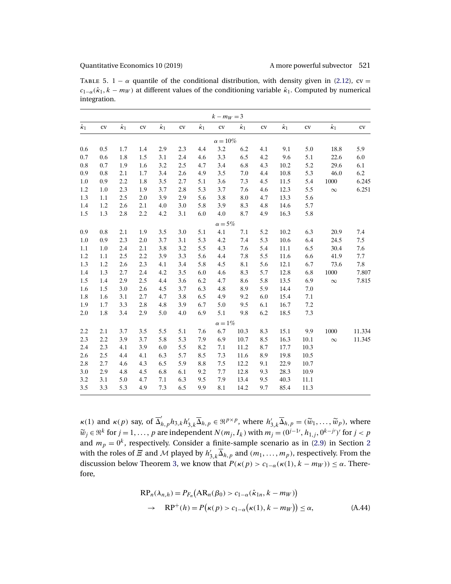TABLE 5. 1 –  $\alpha$  quantile of the conditional distribution, with density given in [\(2.12\)](#page-7-0), cv =  $c_{1-\alpha}(\hat{k}_1, k - m_W)$  at different values of the conditioning variable  $\hat{k}_1$ . Computed by numerical integration.

|                  |           |                  |     |                  |     |                  | $k - m_W = 3$  |                  |               |                  |      |                  |        |
|------------------|-----------|------------------|-----|------------------|-----|------------------|----------------|------------------|---------------|------------------|------|------------------|--------|
| $\hat{\kappa}_1$ | CV        | $\hat{\kappa}_1$ | cv  | $\hat{\kappa}_1$ | cv  | $\hat{\kappa}_1$ | ${\rm\bf CV}$  | $\hat{\kappa}_1$ | ${\rm\bf CV}$ | $\hat{\kappa}_1$ | CV   | $\hat{\kappa}_1$ | cv     |
|                  |           |                  |     |                  |     |                  | $\alpha=10\%$  |                  |               |                  |      |                  |        |
| 0.6              | 0.5       | 1.7              | 1.4 | 2.9              | 2.3 | 4.4              | 3.2            | 6.2              | 4.1           | 9.1              | 5.0  | 18.8             | 5.9    |
| 0.7              | 0.6       | 1.8              | 1.5 | 3.1              | 2.4 | 4.6              | 3.3            | 6.5              | 4.2           | 9.6              | 5.1  | 22.6             | 6.0    |
| 0.8              | 0.7       | 1.9              | 1.6 | 3.2              | 2.5 | 4.7              | 3.4            | 6.8              | 4.3           | 10.2             | 5.2  | 29.6             | 6.1    |
| 0.9              | $\rm 0.8$ | 2.1              | 1.7 | 3.4              | 2.6 | 4.9              | 3.5            | 7.0              | 4.4           | $10.8\,$         | 5.3  | 46.0             | 6.2    |
| 1.0              | 0.9       | 2.2              | 1.8 | 3.5              | 2.7 | 5.1              | 3.6            | 7.3              | 4.5           | 11.5             | 5.4  | 1000             | 6.245  |
| 1.2              | 1.0       | 2.3              | 1.9 | 3.7              | 2.8 | 5.3              | 3.7            | 7.6              | 4.6           | 12.3             | 5.5  | $\infty$         | 6.251  |
| 1.3              | 1.1       | 2.5              | 2.0 | 3.9              | 2.9 | 5.6              | 3.8            | 8.0              | 4.7           | 13.3             | 5.6  |                  |        |
| 1.4              | 1.2       | 2.6              | 2.1 | 4.0              | 3.0 | 5.8              | 3.9            | 8.3              | 4.8           | 14.6             | 5.7  |                  |        |
| 1.5              | 1.3       | 2.8              | 2.2 | 4.2              | 3.1 | 6.0              | 4.0            | 8.7              | 4.9           | 16.3             | 5.8  |                  |        |
|                  |           |                  |     |                  |     |                  | $\alpha = 5\%$ |                  |               |                  |      |                  |        |
| 0.9              | 0.8       | 2.1              | 1.9 | 3.5              | 3.0 | 5.1              | 4.1            | 7.1              | 5.2           | 10.2             | 6.3  | 20.9             | 7.4    |
| 1.0              | 0.9       | 2.3              | 2.0 | 3.7              | 3.1 | 5.3              | 4.2            | 7.4              | 5.3           | 10.6             | 6.4  | 24.5             | 7.5    |
| 1.1              | $1.0\,$   | 2.4              | 2.1 | 3.8              | 3.2 | 5.5              | 4.3            | 7.6              | 5.4           | 11.1             | 6.5  | 30.4             | 7.6    |
| 1.2              | 1.1       | 2.5              | 2.2 | 3.9              | 3.3 | 5.6              | 4.4            | 7.8              | 5.5           | 11.6             | 6.6  | 41.9             | 7.7    |
| 1.3              | 1.2       | 2.6              | 2.3 | 4.1              | 3.4 | 5.8              | 4.5            | 8.1              | 5.6           | 12.1             | 6.7  | 73.6             | 7.8    |
| 1.4              | 1.3       | 2.7              | 2.4 | 4.2              | 3.5 | 6.0              | 4.6            | 8.3              | 5.7           | 12.8             | 6.8  | $1000\,$         | 7.807  |
| 1.5              | 1.4       | 2.9              | 2.5 | 4.4              | 3.6 | 6.2              | 4.7            | 8.6              | 5.8           | 13.5             | 6.9  | $\infty$         | 7.815  |
| 1.6              | 1.5       | 3.0              | 2.6 | 4.5              | 3.7 | 6.3              | 4.8            | 8.9              | 5.9           | 14.4             | 7.0  |                  |        |
| 1.8              | 1.6       | 3.1              | 2.7 | 4.7              | 3.8 | 6.5              | 4.9            | 9.2              | 6.0           | 15.4             | 7.1  |                  |        |
| 1.9              | 1.7       | 3.3              | 2.8 | 4.8              | 3.9 | 6.7              | 5.0            | 9.5              | 6.1           | 16.7             | 7.2  |                  |        |
| 2.0              | 1.8       | 3.4              | 2.9 | 5.0              | 4.0 | 6.9              | 5.1            | 9.8              | 6.2           | 18.5             | 7.3  |                  |        |
|                  |           |                  |     |                  |     |                  | $\alpha = 1\%$ |                  |               |                  |      |                  |        |
| 2.2              | 2.1       | 3.7              | 3.5 | 5.5              | 5.1 | 7.6              | 6.7            | 10.3             | 8.3           | 15.1             | 9.9  | 1000             | 11.334 |
| 2.3              | 2.2       | 3.9              | 3.7 | 5.8              | 5.3 | 7.9              | 6.9            | 10.7             | 8.5           | 16.3             | 10.1 | $\infty$         | 11.345 |
| 2.4              | 2.3       | 4.1              | 3.9 | 6.0              | 5.5 | 8.2              | 7.1            | 11.2             | 8.7           | 17.7             | 10.3 |                  |        |
| 2.6              | 2.5       | 4.4              | 4.1 | 6.3              | 5.7 | 8.5              | 7.3            | 11.6             | 8.9           | 19.8             | 10.5 |                  |        |
| 2.8              | 2.7       | 4.6              | 4.3 | 6.5              | 5.9 | 8.8              | 7.5            | 12.2             | 9.1           | 22.9             | 10.7 |                  |        |
| 3.0              | 2.9       | 4.8              | 4.5 | 6.8              | 6.1 | 9.2              | 7.7            | 12.8             | 9.3           | 28.3             | 10.9 |                  |        |
| 3.2              | 3.1       | 5.0              | 4.7 | 7.1              | 6.3 | 9.5              | 7.9            | 13.4             | 9.5           | 40.3             | 11.1 |                  |        |
| 3.5              | 3.3       | 5.3              | 4.9 | 7.3              | 6.5 | 9.9              | 8.1            | 14.2             | 9.7           | 85.4             | 11.3 |                  |        |

 $\kappa(1)$  and  $\kappa(p)$  say, of  $\overline{\Delta}_{h,p}' h_{3,k} h'_{3,k} \overline{\Delta}_{h,p} \in \Re^{p \times p}$ , where  $h'_{3,k} \overline{\Delta}_{h,p} = (\widetilde{w}_1, \dots, \widetilde{w}_p)$ , where  $\widetilde{w}_j \in \mathbb{R}^k$  for  $j = 1, \ldots, p$  are independent  $N(m_j, I_k)$  with  $m_j = (0^{j-1}, h_{1,j}, 0^{k-j})'$  for  $j < p$ <br>and  $w = 0^k$ , representively Consider a finite segments as in (2,0) in Section 2. and  $m_p = 0^k$ , respectively. Consider a finite-sample scenario as in [\(2.9\)](#page-5-0) in Section [2](#page-4-0) with the roles of  $\Xi$  and  $\cal M$  played by  $h'_{3,k}\overline{\Delta}_{h,p}$  and  $(m_1,\ldots,m_p)$ , respectively. From the discussion below Theorem [3,](#page-13-0) we know that  $P(\kappa(p) > c_{1-\alpha}(\kappa(1), k - m_W)) \leq \alpha$ . Therefore,

$$
RP_n(\lambda_{n,h}) = P_{F_n}(AR_n(\beta_0) > c_{1-\alpha}(\hat{\kappa}_{1n}, k - m_W))
$$
  
\n
$$
\rightarrow RP^+(h) = P(\kappa(p) > c_{1-\alpha}(\kappa(1), k - m_W)) \le \alpha,
$$
 (A.44)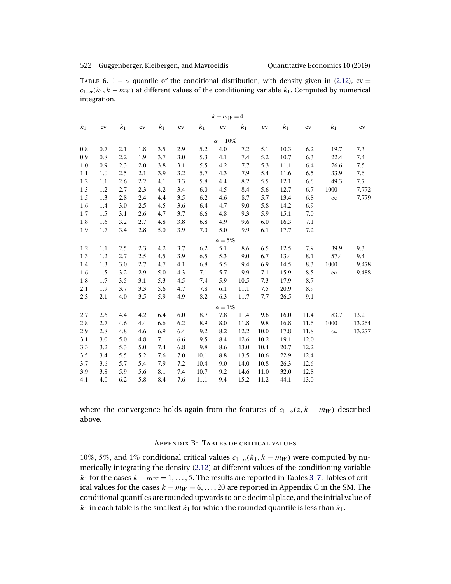<span id="page-36-0"></span>

| TABLE 6. $1 - \alpha$ quantile of the conditional distribution, with density given in (2.12), cv =                                |
|-----------------------------------------------------------------------------------------------------------------------------------|
| $c_{1-\alpha}(\hat{\kappa}_1, k - m_W)$ at different values of the conditioning variable $\hat{\kappa}_1$ . Computed by numerical |
| integration.                                                                                                                      |

|                  |         |                  |     |                  |     |                  | $k - m_W = 4$   |                  |      |                  |      |                  |        |
|------------------|---------|------------------|-----|------------------|-----|------------------|-----------------|------------------|------|------------------|------|------------------|--------|
| $\hat{\kappa}_1$ | cv      | $\hat{\kappa}_1$ | cv  | $\hat{\kappa}_1$ | cv  | $\hat{\kappa}_1$ | ${\rm\bf CV}$   | $\hat{\kappa}_1$ | cv   | $\hat{\kappa}_1$ | cv   | $\hat{\kappa}_1$ | cv     |
|                  |         |                  |     |                  |     |                  | $\alpha = 10\%$ |                  |      |                  |      |                  |        |
| 0.8              | 0.7     | 2.1              | 1.8 | 3.5              | 2.9 | 5.2              | 4.0             | 7.2              | 5.1  | 10.3             | 6.2  | 19.7             | 7.3    |
| 0.9              | 0.8     | 2.2              | 1.9 | 3.7              | 3.0 | 5.3              | 4.1             | 7.4              | 5.2  | 10.7             | 6.3  | 22.4             | 7.4    |
| 1.0              | 0.9     | 2.3              | 2.0 | 3.8              | 3.1 | 5.5              | 4.2             | 7.7              | 5.3  | 11.1             | 6.4  | 26.6             | 7.5    |
| 1.1              | $1.0\,$ | 2.5              | 2.1 | 3.9              | 3.2 | 5.7              | 4.3             | 7.9              | 5.4  | 11.6             | 6.5  | 33.9             | 7.6    |
| 1.2              | 1.1     | 2.6              | 2.2 | 4.1              | 3.3 | 5.8              | 4.4             | 8.2              | 5.5  | 12.1             | 6.6  | 49.3             | 7.7    |
| 1.3              | 1.2     | 2.7              | 2.3 | 4.2              | 3.4 | 6.0              | 4.5             | 8.4              | 5.6  | 12.7             | 6.7  | 1000             | 7.772  |
| 1.5              | 1.3     | 2.8              | 2.4 | 4.4              | 3.5 | 6.2              | 4.6             | 8.7              | 5.7  | 13.4             | 6.8  | $\infty$         | 7.779  |
| 1.6              | 1.4     | 3.0              | 2.5 | 4.5              | 3.6 | 6.4              | 4.7             | 9.0              | 5.8  | 14.2             | 6.9  |                  |        |
| 1.7              | 1.5     | 3.1              | 2.6 | 4.7              | 3.7 | 6.6              | 4.8             | 9.3              | 5.9  | 15.1             | 7.0  |                  |        |
| 1.8              | 1.6     | 3.2              | 2.7 | 4.8              | 3.8 | 6.8              | 4.9             | 9.6              | 6.0  | 16.3             | 7.1  |                  |        |
| 1.9              | 1.7     | 3.4              | 2.8 | 5.0              | 3.9 | 7.0              | 5.0             | 9.9              | 6.1  | 17.7             | 7.2  |                  |        |
|                  |         |                  |     |                  |     |                  | $\alpha = 5\%$  |                  |      |                  |      |                  |        |
| 1.2              | 1.1     | 2.5              | 2.3 | 4.2              | 3.7 | 6.2              | 5.1             | 8.6              | 6.5  | 12.5             | 7.9  | 39.9             | 9.3    |
| 1.3              | 1.2     | 2.7              | 2.5 | 4.5              | 3.9 | 6.5              | 5.3             | 9.0              | 6.7  | 13.4             | 8.1  | 57.4             | 9.4    |
| 1.4              | 1.3     | 3.0              | 2.7 | 4.7              | 4.1 | 6.8              | 5.5             | 9.4              | 6.9  | 14.5             | 8.3  | 1000             | 9.478  |
| 1.6              | 1.5     | 3.2              | 2.9 | 5.0              | 4.3 | 7.1              | 5.7             | 9.9              | 7.1  | 15.9             | 8.5  | $\infty$         | 9.488  |
| 1.8              | 1.7     | 3.5              | 3.1 | 5.3              | 4.5 | 7.4              | 5.9             | 10.5             | 7.3  | 17.9             | 8.7  |                  |        |
| 2.1              | 1.9     | 3.7              | 3.3 | 5.6              | 4.7 | 7.8              | 6.1             | 11.1             | 7.5  | 20.9             | 8.9  |                  |        |
| 2.3              | 2.1     | 4.0              | 3.5 | 5.9              | 4.9 | 8.2              | 6.3             | 11.7             | 7.7  | 26.5             | 9.1  |                  |        |
|                  |         |                  |     |                  |     |                  | $\alpha = 1\%$  |                  |      |                  |      |                  |        |
| 2.7              | 2.6     | 4.4              | 4.2 | 6.4              | 6.0 | 8.7              | 7.8             | 11.4             | 9.6  | 16.0             | 11.4 | 83.7             | 13.2   |
| 2.8              | 2.7     | 4.6              | 4.4 | 6.6              | 6.2 | 8.9              | 8.0             | 11.8             | 9.8  | 16.8             | 11.6 | 1000             | 13.264 |
| 2.9              | 2.8     | 4.8              | 4.6 | 6.9              | 6.4 | 9.2              | 8.2             | 12.2             | 10.0 | 17.8             | 11.8 | $\infty$         | 13.277 |
| 3.1              | 3.0     | 5.0              | 4.8 | 7.1              | 6.6 | 9.5              | 8.4             | 12.6             | 10.2 | 19.1             | 12.0 |                  |        |
| 3.3              | 3.2     | 5.3              | 5.0 | 7.4              | 6.8 | 9.8              | 8.6             | 13.0             | 10.4 | 20.7             | 12.2 |                  |        |
| 3.5              | 3.4     | 5.5              | 5.2 | 7.6              | 7.0 | 10.1             | 8.8             | 13.5             | 10.6 | 22.9             | 12.4 |                  |        |
| 3.7              | 3.6     | 5.7              | 5.4 | 7.9              | 7.2 | $10.4\,$         | 9.0             | 14.0             | 10.8 | 26.3             | 12.6 |                  |        |
| 3.9              | 3.8     | 5.9              | 5.6 | 8.1              | 7.4 | 10.7             | 9.2             | 14.6             | 11.0 | 32.0             | 12.8 |                  |        |
| 4.1              | 4.0     | 6.2              | 5.8 | 8.4              | 7.6 | 11.1             | 9.4             | 15.2             | 11.2 | 44.1             | 13.0 |                  |        |

where the convergence holds again from the features of  $c_{1-\alpha}(z, k - m_W)$  described above.  $\Box$ 

# Appendix B: Tables of critical values

10%, 5%, and 1% conditional critical values  $c_{1-\alpha}(\hat{\kappa}_1, k - m_W)$  were computed by numerically integrating the density [\(2.12\)](#page-7-0) at different values of the conditioning variable  $\hat{\kappa}_1$  for the cases  $k - m_W = 1, \ldots, 5$ . The results are reported in Tables [3–](#page-33-0)[7.](#page-37-0) Tables of critical values for the cases  $k - m_W = 6, \ldots, 20$  are reported in Appendix C in the SM. The conditional quantiles are rounded upwards to one decimal place, and the initial value of  $\hat{\kappa}_1$  in each table is the smallest  $\hat{\kappa}_1$  for which the rounded quantile is less than  $\hat{\kappa}_1$ .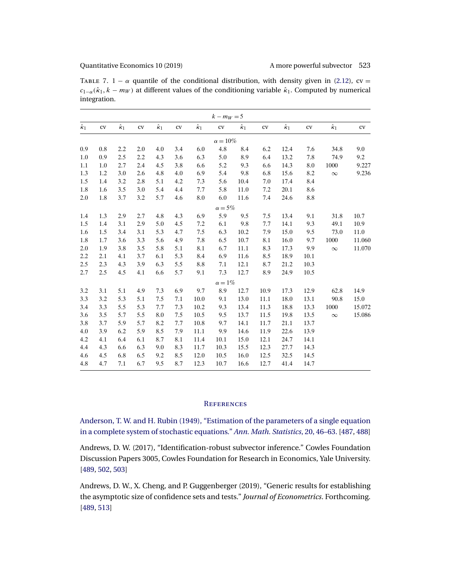<span id="page-37-0"></span>

| TABLE 7. 1 – $\alpha$ quantile of the conditional distribution, with density given in (2.12), cv =                              |
|---------------------------------------------------------------------------------------------------------------------------------|
| $c_{1-\alpha}(\hat{\kappa}_1, k-m_W)$ at different values of the conditioning variable $\hat{\kappa}_1$ . Computed by numerical |
| integration.                                                                                                                    |

|                  |               |                  |     |                  |     |                  | $k - m_W = 5$   |                  |               |                  |               |                  |               |
|------------------|---------------|------------------|-----|------------------|-----|------------------|-----------------|------------------|---------------|------------------|---------------|------------------|---------------|
| $\hat{\kappa}_1$ | ${\rm\bf CV}$ | $\hat{\kappa}_1$ | cv  | $\hat{\kappa}_1$ | CV  | $\hat{\kappa}_1$ | ${\rm\bf CV}$   | $\hat{\kappa}_1$ | ${\rm\bf CV}$ | $\hat{\kappa}_1$ | ${\rm\bf CV}$ | $\hat{\kappa}_1$ | ${\rm\bf CV}$ |
|                  |               |                  |     |                  |     |                  | $\alpha = 10\%$ |                  |               |                  |               |                  |               |
| 0.9              | 0.8           | 2.2              | 2.0 | 4.0              | 3.4 | 6.0              | 4.8             | 8.4              | 6.2           | 12.4             | 7.6           | 34.8             | 9.0           |
| 1.0              | 0.9           | 2.5              | 2.2 | 4.3              | 3.6 | 6.3              | 5.0             | 8.9              | 6.4           | 13.2             | 7.8           | 74.9             | 9.2           |
| 1.1              | 1.0           | 2.7              | 2.4 | 4.5              | 3.8 | 6.6              | 5.2             | 9.3              | 6.6           | 14.3             | 8.0           | 1000             | 9.227         |
| 1.3              | 1.2           | 3.0              | 2.6 | 4.8              | 4.0 | 6.9              | 5.4             | 9.8              | 6.8           | 15.6             | 8.2           | $\infty$         | 9.236         |
| 1.5              | 1.4           | 3.2              | 2.8 | 5.1              | 4.2 | 7.3              | 5.6             | 10.4             | 7.0           | 17.4             | 8.4           |                  |               |
| 1.8              | 1.6           | 3.5              | 3.0 | 5.4              | 4.4 | 7.7              | 5.8             | 11.0             | 7.2           | 20.1             | 8.6           |                  |               |
| 2.0              | 1.8           | 3.7              | 3.2 | 5.7              | 4.6 | 8.0              | 6.0             | 11.6             | 7.4           | 24.6             | 8.8           |                  |               |
|                  |               |                  |     |                  |     |                  | $\alpha=5\%$    |                  |               |                  |               |                  |               |
| 1.4              | 1.3           | 2.9              | 2.7 | 4.8              | 4.3 | 6.9              | 5.9             | 9.5              | 7.5           | 13.4             | 9.1           | 31.8             | 10.7          |
| 1.5              | 1.4           | 3.1              | 2.9 | 5.0              | 4.5 | 7.2              | 6.1             | 9.8              | 7.7           | 14.1             | 9.3           | 49.1             | 10.9          |
| 1.6              | 1.5           | 3.4              | 3.1 | 5.3              | 4.7 | 7.5              | 6.3             | 10.2             | 7.9           | 15.0             | 9.5           | 73.0             | 11.0          |
| 1.8              | 1.7           | 3.6              | 3.3 | 5.6              | 4.9 | 7.8              | 6.5             | 10.7             | 8.1           | 16.0             | 9.7           | 1000             | 11.060        |
| 2.0              | 1.9           | 3.8              | 3.5 | 5.8              | 5.1 | 8.1              | 6.7             | 11.1             | 8.3           | 17.3             | 9.9           | $\infty$         | 11.070        |
| 2.2              | 2.1           | 4.1              | 3.7 | 6.1              | 5.3 | 8.4              | 6.9             | 11.6             | 8.5           | 18.9             | 10.1          |                  |               |
| 2.5              | 2.3           | 4.3              | 3.9 | 6.3              | 5.5 | 8.8              | 7.1             | 12.1             | 8.7           | 21.2             | 10.3          |                  |               |
| 2.7              | 2.5           | 4.5              | 4.1 | 6.6              | 5.7 | 9.1              | 7.3             | 12.7             | 8.9           | 24.9             | 10.5          |                  |               |
|                  |               |                  |     |                  |     |                  | $\alpha=1\%$    |                  |               |                  |               |                  |               |
| 3.2              | 3.1           | 5.1              | 4.9 | 7.3              | 6.9 | 9.7              | 8.9             | 12.7             | 10.9          | 17.3             | 12.9          | 62.8             | 14.9          |
| 3.3              | 3.2           | 5.3              | 5.1 | 7.5              | 7.1 | 10.0             | 9.1             | 13.0             | 11.1          | 18.0             | 13.1          | 90.8             | 15.0          |
| 3.4              | 3.3           | 5.5              | 5.3 | 7.7              | 7.3 | 10.2             | 9.3             | 13.4             | 11.3          | 18.8             | 13.3          | 1000             | 15.072        |
| 3.6              | 3.5           | 5.7              | 5.5 | 8.0              | 7.5 | 10.5             | 9.5             | 13.7             | 11.5          | 19.8             | 13.5          | $\infty$         | 15.086        |
| 3.8              | 3.7           | 5.9              | 5.7 | 8.2              | 7.7 | 10.8             | 9.7             | 14.1             | 11.7          | 21.1             | 13.7          |                  |               |
| 4.0              | 3.9           | 6.2              | 5.9 | 8.5              | 7.9 | 11.1             | 9.9             | 14.6             | 11.9          | 22.6             | 13.9          |                  |               |
| 4.2              | 4.1           | 6.4              | 6.1 | 8.7              | 8.1 | 11.4             | 10.1            | 15.0             | 12.1          | 24.7             | 14.1          |                  |               |
| 4.4              | 4.3           | 6.6              | 6.3 | 9.0              | 8.3 | 11.7             | 10.3            | 15.5             | 12.3          | 27.7             | 14.3          |                  |               |
| 4.6              | 4.5           | 6.8              | 6.5 | 9.2              | 8.5 | 12.0             | 10.5            | 16.0             | 12.5          | 32.5             | 14.5          |                  |               |
| 4.8              | 4.7           | 7.1              | 6.7 | 9.5              | 8.7 | 12.3             | 10.7            | 16.6             | 12.7          | 41.4             | 14.7          |                  |               |

# **REFERENCES**

[Anderson, T. W. and H. Rubin \(1949\), "Estimation of the parameters of a single equation](http://www.e-publications.org/srv/qe/linkserver/openurl?rft_dat=bib:1/Ande49&rfe_id=urn:sici%2F1759-7323%28201905%2910%3A2%3C487%3AAMPSAR%3E2.0.CO%3B2-P) [in a complete system of stochastic equations."](http://www.e-publications.org/srv/qe/linkserver/openurl?rft_dat=bib:1/Ande49&rfe_id=urn:sici%2F1759-7323%28201905%2910%3A2%3C487%3AAMPSAR%3E2.0.CO%3B2-P) *Ann. Math. Statistics*, 20, 46–63. [\[487,](#page-1-0) [488\]](#page-2-0)

Andrews, D. W. (2017), "Identification-robust subvector inference." Cowles Foundation Discussion Papers 3005, Cowles Foundation for Research in Economics, Yale University. [\[489,](#page-3-0) [502,](#page-16-0) [503\]](#page-17-0)

Andrews, D. W., X. Cheng, and P. Guggenberger (2019), "Generic results for establishing the asymptotic size of confidence sets and tests." *Journal of Econometrics*. Forthcoming. [\[489,](#page-3-0) [513\]](#page-27-0)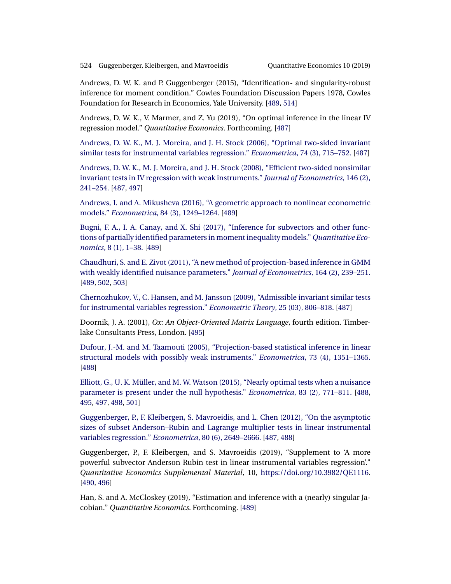<span id="page-38-0"></span>Andrews, D. W. K. and P. Guggenberger (2015), "Identification- and singularity-robust inference for moment condition." Cowles Foundation Discussion Papers 1978, Cowles Foundation for Research in Economics, Yale University. [\[489,](#page-3-0) [514\]](#page-28-0)

Andrews, D. W. K., V. Marmer, and Z. Yu (2019), "On optimal inference in the linear IV regression model." *Quantitative Economics*. Forthcoming. [\[487\]](#page-1-0)

[Andrews, D. W. K., M. J. Moreira, and J. H. Stock \(2006\), "Optimal two-sided invariant](http://www.e-publications.org/srv/qe/linkserver/openurl?rft_dat=bib:6/AndrewsMoreiraStock06&rfe_id=urn:sici%2F1759-7323%28201905%2910%3A2%3C487%3AAMPSAR%3E2.0.CO%3B2-P) [similar tests for instrumental variables regression."](http://www.e-publications.org/srv/qe/linkserver/openurl?rft_dat=bib:6/AndrewsMoreiraStock06&rfe_id=urn:sici%2F1759-7323%28201905%2910%3A2%3C487%3AAMPSAR%3E2.0.CO%3B2-P) *Econometrica*, 74 (3), 715–752. [\[487\]](#page-1-0)

[Andrews, D. W. K., M. J. Moreira, and J. H. Stock \(2008\), "Efficient two-sided nonsimilar](http://www.e-publications.org/srv/qe/linkserver/openurl?rft_dat=bib:7/AndrewsMoreiraStock2008&rfe_id=urn:sici%2F1759-7323%28201905%2910%3A2%3C487%3AAMPSAR%3E2.0.CO%3B2-P) [invariant tests in IV regression with weak instruments."](http://www.e-publications.org/srv/qe/linkserver/openurl?rft_dat=bib:7/AndrewsMoreiraStock2008&rfe_id=urn:sici%2F1759-7323%28201905%2910%3A2%3C487%3AAMPSAR%3E2.0.CO%3B2-P) *Journal of Econometrics*, 146 (2), [241–254.](http://www.e-publications.org/srv/qe/linkserver/openurl?rft_dat=bib:7/AndrewsMoreiraStock2008&rfe_id=urn:sici%2F1759-7323%28201905%2910%3A2%3C487%3AAMPSAR%3E2.0.CO%3B2-P) [\[487,](#page-1-0) [497\]](#page-11-0)

[Andrews, I. and A. Mikusheva \(2016\), "A geometric approach to nonlinear econometric](http://www.e-publications.org/srv/qe/linkserver/openurl?rft_dat=bib:8/AndrewsMikusheva2016geometric&rfe_id=urn:sici%2F1759-7323%28201905%2910%3A2%3C487%3AAMPSAR%3E2.0.CO%3B2-P) models." *Econometrica*[, 84 \(3\), 1249–1264.](http://www.e-publications.org/srv/qe/linkserver/openurl?rft_dat=bib:8/AndrewsMikusheva2016geometric&rfe_id=urn:sici%2F1759-7323%28201905%2910%3A2%3C487%3AAMPSAR%3E2.0.CO%3B2-P) [\[489\]](#page-3-0)

[Bugni, F. A., I. A. Canay, and X. Shi \(2017\), "Inference for subvectors and other func](http://www.e-publications.org/srv/qe/linkserver/openurl?rft_dat=bib:9/BugniCanayShi2017&rfe_id=urn:sici%2F1759-7323%28201905%2910%3A2%3C487%3AAMPSAR%3E2.0.CO%3B2-P)[tions of partially identified parameters in moment inequality models."](http://www.e-publications.org/srv/qe/linkserver/openurl?rft_dat=bib:9/BugniCanayShi2017&rfe_id=urn:sici%2F1759-7323%28201905%2910%3A2%3C487%3AAMPSAR%3E2.0.CO%3B2-P) *Quantitative Economics*[, 8 \(1\), 1–38.](http://www.e-publications.org/srv/qe/linkserver/openurl?rft_dat=bib:9/BugniCanayShi2017&rfe_id=urn:sici%2F1759-7323%28201905%2910%3A2%3C487%3AAMPSAR%3E2.0.CO%3B2-P) [\[489\]](#page-3-0)

[Chaudhuri, S. and E. Zivot \(2011\), "A new method of projection-based inference in GMM](http://www.e-publications.org/srv/qe/linkserver/openurl?rft_dat=bib:10/ChaudhuriZivot2011&rfe_id=urn:sici%2F1759-7323%28201905%2910%3A2%3C487%3AAMPSAR%3E2.0.CO%3B2-P) [with weakly identified nuisance parameters."](http://www.e-publications.org/srv/qe/linkserver/openurl?rft_dat=bib:10/ChaudhuriZivot2011&rfe_id=urn:sici%2F1759-7323%28201905%2910%3A2%3C487%3AAMPSAR%3E2.0.CO%3B2-P) *Journal of Econometrics*, 164 (2), 239–251. [\[489,](#page-3-0) [502,](#page-16-0) [503\]](#page-17-0)

[Chernozhukov, V., C. Hansen, and M. Jansson \(2009\), "Admissible invariant similar tests](http://www.e-publications.org/srv/qe/linkserver/openurl?rft_dat=bib:11/ChernozhukovHansenJansson2009&rfe_id=urn:sici%2F1759-7323%28201905%2910%3A2%3C487%3AAMPSAR%3E2.0.CO%3B2-P) [for instrumental variables regression."](http://www.e-publications.org/srv/qe/linkserver/openurl?rft_dat=bib:11/ChernozhukovHansenJansson2009&rfe_id=urn:sici%2F1759-7323%28201905%2910%3A2%3C487%3AAMPSAR%3E2.0.CO%3B2-P) *Econometric Theory*, 25 (03), 806–818. [\[487\]](#page-1-0)

Doornik, J. A. (2001), *Ox: An Object-Oriented Matrix Language*, fourth edition. Timberlake Consultants Press, London. [\[495\]](#page-9-0)

[Dufour, J.-M. and M. Taamouti \(2005\), "Projection-based statistical inference in linear](http://www.e-publications.org/srv/qe/linkserver/openurl?rft_dat=bib:13/DufourTaamouti05&rfe_id=urn:sici%2F1759-7323%28201905%2910%3A2%3C487%3AAMPSAR%3E2.0.CO%3B2-P) [structural models with possibly weak instruments."](http://www.e-publications.org/srv/qe/linkserver/openurl?rft_dat=bib:13/DufourTaamouti05&rfe_id=urn:sici%2F1759-7323%28201905%2910%3A2%3C487%3AAMPSAR%3E2.0.CO%3B2-P) *Econometrica*, 73 (4), 1351–1365. [\[488\]](#page-2-0)

[Elliott, G., U. K. Müller, and M. W. Watson \(2015\), "Nearly optimal tests when a nuisance](http://www.e-publications.org/srv/qe/linkserver/openurl?rft_dat=bib:14/ElliottMuellerWatson2015&rfe_id=urn:sici%2F1759-7323%28201905%2910%3A2%3C487%3AAMPSAR%3E2.0.CO%3B2-P) [parameter is present under the null hypothesis."](http://www.e-publications.org/srv/qe/linkserver/openurl?rft_dat=bib:14/ElliottMuellerWatson2015&rfe_id=urn:sici%2F1759-7323%28201905%2910%3A2%3C487%3AAMPSAR%3E2.0.CO%3B2-P) *Econometrica*, 83 (2), 771–811. [\[488,](#page-2-0) [495,](#page-9-0) [497,](#page-11-0) [498,](#page-12-0) [501\]](#page-15-0)

[Guggenberger, P., F. Kleibergen, S. Mavroeidis, and L. Chen \(2012\), "On the asymptotic](http://www.e-publications.org/srv/qe/linkserver/openurl?rft_dat=bib:15/GuggenbergerKleibergenMavroeidisChen2012&rfe_id=urn:sici%2F1759-7323%28201905%2910%3A2%3C487%3AAMPSAR%3E2.0.CO%3B2-P) [sizes of subset Anderson–Rubin and Lagrange multiplier tests in linear instrumental](http://www.e-publications.org/srv/qe/linkserver/openurl?rft_dat=bib:15/GuggenbergerKleibergenMavroeidisChen2012&rfe_id=urn:sici%2F1759-7323%28201905%2910%3A2%3C487%3AAMPSAR%3E2.0.CO%3B2-P) [variables regression."](http://www.e-publications.org/srv/qe/linkserver/openurl?rft_dat=bib:15/GuggenbergerKleibergenMavroeidisChen2012&rfe_id=urn:sici%2F1759-7323%28201905%2910%3A2%3C487%3AAMPSAR%3E2.0.CO%3B2-P) *Econometrica*, 80 (6), 2649–2666. [\[487,](#page-1-0) [488\]](#page-2-0)

Guggenberger, P., F. Kleibergen, and S. Mavroeidis (2019), "Supplement to 'A more powerful subvector Anderson Rubin test in linear instrumental variables regression'." *Quantitative Economics Supplemental Material*, 10, [https://doi.org/10.3982/QE1116.](https://doi.org/10.3982/QE1116) [\[490,](#page-4-0) [496\]](#page-10-0)

Han, S. and A. McCloskey (2019), "Estimation and inference with a (nearly) singular Jacobian." *Quantitative Economics*. Forthcoming. [\[489\]](#page-3-0)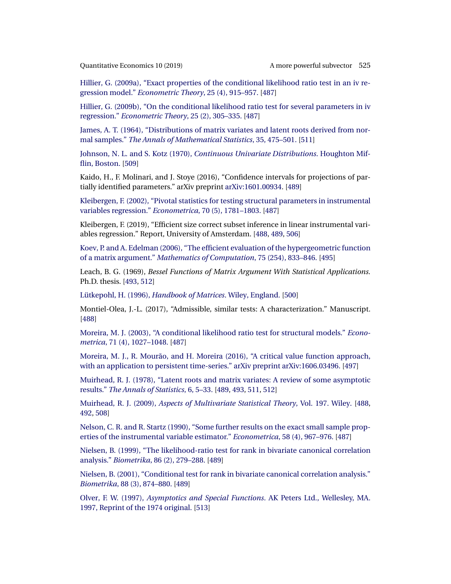<span id="page-39-0"></span>[Hillier, G. \(2009a\), "Exact properties of the conditional likelihood ratio test in an iv re](http://www.e-publications.org/srv/qe/linkserver/openurl?rft_dat=bib:18/Hillier2009&rfe_id=urn:sici%2F1759-7323%28201905%2910%3A2%3C487%3AAMPSAR%3E2.0.CO%3B2-P)gression model." *[Econometric Theory](http://www.e-publications.org/srv/qe/linkserver/openurl?rft_dat=bib:18/Hillier2009&rfe_id=urn:sici%2F1759-7323%28201905%2910%3A2%3C487%3AAMPSAR%3E2.0.CO%3B2-P)*, 25 (4), 915–957. [\[487\]](#page-1-0)

[Hillier, G. \(2009b\), "On the conditional likelihood ratio test for several parameters in iv](http://www.e-publications.org/srv/qe/linkserver/openurl?rft_dat=bib:19/Hillier2009several&rfe_id=urn:sici%2F1759-7323%28201905%2910%3A2%3C487%3AAMPSAR%3E2.0.CO%3B2-P) regression." *[Econometric Theory](http://www.e-publications.org/srv/qe/linkserver/openurl?rft_dat=bib:19/Hillier2009several&rfe_id=urn:sici%2F1759-7323%28201905%2910%3A2%3C487%3AAMPSAR%3E2.0.CO%3B2-P)*, 25 (2), 305–335. [\[487\]](#page-1-0)

[James, A. T. \(1964\), "Distributions of matrix variates and latent roots derived from nor](http://www.e-publications.org/srv/qe/linkserver/openurl?rft_dat=bib:20/James1964&rfe_id=urn:sici%2F1759-7323%28201905%2910%3A2%3C487%3AAMPSAR%3E2.0.CO%3B2-P)mal samples." *[The Annals of Mathematical Statistics](http://www.e-publications.org/srv/qe/linkserver/openurl?rft_dat=bib:20/James1964&rfe_id=urn:sici%2F1759-7323%28201905%2910%3A2%3C487%3AAMPSAR%3E2.0.CO%3B2-P)*, 35, 475–501. [\[511\]](#page-25-0)

Johnson, N. L. and S. Kotz (1970), *[Continuous Univariate Distributions](http://www.e-publications.org/srv/qe/linkserver/openurl?rft_dat=bib:21/JohnsonKotz1970&rfe_id=urn:sici%2F1759-7323%28201905%2910%3A2%3C487%3AAMPSAR%3E2.0.CO%3B2-P)*. Houghton Mif[flin, Boston.](http://www.e-publications.org/srv/qe/linkserver/openurl?rft_dat=bib:21/JohnsonKotz1970&rfe_id=urn:sici%2F1759-7323%28201905%2910%3A2%3C487%3AAMPSAR%3E2.0.CO%3B2-P) [\[509\]](#page-23-0)

Kaido, H., F. Molinari, and J. Stoye (2016), "Confidence intervals for projections of partially identified parameters." arXiv preprint [arXiv:1601.00934](http://arxiv.org/abs/arXiv:1601.00934). [\[489\]](#page-3-0)

[Kleibergen, F. \(2002\), "Pivotal statistics for testing structural parameters in instrumental](http://www.e-publications.org/srv/qe/linkserver/openurl?rft_dat=bib:23/Kleibergen02ecta&rfe_id=urn:sici%2F1759-7323%28201905%2910%3A2%3C487%3AAMPSAR%3E2.0.CO%3B2-P) [variables regression."](http://www.e-publications.org/srv/qe/linkserver/openurl?rft_dat=bib:23/Kleibergen02ecta&rfe_id=urn:sici%2F1759-7323%28201905%2910%3A2%3C487%3AAMPSAR%3E2.0.CO%3B2-P) *Econometrica*, 70 (5), 1781–1803. [\[487\]](#page-1-0)

Kleibergen, F. (2019), "Efficient size correct subset inference in linear instrumental variables regression." Report, University of Amsterdam. [\[488,](#page-2-0) [489,](#page-3-0) [506\]](#page-20-0)

[Koev, P. and A. Edelman \(2006\), "The efficient evaluation of the hypergeometric function](http://www.e-publications.org/srv/qe/linkserver/openurl?rft_dat=bib:25/KoevEdelman2006&rfe_id=urn:sici%2F1759-7323%28201905%2910%3A2%3C487%3AAMPSAR%3E2.0.CO%3B2-P) of a matrix argument." *[Mathematics of Computation](http://www.e-publications.org/srv/qe/linkserver/openurl?rft_dat=bib:25/KoevEdelman2006&rfe_id=urn:sici%2F1759-7323%28201905%2910%3A2%3C487%3AAMPSAR%3E2.0.CO%3B2-P)*, 75 (254), 833–846. [\[495\]](#page-9-0)

Leach, B. G. (1969), *Bessel Functions of Matrix Argument With Statistical Applications.* Ph.D. thesis. [\[493,](#page-7-0) [512\]](#page-26-0)

Lütkepohl, H. (1996), *[Handbook of Matrices](http://www.e-publications.org/srv/qe/linkserver/openurl?rft_dat=bib:27/Lutkepohl96&rfe_id=urn:sici%2F1759-7323%28201905%2910%3A2%3C487%3AAMPSAR%3E2.0.CO%3B2-P)*. Wiley, England. [\[500\]](#page-14-0)

Montiel-Olea, J.-L. (2017), "Admissible, similar tests: A characterization." Manuscript. [\[488\]](#page-2-0)

[Moreira, M. J. \(2003\), "A conditional likelihood ratio test for structural models."](http://www.e-publications.org/srv/qe/linkserver/openurl?rft_dat=bib:29/Moreira03&rfe_id=urn:sici%2F1759-7323%28201905%2910%3A2%3C487%3AAMPSAR%3E2.0.CO%3B2-P) *Econometrica*[, 71 \(4\), 1027–1048.](http://www.e-publications.org/srv/qe/linkserver/openurl?rft_dat=bib:29/Moreira03&rfe_id=urn:sici%2F1759-7323%28201905%2910%3A2%3C487%3AAMPSAR%3E2.0.CO%3B2-P) [\[487\]](#page-1-0)

Moreira, M. J., R. Mourão, and H. Moreira (2016), "A critical value function approach, [with an application to persistent time-series." arXiv preprint](http://www.e-publications.org/srv/qe/linkserver/openurl?rft_dat=bib:30/MoreiraMouraoMoreira2016&rfe_id=urn:sici%2F1759-7323%28201905%2910%3A2%3C487%3AAMPSAR%3E2.0.CO%3B2-P) [arXiv:1606.03496.](http://arxiv.org/abs/arXiv:1606.03496) [\[497\]](#page-11-0)

[Muirhead, R. J. \(1978\), "Latent roots and matrix variates: A review of some asymptotic](http://www.e-publications.org/srv/qe/linkserver/openurl?rft_dat=bib:31/Muirhead1978&rfe_id=urn:sici%2F1759-7323%28201905%2910%3A2%3C487%3AAMPSAR%3E2.0.CO%3B2-P) results." *[The Annals of Statistics](http://www.e-publications.org/srv/qe/linkserver/openurl?rft_dat=bib:31/Muirhead1978&rfe_id=urn:sici%2F1759-7323%28201905%2910%3A2%3C487%3AAMPSAR%3E2.0.CO%3B2-P)*, 6, 5–33. [\[489,](#page-3-0) [493,](#page-7-0) [511,](#page-25-0) [512\]](#page-26-0)

Muirhead, R. J. (2009), *[Aspects of Multivariate Statistical Theory](http://www.e-publications.org/srv/qe/linkserver/openurl?rft_dat=bib:32/Muirhead2009&rfe_id=urn:sici%2F1759-7323%28201905%2910%3A2%3C487%3AAMPSAR%3E2.0.CO%3B2-P)*, Vol. 197. Wiley. [\[488,](#page-2-0) [492,](#page-6-0) [508\]](#page-22-0)

[Nelson, C. R. and R. Startz \(1990\), "Some further results on the exact small sample prop](http://www.e-publications.org/srv/qe/linkserver/openurl?rft_dat=bib:33/NelsonStartz90&rfe_id=urn:sici%2F1759-7323%28201905%2910%3A2%3C487%3AAMPSAR%3E2.0.CO%3B2-P)[erties of the instrumental variable estimator."](http://www.e-publications.org/srv/qe/linkserver/openurl?rft_dat=bib:33/NelsonStartz90&rfe_id=urn:sici%2F1759-7323%28201905%2910%3A2%3C487%3AAMPSAR%3E2.0.CO%3B2-P) *Econometrica*, 58 (4), 967–976. [\[487\]](#page-1-0)

[Nielsen, B. \(1999\), "The likelihood-ratio test for rank in bivariate canonical correlation](http://www.e-publications.org/srv/qe/linkserver/openurl?rft_dat=bib:34/Nielsen99&rfe_id=urn:sici%2F1759-7323%28201905%2910%3A2%3C487%3AAMPSAR%3E2.0.CO%3B2-P) analysis." *Biometrika*[, 86 \(2\), 279–288.](http://www.e-publications.org/srv/qe/linkserver/openurl?rft_dat=bib:34/Nielsen99&rfe_id=urn:sici%2F1759-7323%28201905%2910%3A2%3C487%3AAMPSAR%3E2.0.CO%3B2-P) [\[489\]](#page-3-0)

[Nielsen, B. \(2001\), "Conditional test for rank in bivariate canonical correlation analysis."](http://www.e-publications.org/srv/qe/linkserver/openurl?rft_dat=bib:35/Nielsen01&rfe_id=urn:sici%2F1759-7323%28201905%2910%3A2%3C487%3AAMPSAR%3E2.0.CO%3B2-P) *Biometrika*[, 88 \(3\), 874–880.](http://www.e-publications.org/srv/qe/linkserver/openurl?rft_dat=bib:35/Nielsen01&rfe_id=urn:sici%2F1759-7323%28201905%2910%3A2%3C487%3AAMPSAR%3E2.0.CO%3B2-P) [\[489\]](#page-3-0)

Olver, F. W. (1997), *[Asymptotics and Special Functions](http://www.e-publications.org/srv/qe/linkserver/openurl?rft_dat=bib:36/Olver1997&rfe_id=urn:sici%2F1759-7323%28201905%2910%3A2%3C487%3AAMPSAR%3E2.0.CO%3B2-P)*. AK Peters Ltd., Wellesley, MA. [1997, Reprint of the 1974 original.](http://www.e-publications.org/srv/qe/linkserver/openurl?rft_dat=bib:36/Olver1997&rfe_id=urn:sici%2F1759-7323%28201905%2910%3A2%3C487%3AAMPSAR%3E2.0.CO%3B2-P) [\[513\]](#page-27-0)